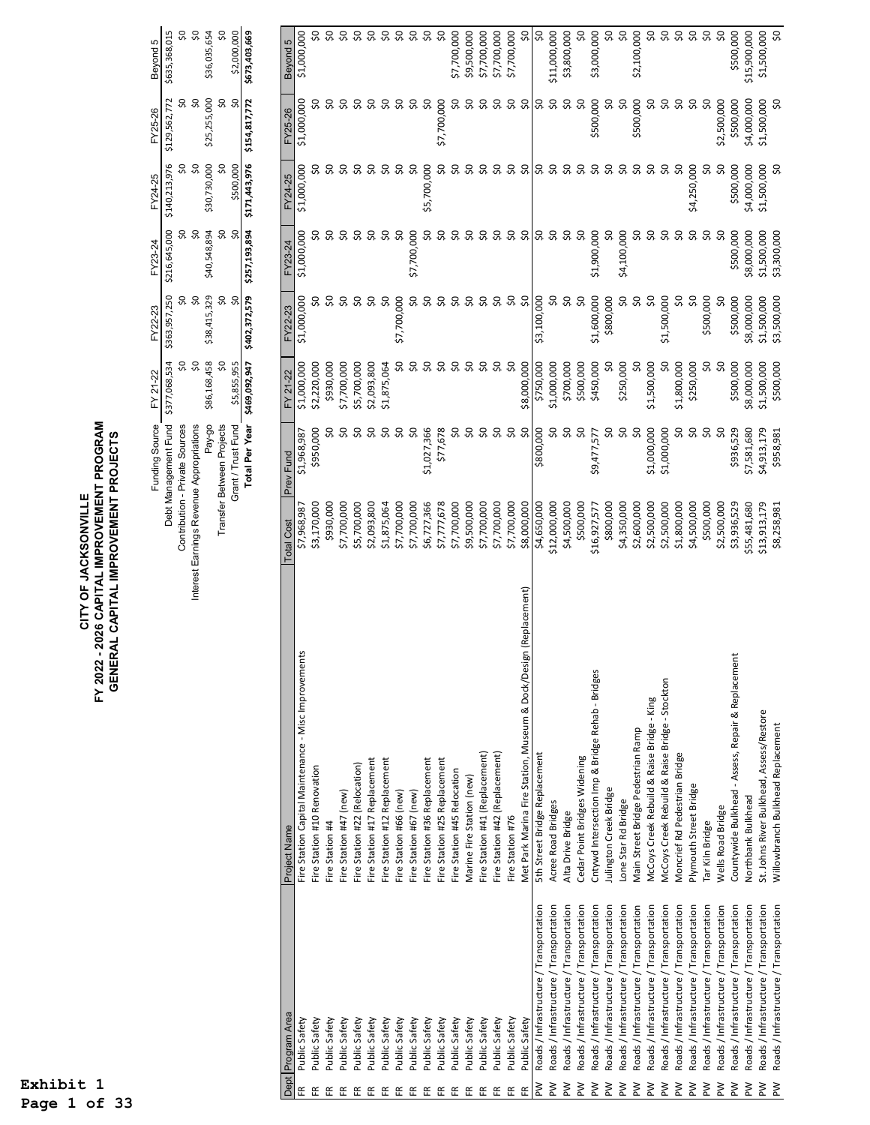## CITY OF JACKSONVILLE<br>FY 2022 - 2026 CAPITAL IMPROVEMENT PROGRAM<br>GENERAL CAPITAL IMPROVEMENT PROJECTS **FY 2022 - 2026 CAPITAL IMPROVEMENT PROGRAM GENERAL CAPITAL IMPROVEMENT PROJECTS CITY OF JACKSONVILLE**

| unding Source FY 21-22                  |              | FY22-23      |                                           | FY23-24 FY24-25 | FY25-26                                                               | Beyond 5      |
|-----------------------------------------|--------------|--------------|-------------------------------------------|-----------------|-----------------------------------------------------------------------|---------------|
| Debt Management Fund \$377,068,534      |              |              | \$363,957,250 \$216,645,000 \$140,213,976 |                 | \$129,562,772                                                         | 635,368,01!   |
| Contribution - Private Sources          |              |              |                                           |                 |                                                                       |               |
| nterest Earnings Revenue Appropriations |              |              |                                           |                 |                                                                       |               |
| Pay-go                                  | \$86,168,458 | \$38,415,329 | \$40,548,894                              | \$30,730,000    | \$25,255,000                                                          | \$36,035,654  |
| <b>Transfer Between Projects</b>        |              |              |                                           |                 |                                                                       |               |
| Grant / Trust Fund                      | \$5,855,955  |              |                                           | \$500,000       |                                                                       | \$2,000,000   |
| Total Per Year S                        |              |              |                                           |                 | \$469,092,947 \$402,372,579 \$257,193,894 \$171,443,976 \$154,817,772 | \$673,403,669 |

|        | Dept Program Area                       | Project Name                                                         | <b>Total Cost</b> | Prev Fund   | FY 21-22    | FY22-23       | FY23-24     | FY24-25     | FY25-26     | Beyond 5                 |
|--------|-----------------------------------------|----------------------------------------------------------------------|-------------------|-------------|-------------|---------------|-------------|-------------|-------------|--------------------------|
|        | Public Safety                           | Fire Station Capital Maintenance - Misc Improvements                 | \$7,968,987       | \$1,968,987 | \$1,000,000 | \$1,000,000   | \$1,000,000 | \$1,000,000 | \$1,000,000 | \$1,000,000              |
|        | Public Safety                           | Fire Station #10 Renovation                                          | \$3,170,000       | \$950,000   | \$2,220,000 |               |             |             |             |                          |
|        | Public Safety                           | Fire Station #4                                                      | \$930,000         |             | \$930,000   |               |             |             |             | SO                       |
|        | Public Safety                           | Fire Station #47 (new)                                               | \$7,700,000       |             | \$7,700,000 |               |             |             |             | 9Ś                       |
|        | Public Safety                           | Fire Station #22 (Relocation)                                        | \$5,700,000       |             | \$5,700,000 | ္တ            |             | ္တ          | SO.         | S.                       |
|        | Public Safety                           | Fire Station #17 Replacement                                         | \$2,093,800       |             | \$2,093,800 | SO,           |             | ္တ          | SO,         | 9Ś                       |
|        | Public Safety                           | Fire Station #12 Replacement                                         | \$1,875,064       |             | \$1,875,064 | SO,           |             | ္တ          | SO          |                          |
| ۽      | Public Safety                           | Fire Station #66 (new)                                               | \$7,700,000       |             | SO,         | \$7,700,000   | ŞO          | ္တ          | SO          | <b>9.9</b>               |
| 뚠      | Public Safety                           | Fire Station #67 (new)                                               | \$7,700,000       | SO,         | SO,         | SO,           | \$7,700,000 | Ş0          | SO,         | $\overline{\mathcal{S}}$ |
| 뜐      | Public Safety                           | Fire Station #36 Replacement                                         | \$6,727,366       | \$1,027,366 | SO,         | S,            | SO,         | \$5,700,000 | SO,         | SO                       |
| 뚀      | Public Safety                           | Fire Station #25 Replacement                                         | \$7,777,678       | \$77,678    | SO          | ္တ            |             | SO          | \$7,700,000 | SO                       |
| 뚀      | Public Safety                           | Fire Station #45 Relocation                                          | \$7,700,000       |             | S,          | SO            |             |             | SO,         | \$7,700,000              |
| 뚠      | Public Safety                           | Marine Fire Station (new)                                            | \$9,500,000       |             | SO,         | Ş0            |             | SO          | SO          | \$9,500,000              |
| 뜐      | Public Safety                           | Fire Station #41 (Replacement)                                       | \$7,700,000       |             | ℅           | Ş0            |             | SO,         | SO,         | \$7,700,000              |
| 뚀      | Public Safety                           | Fire Station #42 (Replacement)                                       | \$7,700,000       |             | SO          | SO,           | SO,         | SO,         | SO          | \$7,700,000              |
| 뚠      | Public Safety                           | Fire Station #76                                                     | \$7,700,000       | Ş0          | SO          | SO            | SO          | SO          | SO          | \$7,700,000              |
| 뜐      | Public Safety                           | ign (Replacement)<br>Met Park Marina Fire Station, Museum & Dock/Des | \$8,000,000       | SO,         | \$8,000,000 | SO            | SO          | သ           | Ş0          | SO,                      |
| Μd     | Roads / Infrastructure / Transportation | 5th Street Bridge Replacement                                        | \$4,650,000       | \$800,000   | \$750,000   | \$3,100,000   | SO,         |             | SO,         | $\overline{\mathrm{S}}$  |
| ≷      | Roads / Infrastructure / Transportation | Acree Road Bridges                                                   | \$12,000,000      | S,          | \$1,000,000 | SO,           | S,          | 95<br>95    | Ş0          | \$11,000,000             |
| ≷      | Roads / Infrastructure / Transportation | Alta Drive Bridge                                                    | \$4,500,000       | Ş0          | \$700,000   | $\frac{5}{2}$ | Ş0          | SO,         | SO          | \$3,800,000              |
| $\geq$ | Roads / Infrastructure / Transportation | Cedar Point Bridges Widening                                         | \$500,000         | SO,         | \$500,000   | ŞO            | SO          | 3 3 3       | SO,         | 50                       |
| ≷      | Roads / Infrastructure / Transportation | Cntywd Intersection Imp & Bridge Rehab - Bridges                     | \$16,927,577      | \$9,477,577 | \$450,000   | \$1,600,000   | \$1,900,000 |             | \$500,000   | \$3,000,000              |
| $\geq$ | Roads / Infrastructure / Transportation | Julington Creek Bridge                                               | \$800,000         | S           | SO          | \$800,000     | Ş,          |             | SO,         | $\frac{50}{5}$           |
| ΜĀ     | Roads / Infrastructure / Transportation | Lone Star Rd Bridge                                                  | \$4,350,000       | SO,         | \$250,000   | SO,           | \$4,100,000 | <b>90</b>   | SO          | $\overline{\mathcal{S}}$ |
| ≷      | Roads / Infrastructure / Transportation | Main Street Bridge Pedestrian Ramp                                   | \$2,600,000       | SO          | SO          | Ş0            | SO,         |             | \$500,000   | \$2,100,000              |
| ≥∑     | Roads / Infrastructure / Transportation | McCoys Creek Rebuild & Raise Bridge - King                           | \$2,500,000       | \$1,000,000 | \$1,500,000 | SO            | $\infty$    | ္တ          | SO,         | SO,                      |
| ≥∑     | Roads / Infrastructure / Transportation | McCoys Creek Rebuild & Raise Bridge - Stockton                       | \$2,500,000       | \$1,000,000 | Ş0          | \$1,500,000   | $\infty$    | ္တ          | Ş0          | Ş0                       |
| ≷      | Roads / Infrastructure / Transportation | Moncrief Rd Pedestrian Bridge                                        | \$1,800,000       | S,          | \$1,800,000 | S,            | သ           | ္ဘ          | S           | SO,                      |
| $\geq$ | Roads / Infrastructure / Transportation | Plymouth Street Bridge                                               | \$4,500,000       | SO,         | \$250,000   | SO            | သ           | \$4,250,000 | Ş,          | $\overline{\mathcal{S}}$ |
| ≷      | Roads / Infrastructure / Transportation | Tar Kiln Bridge                                                      | \$500,000         | \$          | S,          | \$500,000     |             | SO,         |             | Ş0                       |
| ≥∑     | Roads / Infrastructure / Transportation | <b>Wells Road Bridge</b>                                             | \$2,500,000       | Ş,          | SO,         | SO            |             | SO          | \$2,500,000 | SO                       |
| ≷      | Roads / Infrastructure / Transportation | Countywide Bulkhead - Assess, Repair & Replacement                   | \$3,936,529       | \$936,529   | \$500,000   | \$500,000     | \$500,000   | \$500,000   | \$500,000   | \$500,000                |
| ≧      | Roads / Infrastructure / Transportation | Northbank Bulkhead                                                   | \$55,481,680      | \$7,581,680 | \$8,000,000 | \$8,000,000   | \$8,000,000 | \$4,000,000 | \$4,000,000 | \$15,900,000             |
| ΜĀ     | Roads / Infrastructure / Transportation | St. Johns River Bulkhead, Assess/Restore                             | \$13,913,179      | 54,913,179  | \$1,500,000 | \$1,500,000   | \$1,500,000 | \$1,500,000 | \$1,500,000 | \$1,500,000              |
| ΜĀ     | Roads / Infrastructure / Transportation | Willowbranch Bulkhead Replacement                                    | \$8,258,98        | \$958,981   | \$500,000   | \$3,500,000   | \$3,300,000 | S,          | S,          | S,                       |

**Exhibit 1 Page 1 of 33**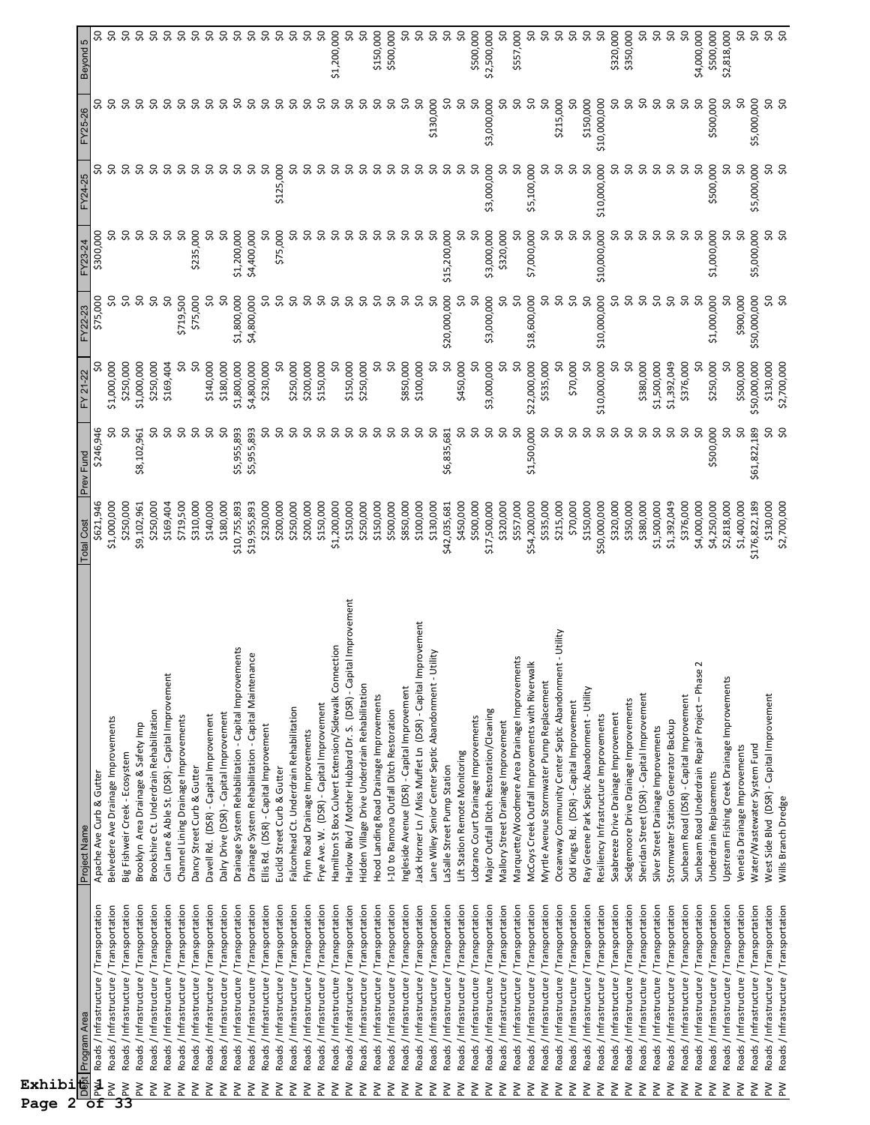| Exhibi<br>2<br>Page      |                                                                                    |                                                                                                    |                            |                    |                          |                                 |                  |                          |                           |                           |
|--------------------------|------------------------------------------------------------------------------------|----------------------------------------------------------------------------------------------------|----------------------------|--------------------|--------------------------|---------------------------------|------------------|--------------------------|---------------------------|---------------------------|
| $\overline{\texttt{of}}$ | Debt Program Area                                                                  | Project Name                                                                                       | <b>Total Cost</b>          | Prev Fund          | FY 21-22                 | FY22-23                         | FY23-24          | FY24-25                  | FY25-26                   | Beyond 5                  |
| Mkd<br>$\geq$            | Roads / Infrastructure / Transportation<br>Roads / Infrastructure / Transportation | Belvedere Ave Drainage Improvements<br>Apache Ave Curb & Gutter                                    | \$1,000,000<br>\$621,946   | \$246,946<br>೫     | \$1,000,000              | ೫<br>\$75,000                   | SO,<br>\$300,000 | S                        | ္သ                        | S,<br>SO,                 |
| $\geq$<br>33             | Roads / Infrastructure / Transportation                                            | Big Fishweir Creek - Ecosystem                                                                     | \$250,000                  | Ş,                 | \$250,000                | οŞ                              | ŞO               | S.                       | S.                        | SO,                       |
| $\geq$                   | Roads / Infrastructure / Transportation                                            | Brooklyn Area Drainage & Safety Imp                                                                | \$9,102,961                | \$8,102,961        | \$1,000,000              | $\infty$                        | ŞO               | Ş0                       | S,                        | $\sim$                    |
| $\geq$                   | Roads / Infrastructure / Transportation                                            | Brookshire Ct. Underdrain Rehabilitation                                                           | \$250,000                  | SO,                | \$250,000                | Ş0                              | Ş0               | Ş0                       | Ş0                        | $\mathsf{S}^{\mathsf{O}}$ |
| ΜĀ                       | Roads / Infrastructure / Transportation                                            | Cain Lane & Able St. (DSR) - Capital Improvement                                                   | \$169,404                  | SO,                | \$169,404                | SO                              | $\infty$         | Ş0                       | Ş0                        | Ş0                        |
| $\geq$                   | Roads / Infrastructure / Transportation                                            | Channel Lining Drainage Improvements                                                               | \$719,500                  | Ş0                 | Ş,                       | \$719,500                       | Ş0               | $\overline{\mathcal{S}}$ | \$Q                       | SO,                       |
| Μd                       | Roads / Infrastructure / Transportation                                            | Dancy Street Curb & Gutter                                                                         | \$310,000                  | Ş0                 | S                        | \$75,000                        | \$235,000        | Ş0                       | Ş0                        | SO,                       |
| ΜĀ                       | Roads / Infrastructure / Transportation                                            | Davell Rd. (DSR) - Capital Improvement                                                             | \$140,000                  | SO,                | \$140,000                | S,                              | S,               | SO,                      | Ş0                        | \$0                       |
| $\geq$                   | Roads / Infrastructure / Transportation                                            | Dalry Drive (DSR) - Capital Improvement                                                            | \$180,000                  | $\infty$           | \$180,000                | SO,                             | SO,              | Ş0                       | SO,                       | <b>0.0</b>                |
| $\geq$                   | Roads / Infrastructure / Transportation                                            | Drainage System Rehabilitation - Capital Improvements                                              | \$10,755,893               | \$5,955,893        | \$1,800,000              | \$1,800,000                     | \$1,200,000      | Ş0                       | Ş,                        |                           |
| $\geq$<br>ΜĀ             | Roads / Infrastructure / Transportation<br>Roads / Infrastructure / Transportation | ιce<br>Drainage System Rehabilitation - Capital Maintenan<br>Ellis Rd. (DSR) - Capital Improvement | \$19,955,893<br>\$230,000  | \$5,955,893<br>SO, | \$4,800,000<br>\$230,000 | \$4,800,000<br>೫                | \$4,400,000<br>S | Ş0<br>Ş0                 | Ş0<br>SO,                 | $\sim$<br>SQ              |
| ΜĀ                       | Roads / Infrastructure / Transportation                                            | Euclid Street Curb & Gutter                                                                        | \$200,000                  | SO                 |                          | Ş0                              | \$75,000         | \$125,000                | ŞO                        | $\mathsf{S}^{\mathsf{O}}$ |
| $\geq$                   | Roads / Infrastructure / Transportation                                            | Falconhead Ct. Underdrain Rehabilitation                                                           | \$250,000                  | Ş0                 | \$250,000                | Ş0                              | S                | SO,                      | Ş0                        | $\infty$                  |
| ΜĀ                       | Roads / Infrastructure / Transportation                                            | Flynn Road Drainage Improvements                                                                   | \$200,000                  | SO,                | \$200,000                | SO,                             | SO,              | S,                       | 9Ş                        | SO                        |
| Μd                       | Roads / Infrastructure / Transportation                                            | Frye Ave. W. (DSR) - Capital Improvement                                                           | \$150,000                  | SO,                | \$150,000                | S,                              | SO,              | Ş0                       | 50                        | Ş0                        |
| $\geq$                   | Roads / Infrastructure / Transportation                                            | Hamilton St Box Culvert Extension/Sidewalk Connection                                              | \$1,200,000                | S                  | 8                        | SO,                             | SO,              | Ş0                       | $\mathsf{S}^{\mathsf{O}}$ | \$1,200,000               |
| ΜĀ                       | Roads / Infrastructure / Transportation                                            | Harlow Blvd / Mother Hubbard Dr. S. (DSR) - Capital Improvement                                    | \$150,000                  | SO,                | \$150,000                | SO,                             | SO,              | SO,                      | Ş0                        | SO,                       |
| $\geq$                   | Roads / Infrastructure / Transportation                                            | Hidden Village Drive Underdrain Rehabilitation                                                     | \$250,000                  | SO,                | \$250,000                | SO,                             | ၥ                | $\overline{\mathcal{S}}$ | $\boldsymbol{\mathsf{S}}$ | S,                        |
| ΜĀ                       | Roads / Infrastructure / Transportation                                            | Hood Landing Road Drainage Improvements                                                            | \$150,000                  | ၥ                  | S                        | SO,                             | SO,              | Ş0                       | Ş0                        | \$150,000                 |
| ΜĀ                       | Roads / Infrastructure / Transportation                                            | I-10 to Ramona Outfall Ditch Restoration                                                           | \$500,000                  | S                  | S,                       | SO,                             | SO,              | Ş0                       | SO,                       | \$500,000                 |
| ΜĀ                       | Roads / Infrastructure / Transportation                                            | Ingleside Avenue (DSR) - Capital Improvement                                                       | \$850,000                  | S                  | \$850,000                | Ş,                              | SO,              | SO,                      | 50                        | SO,                       |
| ΜĀ                       | Roads / Infrastructure / Transportation                                            | Jack Horner Ln / Miss Muffet Ln (DSR) - Capital Improvement                                        | \$100,000                  | S                  | \$100,000                | SO,                             | SO,              | Ş,                       | Ş0                        | Ş0                        |
| ΜÀ                       | Roads / Infrastructure / Transportation                                            | Lane Wiley Senior Center Septic Abandonment - Utility                                              | \$130,000                  | Ş0                 | Ş,                       | Ş0                              | Ş0               | Ş0                       | \$130,000                 | Ş,                        |
| ΜĀ                       | Roads / Infrastructure / Transportation                                            | LaSalle Street Pump Station                                                                        | \$42,035,681               | \$6,835,681        | SO,                      | \$20,000,000                    | \$15,200,000     | SO,                      | SO,                       | SQ                        |
| ΜĀ                       | Roads / Infrastructure / Transportation                                            | Lift Station Remote Monitoring                                                                     | \$450,000                  | SO                 | \$450,000                | SO,                             | SO,              | S                        | S                         | SO,                       |
| $\geq$                   | Roads / Infrastructure / Transportation                                            | Lobrano Court Drainage Improvements                                                                | \$500,000                  | Ş,                 | S                        | Ş0                              | SO               | Ş0                       | Ş0                        | \$500,000                 |
| ΜĀ                       | Roads / Infrastructure / Transportation                                            | Major Outfall Ditch Restoration/Cleaning                                                           | \$17,500,000               | SO,                | \$3,000,000              | \$3,000,000                     | \$3,000,000      | \$3,000,000              | \$3,000,000               | \$2,500,000               |
| ΜĀ                       | Roads / Infrastructure / Transportation                                            | Mallory Street Drainage Improvement                                                                | \$320,000                  | SO,                | ℅                        | SO,                             | \$320,000        | SO,                      | S,                        | S                         |
| ΜĀ                       | Roads / Infrastructure / Transportation                                            | Marquette/Woodmere Area Drainage Improvements                                                      | \$557,000                  | SO                 | S                        | Ş0                              | SO,              | Ş0                       | SO,                       | \$557,000                 |
| ΜĀ                       | Roads / Infrastructure / Transportation                                            | McCoys Creek Outfall Improvements with Riverwalk                                                   | \$54,200,000               | \$1,500,000        | \$22,000,000             | \$18,600,000                    | \$7,000,000      | \$5,100,000              | SO,                       | SO,                       |
| $\geq$                   | Roads / Infrastructure / Transportation                                            | Myrtle Avenue Stormwater Pump Replacement                                                          | \$535,000                  | Ş,                 | \$535,000                | SO,                             | S                | SO,                      | Ş,                        | $\sqrt{2}$                |
| ΜĀ                       | Roads / Infrastructure / Transportation                                            | - Utility<br>Oceanway Community Center Septic Abandonment                                          | \$215,000                  | Ş0                 | ႙                        | Ş0                              | Ş,               | Ş0                       | \$215,000                 | $\infty$                  |
| δÑ<br>$\geq$             | Roads / Infrastructure / Transportation                                            | Ray Greene Park Septic Abandonment - Utility<br>Old Kings Rd. (DSR) - Capital Improvement          | \$70,000<br>\$150,000      | Ş0<br>Ş0           | \$70,000<br>င္တ          | $\boldsymbol{\mathsf{S}}$<br>ŞO | $\sim$<br>Ş0     | SO,<br>Ş0                | S<br>\$150,000            | Ş0<br>$\infty$            |
| ΜĀ                       | Roads / Infrastructure / Transportation<br>Roads / Infrastructure / Transportation | Resiliency Infrastructure Improvements                                                             | \$50,000,000               | Ş,                 | \$10,000,000             | \$10,000,000                    | \$10,000,000     | \$10,000,000             | \$10,000,000              | Ş,                        |
| ΜĀ                       | Roads / Infrastructure / Transportation                                            | Seabreeze Drive Drainage Improvement                                                               | \$320,000                  | SO,                | S,                       | SO,                             | Ş0               | Ş0                       | SO,                       | \$320,000                 |
| ΜĀ                       | Roads / Infrastructure / Transportation                                            | Sedgemoore Drive Drainage Improvements                                                             | \$350,000                  | Ş0                 | Ş,                       | SO,                             | SO,              | SO,                      | SO,                       | \$350,000                 |
| ΜĀ                       | Roads / Infrastructure / Transportation                                            | Sheridan Street (DSR) - Capital Improvement                                                        | \$380,000                  | SO,                | \$380,000                | Ş0                              | Ş0               | SO,                      | SO,                       | SO,                       |
| δÑ                       | Roads / Infrastructure / Transportation                                            | Silver Street Drainage Improvements                                                                | \$1,500,000                | S,                 | \$1,500,000              | Ş0                              | Ş0               | Ş0                       | Ş0                        | $\infty$                  |
| ΜĀ                       | Roads / Infrastructure / Transportation                                            | Stormwater Station Generator Backup                                                                | \$1,392,049                | Ş0                 | \$1,392,049              | SO,                             | Ş0               | Ş0                       | SO,                       | $\infty$                  |
| ΜĀ                       | Roads / Infrastructure / Transportation                                            | Sunbeam Road (DSR) - Capital Improvement                                                           | \$376,000                  | SO,                | \$376,000                | SO                              | SO,              | SO,                      | SO,                       | SO,                       |
| ΣÑ                       | Roads / Infrastructure / Transportation                                            | Sunbeam Road Underdrain Repair Project - Phase.                                                    | \$4,000,000                | SO                 | ຌ                        | SO                              | S,               | Ş0                       | Ş0                        | \$4,000,000               |
| ΜĀ                       | Roads / Infrastructure / Transportation                                            | Underdrain Replacements                                                                            | \$4,250,000                | \$500,000          | \$250,000                | \$1,000,000                     | \$1,000,000      | \$500,000                | \$500,000                 | \$500,000                 |
| Μd<br>δÑ                 | Roads / Infrastructure / Transportation<br>Roads / Infrastructure / Transportation | Upstream Fishing Creek Drainage Improvements                                                       | \$1,400,000<br>\$2,818,000 | 50<br>Ş0           | \$500,000                | \$900,000                       | SO<br>S,         | SO,<br>SO,               | SO,<br>SO,                | \$2,818,000               |
| λĀ                       | Roads / Infrastructure / Transportation                                            | Water/Wastewater System Fund<br>Venetia Drainage Improvements                                      | \$176,822,189              | \$61,822,189       | \$50,000,000             | \$50,000,000                    | \$5,000,000      | \$5,000,000              | \$5,000,000               | $\infty$<br>SO,           |
| ΜĀ                       | Roads / Infrastructure / Transportation                                            | West Side Blvd (DSR) - Capital Improvement                                                         | \$130,000                  | SO,                | \$130,000                |                                 |                  |                          |                           |                           |
| ΜĀ                       | Roads / Infrastructure / Transportation                                            | Wills Branch Dredge                                                                                | \$2,700,000                | SO                 | \$2,700,000              | <b>90</b>                       | <b>9.9</b>       | <b>SQ</b>                | S S                       | <b>9.92</b>               |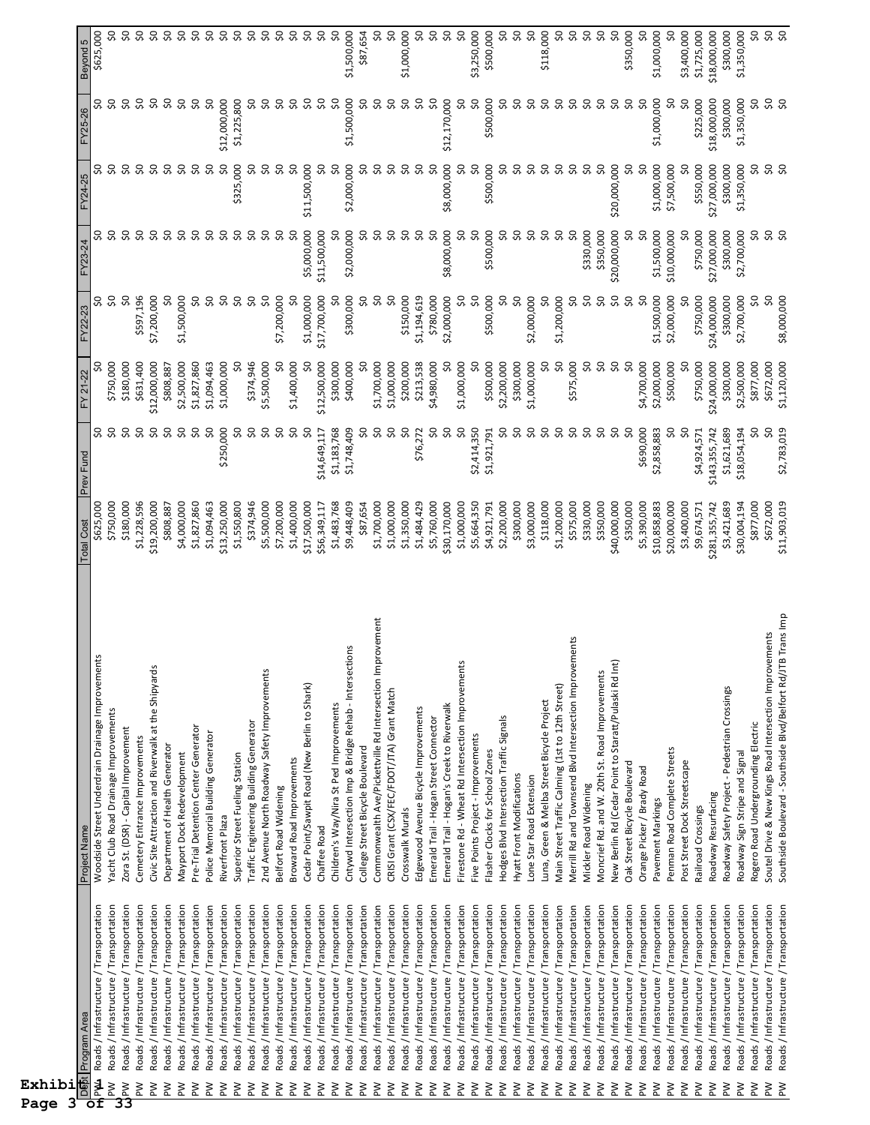| Program Area<br>DS5t<br>Exhibi<br>3<br>Page                                                            | Project Name                                                                                   | <b>Total Cost</b>            | Prev Fund                    | FY 21-22                  | FY22-23                   | FY23-24                   | FY24-25                   | FY25-26                   | Beyond 5                    |
|--------------------------------------------------------------------------------------------------------|------------------------------------------------------------------------------------------------|------------------------------|------------------------------|---------------------------|---------------------------|---------------------------|---------------------------|---------------------------|-----------------------------|
| Roads / Infrastructure / Transportation<br>$\frac{14}{16}$                                             | Woodside Street Underdrain Drainage Improvements                                               | \$625,000                    | SO,                          |                           | ္တ                        |                           |                           |                           | \$625,000                   |
| Roads / Infrastructure / Transportation<br>$\geq$                                                      | Yacht Club Road Drainage Improvements                                                          | \$750,000                    | ္သ                           | \$750,000                 | ŞO                        | S.                        | ္သ                        | S                         | SO,                         |
| Roads / Infrastructure / Transportation<br>$\frac{1}{33}$                                              | Zora St. (DSR) - Capital Improvement                                                           | \$180,000                    | S.                           | \$180,000                 | $\overline{\mathcal{S}}$  | S,                        | S.                        | Ş0                        | \$0                         |
| Roads / Infrastructure / Transportation<br>Md                                                          | Cemetery Entrance Improvements                                                                 | \$1,228,596                  | SO,                          | \$631,400                 | \$597,196                 | ŞO                        | SO,                       | Ş,                        | $\sim$                      |
| Roads / Infrastructure / Transportation<br>ŠΣ                                                          | Civic Site Attraction and Riverwalk at the Shipyards                                           | \$19,200,000                 | Ş                            | \$12,000,000              | \$7,200,000               | ŞO                        | ŞO                        | Ş0                        | $\mathsf{S}^{\mathsf{O}}$   |
| Roads / Infrastructure / Transportation<br>$\geq$                                                      | Department of Health Generator                                                                 | \$808,887                    | Ş0                           | \$808,887                 | SO                        | Ş0                        | Ş0                        | SO,                       | Ş0                          |
| Roads / Infrastructure / Transportation<br>ΜĀ                                                          | Mayport Dock Redevelopment                                                                     | \$4,000,000                  | SO,                          | \$2,500,000               | \$1,500,000               | \$Q                       | $\overline{\mathcal{S}}$  | Ş0                        | $\infty$                    |
| Roads / Infrastructure / Transportation<br>Md                                                          | Pre-Trial Detention Center Generator                                                           | \$1,827,860                  | S,                           | \$1,827,860               | SO                        | Ş0                        | Ş0                        | Ş0                        | $\sim$                      |
| Roads / Infrastructure / Transportation<br>$\geq$                                                      | Police Memorial Building Generator                                                             | \$1,094,463                  | SO,                          | \$1,094,463               | SO,                       | Ş0                        | Ş0                        | SO,                       | Ş0                          |
| Roads / Infrastructure / Transportation<br>ΜĀ                                                          | Riverfront Plaza                                                                               | \$13,250,000                 | \$250,000                    | \$1,000,000               | SO,                       | Ş,                        | Ş0                        | \$12,000,000              | $\infty$                    |
| Roads / Infrastructure / Transportation<br>ΜĀ                                                          | Superior Street Fueling Station                                                                | \$1,550,800                  | ၥ                            | S                         | SO,                       | Ş0                        | \$325,000                 | \$1,225,800               | Ş0                          |
| Roads / Infrastructure / Transportation<br>ΜÀ<br>$\geq$                                                | Traffic Engineering Building Generator                                                         | \$374,946<br>\$5,500,000     | S,<br>SO,                    | \$374,946<br>\$5,500,000  | S,<br>SO,                 | Ş0<br>Ş0                  | SO,<br>SO,                | ೫<br>SO,                  | Ş0<br>Ş0                    |
| Roads / Infrastructure / Transportation<br>Roads / Infrastructure / Transportation<br>ΜĀ               | 2nd Avenue North Roadway Safety Improvements<br>Belfort Road Widening                          | \$7,200,000                  | SO,                          | SO                        | \$7,200,000               | SO,                       | SO,                       | SO,                       | $\infty$                    |
| Roads / Infrastructure / Transportation<br>ΜĀ                                                          | Broward Road Improvements                                                                      | \$1,400,000                  | Ş,                           | \$1,400,000               | ႙                         | œ                         | Ş0                        | $\infty$                  | $\boldsymbol{S}$            |
| Roads / Infrastructure / Transportation<br>$\geq$                                                      | Cedar Point/Sawpit Road (New Berlin to Shark)                                                  | \$17,500,000                 | SO,                          | Ş0                        | \$1,000,000               | \$5,000,000               | \$11,500,000              | Ş0                        | $\infty$                    |
| Roads / Infrastructure / Transportation<br>$\geq$                                                      | Chaffee Road                                                                                   | \$56,349,117                 | \$14,649,117                 | \$12,500,000              | \$17,700,000              | \$11,500,000              | S,                        | SO,                       | SO                          |
| Roads / Infrastructure / Transportation<br>Μd                                                          | Children's Way/Nira St Ped Improvements                                                        | \$1,483,768                  | \$1,183,768                  | \$300,000                 | င္တ                       | င္တ                       | SO                        | Ş                         | $\infty$                    |
| Roads / Infrastructure / Transportation<br>$\geq$                                                      | Cntywd Intersection Imp & Bridge Rehab - Intersections                                         | \$9,448,409                  | \$1,748,409                  | \$400,000                 | \$300,000                 | \$2,000,000               | \$2,000,000               | \$1,500,000               | \$1,500,000                 |
| Roads / Infrastructure / Transportation<br>$\geq$                                                      | College Street Bicycle Boulevard                                                               | \$87,654                     | SO,                          | SO                        | SO,                       | Ş0                        | SO,                       | Ş0                        | \$87,654                    |
| Roads / Infrastructure / Transportation<br>$\geq$                                                      | iprovement<br>Commonwealth Ave/Pickettville Rd Intersection In                                 | \$1,700,000                  | SO,                          | \$1,700,000               | SO                        | S,                        | Ş,                        | ၥ                         | SO                          |
| Roads / Infrastructure / Transportation<br>$\geq$                                                      | CRISI Grant (CSX/FEC/FDOT/JTA) Grant Match                                                     | \$1,000,000                  | Ş0                           | \$1,000,000               | SO                        | SQ                        | Ş0                        | Ş0                        | SO,                         |
| Roads / Infrastructure / Transportation<br>$\geq$                                                      | Crosswalk Murals                                                                               | \$1,350,000                  | Ş0                           | \$200,000                 | \$150,000                 | S,                        | Ş0                        | Ş0                        | \$1,000,000                 |
| Roads / Infrastructure / Transportation<br>$\geq$                                                      | Edgewood Avenue Bicycle Improvements                                                           | \$1,484,429                  | \$76,272                     | \$213,538                 | \$1,194,619               | SO,                       | SO,                       | SO,                       | SQ                          |
| Roads / Infrastructure / Transportation<br>$\geq$                                                      | Emerald Trail - Hogan Street Connector                                                         | \$5,760,000                  | SO,                          | \$4,980,000               | \$780,000                 | Ş0                        | Ş0                        | SO,                       | SO,                         |
| Roads / Infrastructure / Transportation<br>$\geq$                                                      | Emerald Trail - Hogan's Creek to Riverwalk                                                     | \$30,170,000                 | SO,                          | Ş0                        | \$2,000,000               | \$8,000,000               | \$8,000,000               | \$12,170,000              | $\mathsf{S}^{\mathsf{O}}$   |
| Roads / Infrastructure / Transportation<br>ΜĀ                                                          | 'n.<br>Firestone Rd - Wheat Rd Intersection Improvement                                        | \$1,000,000                  | SO                           | \$1,000,000               | S                         | SO,                       | SO,                       | SO,                       | $\overline{\mathcal{S}}$    |
| Roads / Infrastructure / Transportation<br>$\geq$                                                      | Five Points Project - Improvements                                                             | \$5,664,350                  | \$2,414,350                  | SO                        | SO                        | Ş0                        | SO,                       | SO,                       | \$3,250,000                 |
| Roads / Infrastructure / Transportation<br>$\geq$                                                      | Flasher Clocks for School Zones                                                                | \$4,921,791                  | \$1,921,791                  | \$500,000                 | \$500,000                 | \$500,000                 | \$500,000                 | \$500,000                 | \$500,000                   |
| Roads / Infrastructure / Transportation<br>$\geq$                                                      | Hodges Blvd Intersection Traffic Signals                                                       | \$2,200,000                  | အ                            | \$2,200,000               | ္တ                        | ୡ                         | S                         | SO                        | SO,                         |
| Roads / Infrastructure / Transportation<br>$\geq$                                                      | Hyatt Front Modifications                                                                      | \$300,000                    | SO,                          | \$300,000                 | Ş,                        | Ş0<br>ŞO                  | SO,                       | SO,                       | SQ<br>SO,                   |
| Roads / Infrastructure / Transportation<br>ΜĀ                                                          | Lone Star Road Extension                                                                       | \$3,000,000                  | ၥ                            | \$1,000,000               | \$2,000,000               |                           | SO,                       | Ş,                        |                             |
| Roads / Infrastructure / Transportation<br>Roads / Infrastructure / Transportation<br>$\geq$<br>$\geq$ | Main Street Traffic Calming (1st to 12th Street)<br>Luna, Green & Melba Street Bicycle Project | \$1,200,000<br>\$118,000     | SO,<br>SO                    | SQ<br>SO,                 | င္တ<br>\$1,200,000        | Ş0<br>Ş                   | SO,<br>SO,                | SO,<br>Ş0                 | \$118,000<br>SQ             |
| Roads / Infrastructure / Transportation<br>ΜĀ                                                          | ements<br>Merrill Rd and Townsend Blvd Intersection Improv                                     | \$575,000                    | S                            | \$575,000                 | S                         | SO,                       | SO,                       | SO,                       | Ş0                          |
| Roads / Infrastructure / Transportation<br>$\geq$                                                      | Mickler Road Widening                                                                          | \$330,000                    | SO,                          | SO,                       | S                         | \$330,000                 | SO,                       | Ş,                        | $\infty$                    |
| Roads / Infrastructure / Transportation<br>$\geq$                                                      | Moncrief Rd. and W. 20th St. Road Improvements                                                 | \$350,000                    | SO,                          | \$Q                       | Ş,                        | \$350,000                 | SO,                       | Ş,                        | Ş0                          |
| Roads / Infrastructure / Transportation<br>$\geq$                                                      | New Berlin Rd (Cedar Point to Staratt/Pulaski Rd Int)                                          | \$40,000,000                 | SO,                          | SO,                       | SO,                       | \$20,000,000              | \$20,000,000              | S,                        | SO,                         |
| Roads / Infrastructure / Transportation<br>$\geq$                                                      | Oak Street Bicycle Boulevard                                                                   | \$350,000                    | ္တ                           | S                         | $\overline{\mathsf{S}}$   | SO,                       | Ş0                        | SO,                       | \$350,000                   |
| Roads / Infrastructure / Transportation<br>MA                                                          | Orange Picker / Brady Road                                                                     | \$5,390,000                  | \$690,000                    | \$4,700,000               | SO                        | SO                        | SO                        | Ş0                        | Ş0                          |
| Roads / Infrastructure / Transportation<br>$\geq$                                                      | Pavement Markings                                                                              | \$10,858,883                 | \$2,858,883                  | \$2,000,000               | \$1,500,000               | \$1,500,000               | \$1,000,000               | \$1,000,000               | \$1,000,000                 |
| Roads / Infrastructure / Transportation<br>ΜĀ                                                          | Penman Road Complete Streets                                                                   | \$20,000,000                 | SO,                          | \$500,000                 | \$2,000,000               | \$10,000,000              | \$7,500,000               | SO,                       | SO                          |
| Roads / Infrastructure / Transportation<br>ΜĀ                                                          | Post Street Dock Streetscape                                                                   | \$3,400,000                  | SO,                          | ႙                         |                           |                           |                           | 50                        | \$3,400,000                 |
| Roads / Infrastructure / Transportation<br>Roads / Infrastructure / Transportation<br>ΜĀ<br>$\geq$     | Roadway Resurfacing<br>Railroad Crossings                                                      | \$9,674,571<br>\$281,355,742 | \$4,924,571<br>\$143,355,742 | \$750,000<br>\$24,000,000 | \$750,000<br>\$24,000,000 | \$750,000<br>\$27,000,000 | \$550,000<br>\$27,000,000 | \$225,000<br>\$18,000,000 | \$1,725,000<br>\$18,000,000 |
| Roads / Infrastructure / Transportation<br>Md                                                          | Roadway Safety Project - Pedestrian Crossings                                                  | \$3,421,689                  | \$1,621,689                  | \$300,000                 | \$300,000                 | \$300,000                 | \$300,000                 | \$300,000                 | \$300,000                   |
| Roads / Infrastructure / Transportation<br>MA                                                          | Roadway Sign Stripe and Signal                                                                 | \$30,004,194                 | \$18,054,194                 | \$2,500,000               | \$2,700,000               | \$2,700,000               | \$1,350,000               | \$1,350,000               | \$1,350,000                 |
| Roads / Infrastructure / Transportation<br>$\geq$                                                      | Rogero Road Undergrounding Electric                                                            | \$877,000                    | SO,                          | \$877,000                 | SQ                        | 9Ś                        | SO,                       | SO,                       | SO,                         |
| Roads / Infrastructure / Transportation<br>ΜĀ                                                          | Soutel Drive & New Kings Road Intersection Improvements                                        | \$672,000                    | SO,                          | \$672,000                 | S,                        | \$8                       | <b>90</b>                 | S S                       | <b>95</b>                   |
| Roads / Infrastructure / Transportation<br>$\geq$                                                      | Southside Boulevard - Southside Blvd/Belfort Rd/JTB Trans Imp                                  | \$11,903,019                 | \$2,783,019                  | \$1,120,000               | \$8,000,000               |                           |                           |                           |                             |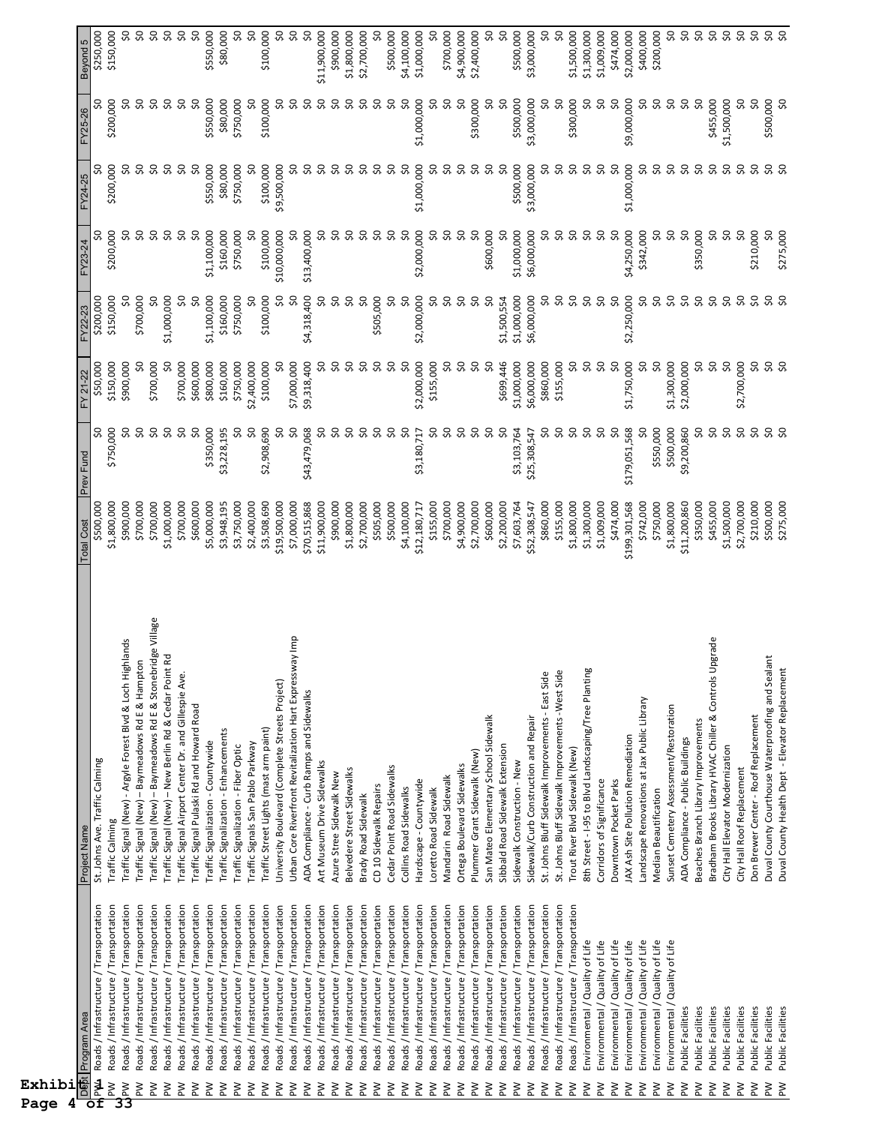| Exhibi<br>4<br>Page                    |                                                                                    |                                                                                                     |                             |                          |                          |                          |                          |                         |                       |                            |
|----------------------------------------|------------------------------------------------------------------------------------|-----------------------------------------------------------------------------------------------------|-----------------------------|--------------------------|--------------------------|--------------------------|--------------------------|-------------------------|-----------------------|----------------------------|
|                                        | De <mark>b</mark> t Program Area                                                   | Project Name                                                                                        | <b>Total Cost</b>           | Prev Fund                | FY 21-22                 | FY22-23                  | FY23-24                  | FY24-25                 | FY25-26               | Beyond 5                   |
| M⊿<br>$\geq$<br>$\overline{\text{of}}$ | Roads / Infrastructure / Transportation<br>Roads / Infrastructure / Transportation | St. Johns Ave. Traffic Calming<br>Traffic Calming                                                   | \$500,000<br>\$1,800,000    | S,<br>\$750,000          | \$50,000<br>\$150,000    | \$200,000<br>\$150,000   | SO<br>\$200,000          | ၥ<br>\$200,000          | ႙<br>\$200,000        | \$250,000<br>\$150,000     |
| $\geq$<br>33                           | Roads / Infrastructure / Transportation                                            | Traffic Signal (New) - Argyle Forest Blvd & Loch Highlands                                          | \$900,000                   | S                        | \$900,000                |                          | S,                       |                         |                       |                            |
| ΜĀ                                     | Roads / Infrastructure / Transportation                                            | Traffic Signal (New) - Baymeadows Rd E & Hampton                                                    | \$700,000                   | SO,                      | ႙                        | \$700,000                | Ş0                       | SO,                     | SO,                   | 9Ś                         |
| MA                                     | Roads / Infrastructure / Transportation                                            | Traffic Signal (New) - Baymeadows Rd E & Stonebridge Village                                        | \$700,000                   | SO,                      | \$700,000                | SO                       | SO,                      | SO,                     | SQ                    | $\infty$                   |
| ΜĀ                                     | Roads / Infrastructure / Transportation                                            | R<br>Traffic Signal (New) - New Berlin Rd & Cedar Point                                             | \$1,000,000                 | Ş0                       | င္တ                      | \$1,000,000              | S                        | SO,                     | Ş0                    | $\infty$                   |
| ΜĀ                                     | Roads / Infrastructure / Transportation                                            | Traffic Signal Airport Center Dr. and Gillespie Ave.                                                | \$700,000                   | Ş0                       | \$700,000                | SO,                      | Ş0                       | Ş,                      | Ş0                    | $50^{\circ}$               |
| Μd                                     | Roads / Infrastructure / Transportation                                            | Traffic Signal Pulaski Rd and Howard Road                                                           | \$600,000                   | Ş0                       | \$600,000                | SO                       | Ş0                       | SO,                     | SO                    | SO,                        |
| ΜĀ<br>ΜĀ                               | Roads / Infrastructure / Transportation<br>Roads / Infrastructure / Transportation | Traffic Signalization - Enhancements<br>Traffic Signalization - Countywide                          | \$5,000,000<br>\$3,948,195  | \$350,000<br>\$3,228,195 | \$800,000<br>\$160,000   | \$1,100,000<br>\$160,000 | \$1,100,000<br>\$160,000 | \$550,000<br>\$80,000   | \$550,000<br>\$80,000 | \$550,000<br>\$80,000      |
| ΜĀ                                     | Roads / Infrastructure / Transportation                                            | Traffic Signalization - Fiber Optic                                                                 | \$3,750,000                 | SO                       | \$750,000                | \$750,000                | \$750,000                | \$750,000               | \$750,000             | SO                         |
| ΜĀ                                     | Roads / Infrastructure / Transportation                                            | Traffic Signals San Pablo Parkway                                                                   | \$2,400,000                 | SO                       | \$2,400,000              | SO                       | S                        |                         |                       | SO,                        |
| ΜĀ                                     | Roads / Infrastructure / Transportation                                            | Traffic Street Lights (mast arm paint)                                                              | \$3,508,690                 | \$2,908,690              | \$100,000                | \$100,000                | \$100,000                | \$100,000               | \$100,000             | \$100,000                  |
| ΜĀ                                     | Roads / Infrastructure / Transportation                                            | University Boulevard (Complete Streets Project)                                                     | \$19,500,000                | SO                       | ႙                        | SO,                      | \$10,000,000             | \$9,500,000             | S                     | \$0                        |
| ΜĀ                                     | Roads / Infrastructure / Transportation                                            | Urban Core Riverfront Revitalization Hart Expressway Imp                                            | \$7,000,000                 | SO,                      | \$7,000,000              | SO,                      | S                        | ၥ                       | SO,                   | $50^{\circ}$               |
| ΜĀ                                     | Roads / Infrastructure / Transportation                                            | ADA Compliance - Curb Ramps and Sidewalks                                                           | \$70,515,868                | \$43,479,068             | \$9,318,400              | \$4,318,400              | \$13,400,000             | SO,                     | SO,                   | Ş,                         |
| ΜĀ                                     | Roads / Infrastructure / Transportation                                            | Art Museum Drive Sidewalks                                                                          | \$11,900,000                | Ş,                       | S,                       | SO,                      | SQ                       | Ş,                      | Ş0                    | \$11,900,000               |
| ΜÀ                                     | Roads / Infrastructure / Transportation                                            | Azure Stree Sidewalk New                                                                            | \$900,000                   | SO,                      | SO,                      | SQ                       | SO,                      | S                       | SO,                   | \$900,000                  |
| ΜĀ                                     | Roads / Infrastructure / Transportation                                            | Belvedere Street Sidewalks                                                                          | \$1,800,000                 | SO,                      | S,                       | $\infty$                 | SO,                      | S,                      | Ş,                    | \$1,800,000                |
| ΜĀ                                     | Roads / Infrastructure / Transportation                                            | Brady Road Sidewalk                                                                                 | \$2,700,000                 | S,                       | S,                       | $\infty$                 | Ş,                       | SO,                     | SO,                   | \$2,700,000                |
| δÑ                                     | Roads / Infrastructure / Transportation                                            | CD 10 Sidewalk Repairs                                                                              | \$505,000                   | Ş0                       | SO,                      | \$505,000                | SO,                      | ၥ                       | င္တ                   |                            |
| δÑ<br>λĀ                               | Roads / Infrastructure / Transportation<br>Roads / Infrastructure / Transportation | Cedar Point Road Sidewalks                                                                          | \$500,000                   | SO,<br>SO,               | SO,<br>8                 | Ş,                       | SO,                      | SO,<br>S,               | S<br>SO,              | \$500,000<br>\$4,100,000   |
| ŠΜ                                     | Roads / Infrastructure / Transportation                                            | Hardscape - Countywide<br>Collins Road Sidewalks                                                    | \$4,100,000<br>\$12,180,717 | \$3,180,717              | \$2,000,000              | SO,<br>\$2,000,000       | SO,<br>\$2,000,000       | \$1,000,000             | \$1,000,000           | \$1,000,000                |
| ΜĀ                                     | Roads / Infrastructure / Transportation                                            | Loretto Road Sidewalk                                                                               | \$155,000                   | S,                       | \$155,000                | SO,                      | SO,                      | S,                      | S                     | SO                         |
| δÑ                                     | Roads / Infrastructure / Transportation                                            | Mandarin Road Sidewalk                                                                              | \$700,000                   | SO,                      | ℅                        | SO,                      | SO,                      | S,                      | SO,                   | \$700,000                  |
| δÑ                                     | Roads / Infrastructure / Transportation                                            | Ortega Boulevard Sidewalks                                                                          | \$4,900,000                 | Ş0                       | Ş0                       | SO,                      | Ş0                       | 8                       | Ş,                    | \$4,900,000                |
| λĀ                                     | Roads / Infrastructure / Transportation                                            | Plummer Grant Sidewalk (New)                                                                        | \$2,700,000                 | SO,                      | œ                        | SO,                      | SO                       | SO                      | \$300,000             | \$2,400,000                |
| $\geq$                                 | Roads / Infrastructure / Transportation                                            | San Mateo Elementary School Sidewalk                                                                | \$600,000                   | SO,                      | S,                       | $\infty$                 | \$600,000                | SO,                     |                       |                            |
| ΣÑ                                     | Roads / Infrastructure / Transportation                                            | Sibbald Road Sidewalk Extension                                                                     | \$2,200,000                 | SO,                      | \$699,446                | \$1,500,554              | S                        | ္တ                      | SO                    | SO                         |
| ΜÀ                                     | Roads / Infrastructure / Transportation                                            | Sidewalk Construction - New                                                                         | \$7,603,764                 | \$3,103,764              | \$1,000,000              | \$1,000,000              | \$1,000,000              | \$500,000               | \$500,000             | \$500,000                  |
| ΜĀ                                     | Roads / Infrastructure / Transportation                                            | Sidewalk/Curb Construction and Repair                                                               | \$52,308,547                | \$25,308,547             | \$6,000,000              | \$6,000,000              | \$6,000,000              | \$3,000,000             | \$3,000,000           | \$3,000,000                |
| ΜĀ                                     | Roads / Infrastructure / Transportation                                            | St. Johns Bluff Sidewalk Improvements - East Side                                                   | \$860,000                   | ႙                        | \$860,000                | Ş,                       | ႙                        |                         | SO                    | $\infty$                   |
| ΜĀ                                     | Roads / Infrastructure / Transportation                                            | St. Johns Bluff Sidewalk Improvements -West Side                                                    | \$155,000                   | SO,                      | \$155,000                | SO,                      | S                        | S                       | SO                    | $\overline{\mathcal{S}}$   |
| ΜĀ<br>ΜĀ                               | Roads / Infrastructure / Transportation<br>Environmental / Quality of Life         | 8th Street - 1-95 to Blvd Landscaping/Tree Planting<br>Trout River Blvd Sidewalk (New)              | \$1,800,000<br>\$1,300,000  | SO,<br>SO,               | S<br>S,                  | SO,<br>ŞO                | SO,<br>SO,               | S<br>S                  | \$300,000<br>S        | \$1,500,000<br>\$1,300,000 |
| ΜÀ                                     | Environmental / Quality of Life                                                    | Corridors of Significance                                                                           | \$1,009,000                 | Ş0                       | SO,                      | $\infty$                 | Ş0                       | ಼                       | Ş0                    | \$1,009,000                |
| ΜĀ                                     | Environmental / Quality of Life                                                    | Downtown Pocket Parks                                                                               | \$474,000                   | SO,                      | S,                       | SO                       | SO,                      | SO,                     | SO                    | \$474,000                  |
| ΜĀ                                     | Environmental / Quality of Life                                                    | JAX Ash Site Pollution Remediation                                                                  | \$199,301,568               | \$179,051,568            | \$1,750,000              | \$2,250,000              | \$4,250,000              | \$1,000,000             | \$9,000,000           | \$2,000,000                |
| ΜĀ                                     | Environmental / Quality of Life                                                    | Landscape Renovations at Jax Public Library                                                         | \$742,000                   | SO                       | S                        | Ş0                       | \$342,000                | S                       | S                     | \$400,000                  |
| ΜĀ                                     | Environmental / Quality of Life                                                    | Median Beautification                                                                               | \$750,000                   | \$550,000                | S,                       | Ş0                       | S,                       | Ş,                      | SO,                   | \$200,000                  |
| ΜĀ                                     | Environmental / Quality of Life                                                    | Sunset Cemetery Assessment/Restoration                                                              | \$1,800,000                 | \$500,000                | \$1,300,000              | ŞO                       | SO,                      | SO,                     | SO,                   | SO,                        |
| ΜĀ                                     | Public Facilities                                                                  | ADA Compliance - Public Buildings                                                                   | \$11,200,860                | \$9,200,860              | \$2,000,000              | $\overline{\mathsf{S}}$  | S                        | SO,                     | Ş0                    | $\sqrt{2}$                 |
| ΜĀ                                     | Public Facilities                                                                  | Beaches Branch Library Improvements                                                                 | \$350,000                   | SO,                      | SO,                      | Ş0                       | \$350,000                | SO,                     | SO                    | $\overline{\mathcal{S}}$   |
| $\geq$                                 | Public Facilities                                                                  | grade<br>Bradham Brooks Library HVAC Chiller & Controls Up                                          | \$455,000                   | Ş0                       | $\overline{\mathcal{S}}$ | SO,                      | SO,                      | $\overline{\mathsf{S}}$ | \$455,000             | <b>9.92</b>                |
| ΜĀ                                     | Public Facilities                                                                  | City Hall Elevator Modernization                                                                    | \$1,500,000                 | SO,                      | Ş,                       | SO,                      | Ş0                       | Ş,                      | \$1,500,000           |                            |
| ≷                                      | Public Facilities                                                                  | City Hall Roof Replacement                                                                          | \$2,700,000                 | SO,                      | \$2,700,000              | Ş0                       | S,                       | Ş0                      | Ş0                    | $\sim$                     |
| ΜĀ                                     | Public Facilities                                                                  | Don Brewer Center - Roof Replacement                                                                | \$210,000                   | SO,                      | SO,                      | \$Q                      | \$210,000                | SO,                     | SO                    |                            |
| ΣÑ<br>ΜĀ                               | Public Facilities<br>Public Facilities                                             | Duval County Courthouse Waterproofing and Sealar<br>Duval County Health Dept - Elevator Replacement | \$500,000<br>\$275,000      | 50<br>္သ                 | <b>SQ</b>                | <b>SQ</b>                | \$275,000                | <b>9.9</b>              | \$500,000<br>S,       | <b>\$ \$ \$</b>            |
|                                        |                                                                                    |                                                                                                     |                             |                          |                          |                          |                          |                         |                       |                            |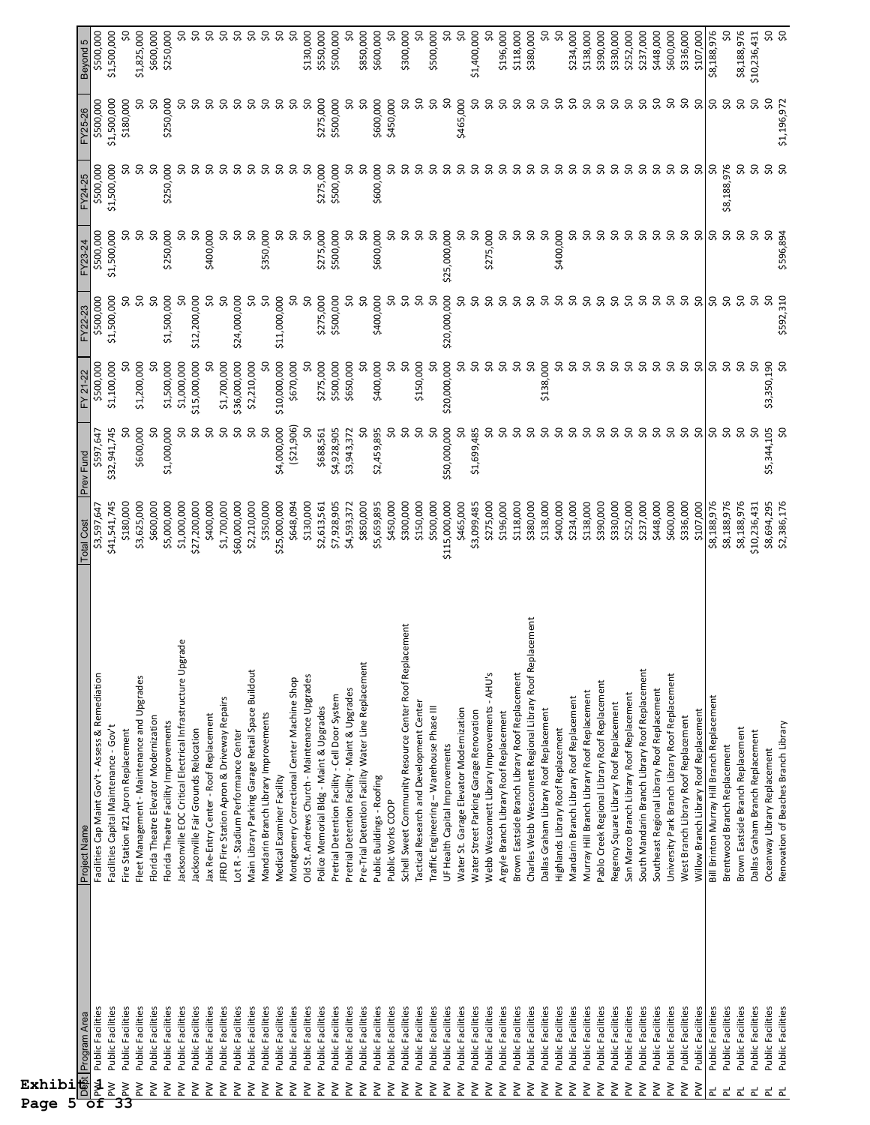| Exhibi<br>Page |                                        |                                                                                             |                             |                           |                           |                          |                          |                          |                           |                          |
|----------------|----------------------------------------|---------------------------------------------------------------------------------------------|-----------------------------|---------------------------|---------------------------|--------------------------|--------------------------|--------------------------|---------------------------|--------------------------|
| DS51<br>O      | Program Area                           | Project Name                                                                                | <b>Total Cost</b>           | Prev Fund                 | FY 21-22                  | FY22-23                  | FY23-24                  | FY24-25                  | FY25-26                   | Beyond 5                 |
| Mkd<br>$\geq$  | Public Facilities<br>Public Facilities | Facilities Cap Maint Gov't - Assess & Remediation<br>Facilities Capital Maintenance - Gov't | \$41,541,745<br>\$3,597,647 | \$32,941,745<br>\$597,647 | \$1,100,000<br>\$500,000  | \$500,000<br>\$1,500,000 | \$1,500,000<br>\$500,000 | \$500,000<br>\$1,500,000 | \$1,500,000<br>\$500,000  | \$500,000<br>\$1,500,000 |
| $\geq$<br>33   | Public Facilities                      | Fire Station #21 Apron Replacement                                                          | \$180,000                   |                           |                           | SO,                      |                          |                          | \$180,000                 |                          |
| ΜĀ             | Public Facilities                      | Fleet Management - Maintenance and Upgrades                                                 | \$3,625,000                 | \$600,000                 | \$1,200,000               | SO,                      | ℅                        | SO,                      | SO,                       | \$1,825,000              |
| ΜĀ             | Public Facilities                      | Florida Theatre Elevator Modernization                                                      | \$600,000                   | င္တ                       | 8                         | SO                       | SO                       | SO                       | SO                        | \$600,000                |
| Μd             | Public Facilities                      | Florida Theatre Facility Improvements                                                       | \$5,000,000                 | \$1,000,000               | \$1,500,000               | \$1,500,000              | \$250,000                | \$250,000                | \$250,000                 | \$250,000                |
| ΜĀ             | Public Facilities                      | Jacksonville EOC Critical Electrical Infrastructure Upgrade                                 | \$1,000,000                 | SO,                       | \$1,000,000               | SO                       | ္တ                       | ၥ                        | ႙                         | SO,                      |
| ΜĀ             | Public Facilities                      | lacksonville Fair Grounds Relocation                                                        | \$27,200,000                | Ş0                        | \$15,000,000              | \$12,200,000             | S,                       | SO,                      | SO,                       | $\infty$                 |
| ΜĀ             | Public Facilities                      | Jax Re-Entry Center - Roof Replacement                                                      | \$400,000                   | Ş0                        |                           | SO,                      | \$400,000                | S,                       | ೩                         | SO,                      |
| $\geq$         | Public Facilities                      | JFRD Fire Station Apron & Driveway Repairs                                                  | \$1,700,000                 | SO                        | \$1,700,000               | SO                       | ္တ                       | SO,                      | SO,                       | Ş0<br>SO,                |
| ΜĀ             | Public Facilities                      | Lot R - Stadium Performance Center                                                          | \$60,000,000                | SQ                        | \$36,000,000              | \$24,000,000             | ೪                        | SO,                      | SO,                       |                          |
| ΜĀ<br>$\geq$   | Public Facilities<br>Public Facilities | Main Library Parking Garage Retail Space Buildout<br>Mandarin Branch Library Improvements   | \$2,210,000<br>\$350,000    | SQ<br>SO,                 | \$2,210,000<br>႙          | \$O<br>SO,               | SO,<br>\$350,000         | SO,<br>SO.               | SO,<br>SO,                | $\sim$<br>Ş0             |
| ΜĀ             | Public Facilities                      | Medical Examiner Facility                                                                   | \$25,000,000                | \$4,000,000               | \$10,000,000              | \$11,000,000             | SO                       | SO,                      | င္တ                       | SO,                      |
| Μd             | Public Facilities                      | Montgomery Correctional Center Machine Shop                                                 | \$648,094                   | (521, 906)                | \$670,000                 | Ş0                       | ℅                        | ೫                        | SO,                       | SO                       |
| $\geq$         | Public Facilities                      | Old St. Andrews Church - Maintenance Upgrades                                               | \$130,000                   | ႙                         | ೦                         | SO,                      | S                        | SO,                      | SO,                       | \$130,000                |
| ΜĀ             | Public Facilities                      | Police Memorial Bldg - Maint & Upgrades                                                     | \$2,613,561                 | \$688,561                 | \$275,000                 | \$275,000                | \$275,000                | \$275,000                | \$275,000                 | \$550,000                |
| $\geq$         | Public Facilities                      | Pretrial Detention Facility - Cell Door System                                              | \$7,928,905                 | \$4,928,905               | \$500,000                 | \$500,000                | \$500,000                | \$500,000                | \$500,000                 | \$500,000                |
| ΜĀ             | Public Facilities                      | Pretrial Detention Facility - Maint & Upgrades                                              | \$4,593,372                 | \$3,943,372               | \$650,000                 | SO,                      |                          |                          | ႙                         | S                        |
| ΜĀ             | Public Facilities                      | Pre-Trial Detention Facility Water Line Replacement                                         | \$850,000                   | ႙                         | င္တ                       | SO                       | ္တ                       | ၥ                        | SO                        | \$850,000                |
| $\geq$         | Public Facilities                      | Public Buildings - Roofing                                                                  | \$5,659,895                 | \$2,459,895               | \$400,000                 | \$400,000                | \$600,000                | \$600,000                | \$600,000                 | \$600,000                |
| ΜĀ             | Public Facilities                      | Public Works COOP                                                                           | \$450,000                   | SO,                       | SO,                       | SO,                      | ୡ                        | SO,                      | \$450,000                 | $\overline{\phantom{0}}$ |
| $\geq$         | Public Facilities                      | acement<br>Schell Sweet Community Resource Center Roof Rep                                  | \$300,000                   | S                         | SO,                       | SQ                       | ೫                        | ႙                        | SO                        | \$300,000                |
| ΜĀ             | Public Facilities                      | Tactical Research and Development Center                                                    | \$150,000                   | S                         | \$150,000                 | SO,                      | ၥ                        | င္တ                      | ၥ                         | SO                       |
| δÑ             | Public Facilities                      | Traffic Engineering - Warehouse Phase III                                                   | \$500,000                   | SO                        | S,                        | S,                       | ୫                        | င္တ                      | SO,                       | \$500,000                |
| Μd             | Public Facilities                      | UF Health Capital Improvements                                                              | \$115,000,000               | \$50,000,000              | \$20,000,000              | \$20,000,000             | \$25,000,000             | ႙                        | SO,                       | SO,                      |
| ΜĀ             | Public Facilities                      | Water St. Garage Elevator Modernization                                                     | \$465,000                   | ၥ                         | SO                        | SO,                      | ೫                        | ဥ္က                      | \$465,000                 | SO                       |
| ΜĀ             | Public Facilities                      | Water Street Parking Garage Renovation                                                      | \$3,099,485                 | \$1,699,485               | SO,                       | SO,                      | SO                       | S                        | SO,                       | \$1,400,000              |
| ΜĀ             | Public Facilities                      | Webb Wesconnett Library Improvements - AHU's                                                | \$275,000                   | ၥ                         | SO,                       | SO,                      | \$275,000                | ႙                        | SO,                       | S                        |
| ΜĀ             | Public Facilities                      | Argyle Branch Library Roof Replacement                                                      | \$196,000                   | S                         | S,                        | SO                       | ႙                        | ႙                        | ၥ                         | \$196,000                |
| ΜĀ             | Public Facilities                      | Brown Eastside Branch Library Roof Replacement                                              | \$118,000                   | SO,                       | $\infty$                  | SO,                      | ၥ                        | S                        | SO,                       | \$118,000                |
| ΜĀ             | Public Facilities                      | Charles Webb Wesconnett Regional Library Roof Replacement                                   | \$380,000                   | SO,                       | SO                        | SO,                      | S,                       | ႙                        | SO,                       | \$380,000                |
| $\geq$         | Public Facilities                      | Dallas Graham Library Roof Replacement                                                      | \$138,000                   | SO,                       | \$138,000                 | S,                       | ೪                        | ႙                        | SO,                       | \$O                      |
| $\geq$         | Public Facilities                      | Highlands Library Roof Replacement                                                          | \$400,000                   | SO                        | ၥ                         | Ş0                       | \$400,000                | S                        | SO                        | SO                       |
| λĀ             | Public Facilities                      | Mandarin Branch Library Roof Replacement                                                    | \$234,000                   | SO,                       | ႙                         | SO,                      | S                        | င္တ                      | SO,                       | \$234,000                |
| $\geq$<br>Μd   | Public Facilities                      | Murray Hill Branch Library Roof Replacement                                                 | \$138,000                   | SO<br>℅                   | SO<br>S.                  | Ş0                       | ဥ                        | SO.<br>SO                | SO<br>S,                  | \$138,000                |
| Μd             | Public Facilities                      | Pablo Creek Regional Library Roof Replacement                                               | \$390,000                   |                           |                           | Ş0                       | S                        |                          |                           | \$390,000                |
| $\geq$         | Public Facilities<br>Public Facilities | San Marco Branch Library Roof Replacement<br>Regency Square Library Roof Replacement        | \$330,000<br>\$252,000      | SO,<br>SO,                | SO,<br>SO,                | Ş0<br>Ş0                 | SO,<br>S.                | Ş,<br>S,                 | $50^{\circ}$<br>SO,       | \$330,000<br>\$252,000   |
| λĀ             | Public Facilities                      | South Mandarin Branch Library Roof Replacement                                              | \$237,000                   | Ş0                        | Ş0                        | Ş0                       | SO,                      | Ş0                       | Ş0                        | \$237,000                |
| ΜĀ             | Public Facilities                      | Southeast Regional Library Roof Replacement                                                 | \$448,000                   | SQ                        | $\sim$                    | $\sim$                   | Ş0                       | Ş,                       | Ş,                        | \$448,000                |
| ΜĀ             | Public Facilities                      | University Park Branch Library Roof Replacement                                             | \$600,000                   | Ş0                        | Ş0                        | Ş0                       | Ş0                       | SO,                      | S,                        | \$600,000                |
| $\geq$         | Public Facilities                      | West Branch Library Roof Replacement                                                        | \$336,000                   | SO,                       | $\boldsymbol{\mathsf{S}}$ | Ş0                       | S,                       | SO                       | S,                        | \$336,000                |
| ΜĀ             | Public Facilities                      | Willow Branch Library Roof Replacement                                                      | \$107,000                   | SO                        | ႙                         | SO                       | SO                       | SO                       | SO                        | \$107,000                |
| 군              | Public Facilities                      | Bill Brinton Murray Hill Branch Replacement                                                 | \$8,188,976                 | SO,                       | S                         | SO,                      | SO,                      | SO,                      | SO,                       | \$8,188,976              |
| ᆮ              | Public Facilities                      | Brentwood Branch Replacement                                                                | \$8,188,976                 | SO,                       | SO,                       | Ş0                       | Ş0                       | \$8,188,976              | Ş0                        | SO                       |
| 군              | Public Facilities                      | Brown Eastside Branch Replacement                                                           | \$8,188,976                 | SO,                       | SO,                       | SO,                      | SO,                      | SO,                      | SO,                       | \$8,188,976              |
| ᆮ              | Public Facilities                      | Dallas Graham Branch Replacement                                                            | \$10,236,431                | SO                        | SO                        | SO,                      | S                        | SO,                      | $\mathsf{S}^{\mathsf{O}}$ | \$10,236,431             |
| 군<br>ᆮ         | Public Facilities                      | Oceanway Library Replacement                                                                | \$8,694,295                 | \$5,344,105               | \$3,350,190               | Ş0                       | Ş0                       | 50                       | Ş0                        | <b>9.92</b>              |
|                | Public Facilities                      | Renovation of Beaches Branch Library                                                        | \$2,386,176                 |                           | SO,                       | \$592,310                | \$596,894                | \$0                      | \$1,196,972               |                          |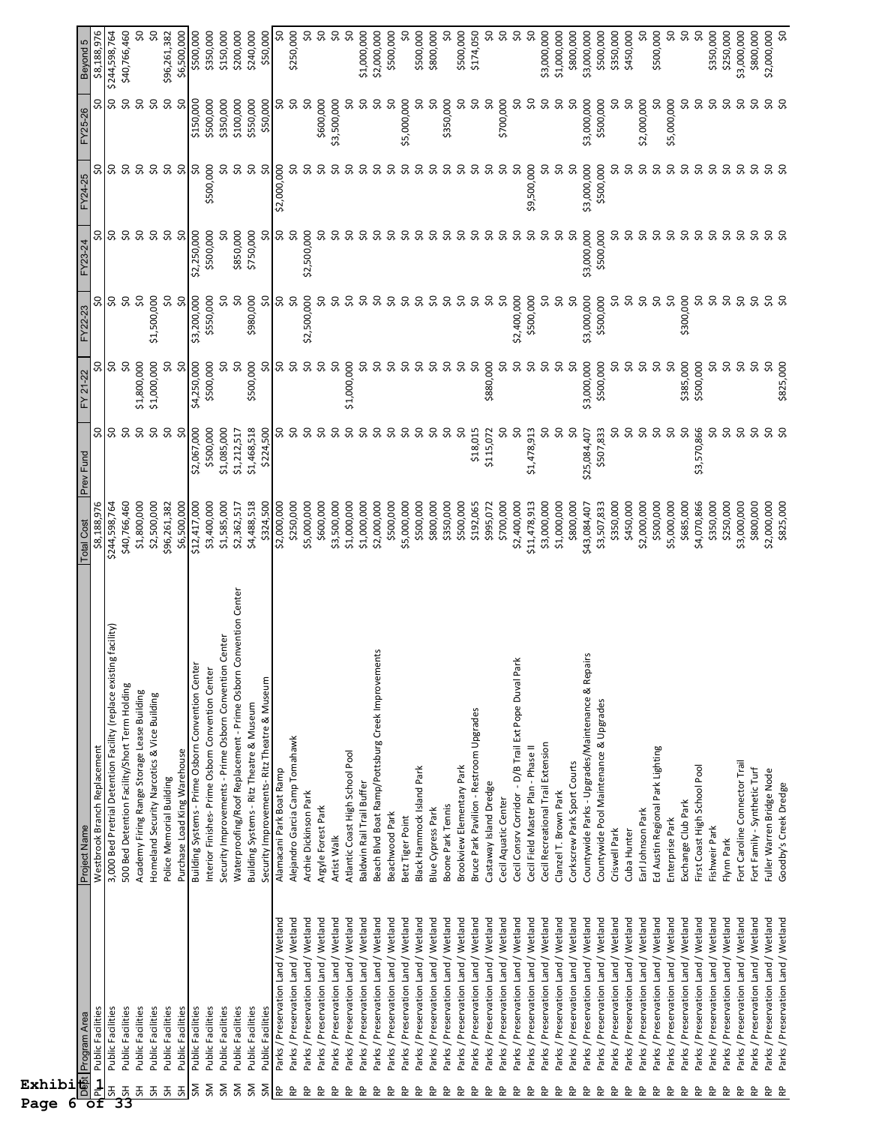| Exhibi<br>Page<br>6 |                                                                            |                                                                                              |                             |                          |                    |                  |                          |             |                          |                                     |
|---------------------|----------------------------------------------------------------------------|----------------------------------------------------------------------------------------------|-----------------------------|--------------------------|--------------------|------------------|--------------------------|-------------|--------------------------|-------------------------------------|
|                     | De <mark>b</mark> t Program Area                                           | Project Name                                                                                 | <b>Total Cost</b>           | Prev Fund                | FY 21-22           | FY22-23          | FY23-24                  | FY24-25     | FY25-26                  | Beyond 5                            |
| $\frac{1}{2}$       | Public Facilities                                                          | Westbrook Branch Replacement                                                                 | \$8,188,976                 | S,                       | x                  | Ş0               | S,                       | ಼           | SO,                      | \$8,188,976                         |
| $\overline{5}$      | Public Facilities                                                          | g facility)<br>3,000 Bed Pretrial Detention Facility (replace existin                        | \$244,598,764               | SO                       | Sp                 | \$0              | 50                       | \$0         | ΟŞ                       | \$244,598,764                       |
| $\frac{1}{5}$<br>공  | Public Facilities<br>Public Facilities                                     | 500 Bed Detention Facility/Short Term Holding<br>Academy Firing Range Storage Lease Building | \$40,766,460<br>\$1,800,000 | $\sim$<br>Ş0             | SO,<br>\$1,800,000 | SO,<br>Ş0        | SO,<br>Ş0                | Ş0<br>S,    | Ş0<br>$\sim$             | SO<br>\$40,766,460                  |
| 공                   | Public Facilities                                                          | Homeland Security Narcotics & Vice Building                                                  | \$2,500,000                 | Ş0                       | \$1,000,000        | \$1,500,000      | Ş,                       | ŞO          | Ş0                       | $\overline{\widetilde{\mathsf{S}}}$ |
| 공                   | Public Facilities                                                          | Police Memorial Building                                                                     | \$96,261,382                | Ş0                       | SO,                | SO,              | $\overline{\mathcal{S}}$ | SO,         | $\infty$                 | \$96,261,382                        |
| $5\overline{1}$     | Public Facilities                                                          | Purchase Load King Warehouse                                                                 | \$6,500,000                 | SO,                      | Ş                  | SO,              | SO                       | ŞŌ          | SO                       | \$6,500,000                         |
| SM                  | Public Facilities                                                          | Building Systems - Prime Osborn Convention Center                                            | \$12,417,000                | \$2,067,000              | \$4,250,000        | \$3,200,000      | \$2,250,000              | S,          | \$150,000                | \$500,000                           |
| SΜ                  | Public Facilities                                                          | Interior Finishes-Prime Osborn Convention Center                                             | \$3,400,000                 | \$500,000                | \$500,000          | \$550,000        | \$500,000                | \$500,000   | \$500,000                | \$350,000                           |
| SM                  | Public Facilities                                                          | Center<br>Security Improvements - Prime Osborn Convention                                    | \$1,585,000                 | \$1,085,000              | Ş0                 | Ş,               | Ş,                       | S           | \$350,000                | \$150,000                           |
| ŠΜ                  | Public Facilities                                                          | <b>Convention Center</b><br>Waterproofing/Roof Replacement - Prime Osborn C                  | \$2,362,517                 | \$1,212,517              | SO                 | Ş,               | \$850,000                | Ş0          | \$100,000                | \$200,000                           |
| ŠΜ<br>ŠΜ            | Public Facilities<br>Public Facilities                                     | Security Improvements-Ritz Theatre & Museum<br>Building Systems - Ritz Theatre & Museum      | \$4,488,518<br>\$324,500    | \$1,468,518<br>\$224,500 | \$500,000<br>S,    | \$980,000<br>SO, | \$750,000<br>Ş,          | SO,<br>Ş0   | \$550,000<br>\$50,000    | \$240,000<br>\$50,000               |
| 욶                   | Parks / Preservation Land / Wetland                                        | Alamacani Park Boat Ramp                                                                     | \$2,000,000                 | SO,                      | SO,                | SO,              | SO,                      | \$2,000,000 | S,                       | SO,                                 |
| 운                   | Parks / Preservation Land / Wetland                                        | Alejandro Garcia Camp Tomahawk                                                               | \$250,000                   | Ş,                       | SO                 | SO               | Ş0                       | S           | $\overline{\mathcal{S}}$ | \$250,000                           |
| 운                   | Parks / Preservation Land / Wetland                                        | Archie Dickinson Park                                                                        | \$5,000,000                 | S,                       | Ş,                 | \$2,500,000      | \$2,500,000              | SO,         | Ş,                       | 9Ś                                  |
| 운                   | Parks / Preservation Land / Wetland                                        | Argyle Forest Park                                                                           | \$600,000                   | SO,                      | S,                 | Ş0               | S,                       | S.          | \$600,000                | $\infty$                            |
| 운                   | Parks / Preservation Land / Wetland                                        | Artist Walk                                                                                  | \$3,500,000                 | SO,                      | SO,                | SO,              | S                        | SO,         | \$3,500,000              | $\infty$                            |
| 운                   | Parks / Preservation Land / Wetland                                        | Atlantic Coast High School Pool                                                              | \$1,000,000                 | SO,                      | \$1,000,000        | SO,              | SO,                      | SO,         | S                        | $\overline{\mathrm{S}}$             |
| 운                   | Parks / Preservation Land / Wetland                                        | Baldwin Rail Trail Buffer                                                                    | \$1,000,000                 | SO,                      | ္တ                 | SO,              | S,                       | SO,         | SO,                      | \$1,000,000                         |
| 운                   | Parks / Preservation Land / Wetland                                        | Beach Blvd Boat Ramp/Pottsburg Creek Improvements                                            | \$2,000,000                 | S,                       | ၥ                  | SO,              | S,                       | SO,         | S,                       | \$2,000,000                         |
| 운                   | Parks / Preservation Land / Wetland                                        | Beachwood Park                                                                               | \$500,000                   | S                        | ၥ                  | SO,              | Ş0                       | S,          | SO                       | \$500,000                           |
| 운                   | Parks / Preservation Land / Wetland                                        | Betz Tiger Point                                                                             | \$5,000,000                 | ၥ                        | S                  | S                | SO,                      | SO,         | \$5,000,000              |                                     |
| 운                   | Parks / Preservation Land / Wetland                                        | Black Hammock Island Park                                                                    | \$500,000                   | SO,                      | SO,                | ಼                | Ş0                       | SO,         | S                        | \$500,000                           |
| 운                   | Parks / Preservation Land / Wetland                                        | <b>Blue Cypress Park</b>                                                                     | \$800,000                   | SO,                      | SO,                | SO,              | Ş0                       | S,          | SO,                      | \$800,000                           |
| 운                   | Parks / Preservation Land / Wetland                                        | <b>Boone Park Tennis</b>                                                                     | \$350,000                   | S,                       | S                  | S                | SO,                      | SO,         | \$350,000                | S                                   |
| RP.                 | Parks / Preservation Land / Wetland                                        | Brookview Elementary Park                                                                    | \$500,000                   | SO,                      | ℅                  | SO               | SO                       | ္တ          | SO,                      | \$500,000                           |
| 운                   | Parks / Preservation Land / Wetland                                        | Bruce Park Pavilion - Restroom Upgrades                                                      | \$192,065                   | \$18,015                 | SO,                | SO,              | Ş0                       | SO          | SO,                      | \$174,050                           |
| ٩P                  | Parks / Preservation Land / Wetland                                        | Castaway Island Dredge                                                                       | \$995,072                   | \$115,072                | \$880,000          | $\infty$         | Ş0                       | ္သ          | Ş,                       | SO,                                 |
| 운                   | Parks / Preservation Land / Wetland                                        | Cecil Aquatic Center                                                                         | \$700,000                   | S,                       | ္တ                 | SO               | SO,                      | S           | \$700,000                | $\infty$                            |
| 운                   | Parks / Preservation Land / Wetland                                        | Cecil Consrv Corridor - D/B Trail Ext Pope Duval Pa                                          | \$2,400,000                 | SO,                      | S                  | \$2,400,000      | Ş0                       | Ş0          | SO,                      | SQ                                  |
| 윤                   | Parks / Preservation Land / Wetland                                        | Cecil Field Master Plan - Phase II                                                           | \$11,478,913                | \$1,478,913              | S                  | \$500,000        | SO,                      | \$9,500,000 | Ş0                       | $\overline{\mathsf{S}}$             |
| 운                   | Parks / Preservation Land / Wetland                                        | Cecil Recreational Trail Extension                                                           | \$3,000,000                 | SO                       | S                  | Ş,               | Ş0                       | SO,         | SO,                      | \$3,000,000                         |
| 운<br>운              | Parks / Preservation Land / Wetland                                        | Clanzel T. Brown Park                                                                        | \$1,000,000                 | SO,                      | S<br>℅             | $\infty$<br>SO,  | SO,<br>SO                | S,<br>SO,   | SO,<br>SO                | \$1,000,000                         |
| 운                   | Parks / Preservation Land / Wetland<br>Parks / Preservation Land / Wetland | Countywide Parks - Upgrades/Maintenance & Repairs<br>Corkscrew Park Sport Courts             | \$800,000<br>\$43,084,407   | SO,<br>\$25,084,407      | \$3,000,000        | \$3,000,000      | \$3,000,000              | \$3,000,000 | \$3,000,000              | \$800,000<br>\$3,000,000            |
| ٩P                  | Parks / Preservation Land / Wetland                                        | Countywide Pool Maintenance & Upgrades                                                       | \$3,507,833                 | \$507,833                | \$500,000          | \$500,000        | \$500,000                | \$500,000   | \$500,000                | \$500,000                           |
| 운                   | Parks / Preservation Land / Wetland                                        | Criswell Park                                                                                | \$350,000                   | SO,                      | ೫                  | SO               | S,                       | ႙           |                          | \$350,000                           |
| ٩P                  | Parks / Preservation Land / Wetland                                        | Cuba Hunter                                                                                  | \$450,000                   | SO,                      | SO,                | SO,              | S                        | S           | $\overline{\mathsf{S}}$  | \$450,000                           |
| 운                   | Parks / Preservation Land / Wetland                                        | Earl Johnson Park                                                                            | \$2,000,000                 | Ş,                       | S                  | S,               | Ş,                       | SO,         | \$2,000,000              | SO                                  |
| 운                   | Parks / Preservation Land / Wetland                                        | Ed Austin Regional Park Lighting                                                             | \$500,000                   | SO,                      | ℅                  | $\infty$         | Ş0                       | SO,         | S                        | \$500,000                           |
| 운                   | Parks / Preservation Land / Wetland                                        | Enterprise Park                                                                              | \$5,000,000                 | SO,                      | S                  | SO               | $\overline{\mathcal{S}}$ | Ş,          | \$5,000,000              | 50                                  |
| 운                   | Parks / Preservation Land / Wetland                                        | Exchange Club Park                                                                           | \$685,000                   | SO,                      | \$385,000          | \$300,000        | Ş,                       | SO,         | S                        | $\infty$                            |
| 윤                   | Parks / Preservation Land / Wetland                                        | First Coast High School Pool                                                                 | \$4,070,866                 | \$3,570,866              | \$500,000          | SO,              | S,                       | ္တ          | Ş0                       | Ş0                                  |
| 운                   | Parks / Preservation Land / Wetland                                        | Fishweir Park                                                                                | \$350,000                   | SO,                      | S                  | Ş0               | င္တ                      | SO,         | Ş,                       | \$350,000                           |
| 운<br>운              | Parks / Preservation Land / Wetland                                        | Flynn Park                                                                                   | \$250,000                   | Ş0<br>Ş0                 | SO,                | Ş0               | Ş,<br>SO,                | Ş0<br>Ş0    | Ş0                       | \$250,000                           |
| 운                   | Parks / Preservation Land / Wetland<br>Parks / Preservation Land / Wetland | Fort Caroline Connector Trail<br>Fort Family - Synthetic Turf                                | \$800,000<br>\$3,000,000    | Ş,                       | SO,<br>S,          | SO,<br>ŞO        | Ş0                       | Ş0          | SO,<br>Ş0                | \$800,000<br>\$3,000,000            |
| 운                   | Parks / Preservation Land / Wetland                                        | Fuller Warren Bridge Node                                                                    | \$2,000,000                 | Ş0                       | Ş,                 |                  |                          |             |                          | \$2,000,000                         |
| 운                   | Parks / Preservation Land / Wetland                                        | Goodby's Creek Dredge                                                                        | \$825,000                   | SO                       | \$825,000          | <b>9.9</b>       | <b>9.92</b>              | <b>9.9</b>  | <b>S.</b> 9              | $\overline{\mathrm{S}}$             |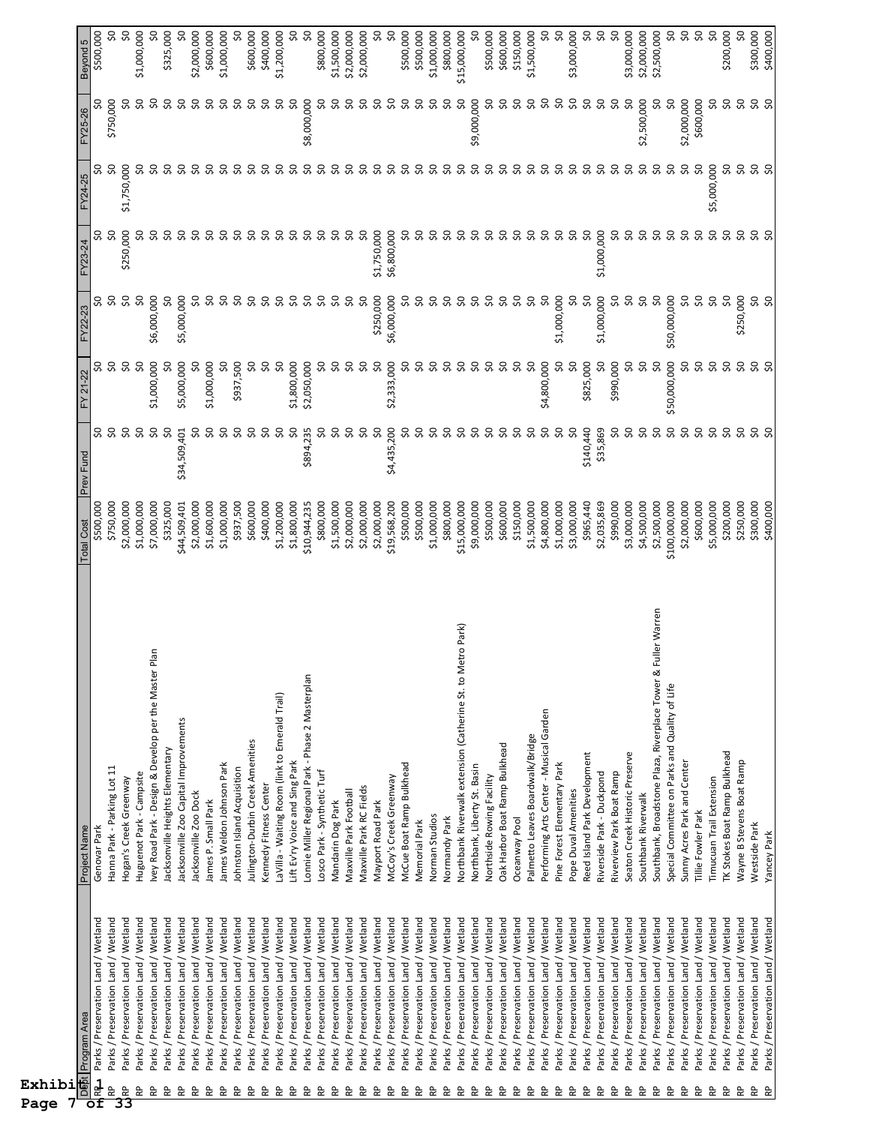| Exhibi<br>Page                 |                                                                            |                                                                                 |                             |                |                                     |                         |             |                   |                    |                         |
|--------------------------------|----------------------------------------------------------------------------|---------------------------------------------------------------------------------|-----------------------------|----------------|-------------------------------------|-------------------------|-------------|-------------------|--------------------|-------------------------|
| Dept<br>B<br>оf                | Program Area                                                               | Project Name                                                                    | <b>Total Cost</b>           | Prev Fund      | FY 21-22                            | FY22-23                 | FY23-24     | FY24-25           | FY25-26            | Beyond 5                |
| $\frac{1}{\alpha}$<br>RP       | Parks / Preservation Land / Wetland<br>Parks / Preservation Land / Wetland | Hanna Park - Parking Lot 11<br>Genovar Park                                     | \$750,000<br>\$500,000      | SO             | SO,<br>50                           | Ş0<br>္တ                | ္တ          | ŞO                | \$750,000          | SO<br>\$500,000         |
| $\frac{2}{33}$                 | Parks / Preservation Land / Wetland                                        | Hogan's Creek Greenway                                                          | \$2,000,000                 | ŞŌ             | $\infty$                            | $\overline{\mathsf{S}}$ | \$250,000   | \$1,750,000       |                    | SQ                      |
| 운                              | Parks / Preservation Land / Wetland                                        | Huguenot Park - Campsite                                                        | \$1,000,000                 | Ş0             | Ş0                                  | S,                      | ℅           | SO,               | Ş0                 | \$1,000,000             |
| 운                              | Parks / Preservation Land / Wetland                                        | lan<br>Ivey Road Park - Design & Develop per the Master P                       | \$7,000,000                 | œ              | \$1,000,000                         | \$6,000,000             | င္တ         | SO,               | SO,                | S                       |
| 운                              | Parks / Preservation Land / Wetland                                        | Jacksonville Heights Elementary                                                 | \$325,000                   | SO             | ၥ                                   | SO                      | S,          | SO,               | SO,                | \$325,000               |
| 운                              | Parks / Preservation Land / Wetland                                        | lacksonville Zoo Capital Improvements                                           | \$44,509,401                | \$34,509,401   | \$5,000,000                         | \$5,000,000             | SO,         | SO,               | SO,                | SO                      |
| ٩P                             | Parks / Preservation Land / Wetland                                        | Jacksonville Zoo Dock                                                           | \$2,000,000                 | SO,            | SO,                                 | SO,                     | SO,         | SO,               | SO,                | \$2,000,000             |
| $\mathsf{R}^\mathsf{D}$        | Parks / Preservation Land / Wetland                                        | James P. Small Park                                                             | \$1,600,000                 | S              | \$1,000,000                         | SO,                     | Ş0          | SO,               | င္တ                | \$600,000               |
| 운                              | Parks / Preservation Land / Wetland                                        | James Weldon Johnson Park                                                       | \$1,000,000                 | SO,            | SO                                  | SO,                     | င္တ         | SO                | S                  | \$1,000,000             |
| $\mathsf{R}^\mathsf{D}$        | Parks / Preservation Land / Wetland                                        | Johnston Island Acquisition                                                     | \$937,500                   | SO,            | \$937,500                           | Ş0                      | S,          | S,                | ၥ                  | S                       |
| RP.                            | Parks / Preservation Land / Wetland                                        | Julington-Durbin Creek Amenities                                                | \$600,000                   | SO,            | S,                                  | SO,                     | S,          | SO,               | SO,                | \$600,000               |
| ٩P                             | Parks / Preservation Land / Wetland                                        | Kennedy Fitness Center                                                          | \$400,000                   | SO,            | SO,                                 | S,                      | SO.         | SO,               | SO,                | \$400,000               |
| $\mathsf{R}^\mathsf{p}$        | Parks / Preservation Land / Wetland                                        | LaVilla - Waiting Room (link to Emerald Trail)                                  | \$1,200,000                 | Ş0<br>SO,      | Ş0                                  | SO,                     | SO          | S                 | SO,                | \$1,200,000             |
| $\mathsf{R}^\mathsf{p}$<br>RP. | Parks / Preservation Land / Wetland<br>Parks / Preservation Land / Wetland | Lift Ev'ry Voice and Sing Park                                                  | \$10,944,235<br>\$1,800,000 | \$894,235      | \$1,800,000<br>\$2,050,000          | Ş0<br>SO,               | S<br>Ş,     | S<br>SO,          | SO,<br>\$8,000,000 | S,<br>SO                |
| $\mathsf{R}^\mathsf{D}$        | Parks / Preservation Land / Wetland                                        | Lonnie Miller Regional Park - Phase 2 Masterplan<br>Losco Park - Synthetic Turf | \$800,000                   | SO,            | SO,                                 | Ş0                      | ္တ          | SO,               | ೪                  | \$800,000               |
| RP.                            | Parks / Preservation Land / Wetland                                        | Mandarin Dog Park                                                               | \$1,500,000                 | SO,            | Ş,                                  | SO,                     | S           | SO,               | S                  | \$1,500,000             |
| $\mathsf{R}^\mathsf{D}$        | Parks / Preservation Land / Wetland                                        | Maxville Park Football                                                          | \$2,000,000                 | S              | 8                                   | SO,                     | S           | S                 | S                  | \$2,000,000             |
| $\mathsf{R}^\mathsf{D}$        | Parks / Preservation Land / Wetland                                        | Maxville Park RC Fields                                                         | \$2,000,000                 | SO,            |                                     | ŞO                      | SO,         | S                 | SO,                | \$2,000,000             |
| $\mathsf{R}^\mathsf{D}$        | Parks / Preservation Land / Wetland                                        | Mayport Road Park                                                               | \$2,000,000                 | SO,            | <b>9.0</b>                          | \$250,000               | \$1,750,000 | SO,               | S                  | SO,                     |
| $\mathsf{R}^\mathsf{D}$        | Parks / Preservation Land / Wetland                                        | McCoy's Creek Greenway                                                          | \$19,568,200                | \$4,435,200    | \$2,333,000                         | \$6,000,000             | \$6,800,000 | SO,               | င္တ                | $\overline{\mathsf{S}}$ |
| $\mathsf{R}^\mathsf{D}$        | Parks / Preservation Land / Wetland                                        | McCue Boat Ramp Bulkhead                                                        | \$500,000                   | $50^{\circ}$   | SO,                                 | SO,                     | အ           | SO,               | S                  | \$500,000               |
| $\mathsf{R}^\mathsf{D}$        | Parks / Preservation Land / Wetland                                        | Memorial Park                                                                   | \$500,000                   | SO,            | Ş,                                  | SO,                     | ္တ          | SO,               | SO.                | \$500,000               |
| $\mathsf{R}^\mathsf{D}$        | Parks / Preservation Land / Wetland                                        | Norman Studios                                                                  | \$1,000,000                 | Ş0             | Ş,                                  | Ş,                      | S           | SO,               | SO,                | \$1,000,000             |
| RP.                            | Parks / Preservation Land / Wetland                                        | Normandy Park                                                                   | \$800,000                   | Ş0             | Ş0                                  | Ş0                      | င္တ         | SO,               | SO,                | \$800,000               |
| 운                              | Parks / Preservation Land / Wetland                                        | Northbank Riverwalk extension (Catherine St. to Metro Park)                     | \$15,000,000                | SO,            | SO,                                 | SO,                     | ၥ           | SO,               | S                  | \$15,000,000            |
| $\mathsf{R}^\mathsf{p}$        | Parks / Preservation Land / Wetland                                        | Northbank, Liberty St. Basin                                                    | \$9,000,000                 | Ş,             | SO,                                 | S                       | SO.         | SO,               | \$9,000,000        | SO                      |
| $\mathsf{R}^\mathsf{D}$        | Parks / Preservation Land / Wetland                                        | Northside Rowing Facility                                                       | \$500,000                   | Ş0             | Ş,                                  | SO,                     | S           | Ş0                | ၥ                  | \$500,000               |
| RP.                            | Parks / Preservation Land / Wetland                                        | Oak Harbor Boat Ramp Bulkhead                                                   | \$600,000                   | SO,            | SO,                                 | Ş0                      | င္တ         | Ş0                | င္တ                | \$600,000               |
| RP.                            | Parks / Preservation Land / Wetland                                        | Oceanway Pool                                                                   | \$150,000                   | SO,            | SO,<br>Ş0                           | SO,                     | SO,         | SO,               | S                  | \$150,000               |
| $\mathsf{R}^\mathsf{p}$        | Parks / Preservation Land / Wetland                                        | Palmetto Leaves Boardwalk/Bridge                                                | \$1,500,000                 | Ş,<br>S,       |                                     | SO,<br>Ş0               | SO,         | SO,               | S<br>ς.            | \$1,500,000             |
| $\mathsf{R}^\mathsf{p}$<br>æ   | Parks / Preservation Land / Wetland                                        | Performing Arts Center - Musical Garden<br>Pine Forest Elementary Park          | \$4,800,000<br>\$1,000,000  | SO,            | \$4,800,000<br>SO,                  | \$1,000,000             | SO,<br>S    | SO,<br>Ş0         | SO                 | \$0<br>SO,              |
| R٩                             | Parks / Preservation Land / Wetland<br>Parks / Preservation Land / Wetland | Pope Duval Amenities                                                            | \$3,000,000                 | S              | SO,                                 | SO,                     | S           | SO,               | SO,                | \$3,000,000             |
| $\mathsf{R}^\mathsf{p}$        | Parks / Preservation Land / Wetland                                        | Reed Island Park Development                                                    | \$965,440                   | \$140,440      | \$825,000                           | Ş,                      | Ş0          | SO,               | SO.                | SO                      |
| $\mathsf{R}^\mathsf{p}$        | Parks / Preservation Land / Wetland                                        | Riverside Park - Duckpond                                                       | \$2,035,869                 | \$35,869       | SO,                                 | \$1,000,000             | \$1,000,000 | Ş,                | SO                 | Ş0                      |
| RP.                            | Parks / Preservation Land / Wetland                                        | Riverview Park Boat Ramp                                                        | \$990,000                   | S,             | \$990,000                           | S,                      | SO,         | SO,               | SO,                | $\overline{\mathsf{S}}$ |
| $\mathsf{R}^\mathsf{D}$        | Parks / Preservation Land / Wetland                                        | Seaton Creek Historic Preserve                                                  | \$3,000,000                 | SO,            | SO,                                 | SO,                     | S,          | Ş0                | SO,                | \$3,000,000             |
| $\mathsf{R}^\mathsf{p}$        | Parks / Preservation Land / Wetland                                        | Southbank Riverwalk                                                             | \$4,500,000                 | SO,            | $\infty$                            | Ş0                      | S,          | Ş,                | \$2,500,000        | \$2,000,000             |
| $\mathsf{R}^\mathsf{p}$        | Parks / Preservation Land / Wetland                                        | Southbank, Broadstone Plaza, Riverplace Tower & Fuller Warren                   | \$2,500,000                 | SO,            | SO                                  | SO                      | S.          | SO,               | ೩                  | \$2,500,000             |
| æ                              | Parks / Preservation Land / Wetland                                        | Special Committee on Parks and Quality of Life                                  | \$100,000,000               | SQ             | \$50,000,000                        | \$50,000,000            | S,          | Ş,                | SO,                | S,                      |
| $\mathsf{R}^\mathsf{D}$        | Parks / Preservation Land / Wetland                                        | Sunny Acres Park and Center                                                     | \$2,000,000                 | SO,            | SO,                                 | SO,                     | SO,         | SO,               | \$2,000,000        | 50                      |
| $\mathsf{R}^\mathsf{p}$        | Parks / Preservation Land / Wetland                                        | Tillie Fowler Park                                                              | \$600,000                   | Ş0             | 50                                  | Ş0                      | SO,         | Ş0                | \$600,000          | $\sim$                  |
| $\mathsf{R}^\mathsf{D}$<br>운   | Parks / Preservation Land / Wetland<br>Parks / Preservation Land / Wetland | TK Stokes Boat Ramp Bulkhead<br>Timucuan Trail Extension                        | \$200,000<br>\$5,000,000    | Ş0<br>$\infty$ | $\overline{\mathsf{S}}$<br>$\infty$ | SO,<br>Ş0               | SO<br>Ş0    | \$5,000,000<br>S, | Ş0<br>ၥ            | SO,<br>\$200,000        |
| 운                              | Parks / Preservation Land / Wetland                                        | Wayne B Stevens Boat Ramp                                                       | \$250,000                   | SO,            | SO,                                 | \$250,000               | Ş0          | SO,               | SO,                | SO                      |
| $\mathsf{R}^\mathsf{D}$        | Parks / Preservation Land / Wetland                                        | Westside Park                                                                   | \$300,000                   |                |                                     |                         |             |                   |                    | \$300,000               |
| <b>RP</b>                      | Parks / Preservation Land / Wetland                                        | Yancey Park                                                                     | \$400,000                   | <b>S.O</b>     | <b>SQ</b>                           | <b>S.O</b>              | S 8         | <b>S.O</b>        | <b>S.S</b>         | \$400,000               |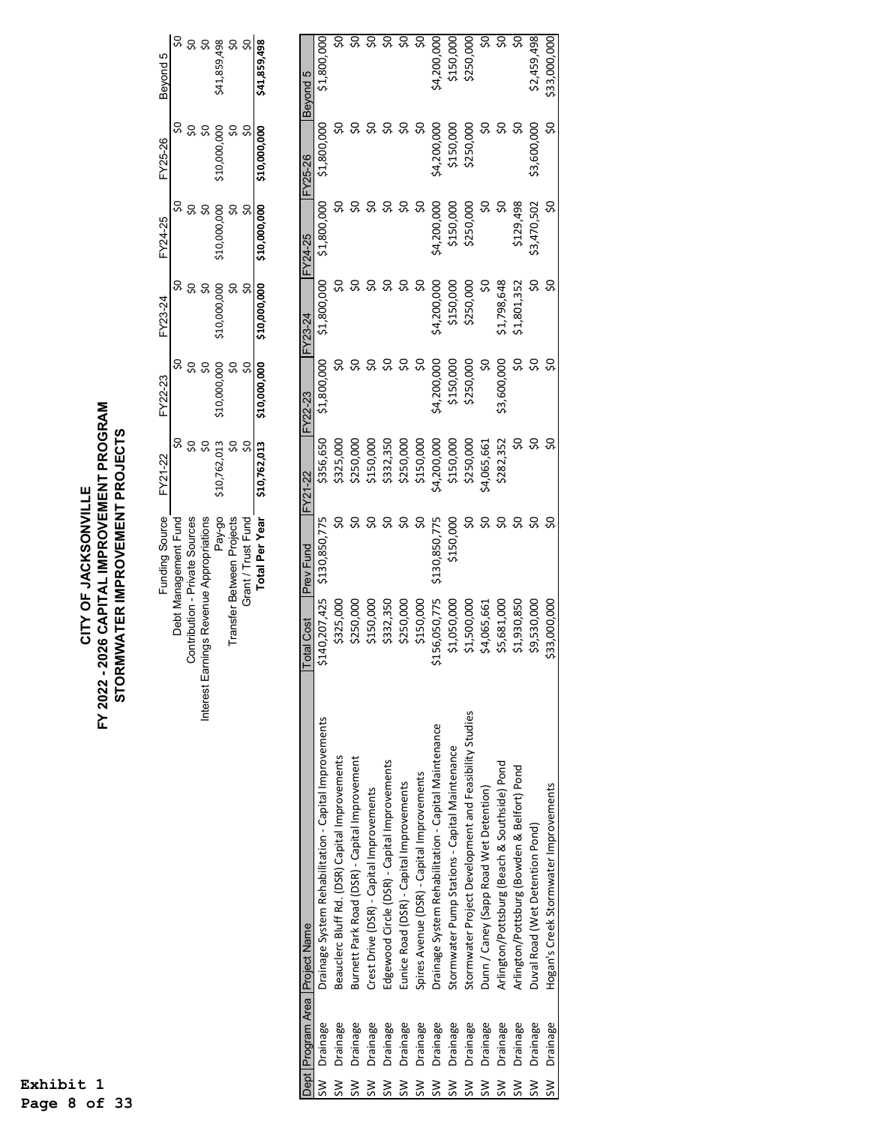## CITY OF JACKSONVILLE<br>FY 2022 - 2026 CAPITAL IMPROVEMENT PROGRAM<br>STORMWATER IMPROVEMENT PROJECTS **FY 2022 - 2026 CAPITAL IMPROVEMENT PROGRAM STORMWATER IMPROVEMENT PROJECTS CITY OF JACKSONVILLE**

|             | Funding Source FY21-22         |                             | FY22-23      | FY23-24      | FY24-25      | FY25-26      | Beyond 5       |
|-------------|--------------------------------|-----------------------------|--------------|--------------|--------------|--------------|----------------|
|             | Debt Management Fund           |                             |              |              |              |              |                |
|             | Contribution - Private Sources |                             |              |              |              |              |                |
| nterest Ear | mings Revenue Appropriations   |                             |              |              |              |              |                |
|             | Pay-go                         | \$10,762,013                | \$10,000,000 | \$10,000,000 | \$10,000,000 | \$10,000,000 | \$41,859,498   |
|             | Transfer Between Projects      |                             |              |              |              |              | ຊ              |
|             | Grant / Trust Fund             |                             |              |              |              |              |                |
|             |                                | Total Per Year \$10,762,013 | \$10,000,000 | \$10,000,000 | \$10,000,000 | \$10,000,000 | \$41,859,498   |
|             |                                |                             |              |              |              |              |                |
| <b>תמה</b>  |                                |                             |              |              |              |              | <b>Bound E</b> |

|                         |             | Dept Program Area Project Name                         | <b>Total Cost</b> | <b>Prev Fund</b> | FY21-22    | <b>FY22-23</b> | FY23-24     | FY24-25     | FY25-26     | Beyond 5     |
|-------------------------|-------------|--------------------------------------------------------|-------------------|------------------|------------|----------------|-------------|-------------|-------------|--------------|
| ≷                       | Drainage    | Drainage System Rehabilitation - Capital Improvements  | \$140,207,425     | \$130,850,775    | \$356,650  | \$1,800,000    | \$1,800,000 | \$1,800,000 | \$1,800,000 | \$1,800,000  |
| $\mathsf{S} \mathsf{W}$ | Drainage    | Beauclerc Bluff Rd. (DSR) Capital Improvements         | \$325,000         |                  | \$325,000  |                |             |             |             |              |
| $\mathsf{S}\mathsf{W}$  | Drainage    | Burnett Park Road (DSR) - Capital Improvement          | \$250,000         |                  | \$250,000  |                |             |             |             |              |
| $\frac{8}{1}$           | Drainage    | Crest Drive (DSR) - Capital Improvements               | 150,000           |                  | \$150,000  |                |             |             |             |              |
| $\mathsf{S}$            | Drainage    | Edgewood Circle (DSR) - Capital Improvements           | 332,350           |                  | \$332,350  |                |             |             |             |              |
| $\leq$                  | Drainage    | Eunice Road (DSR) - Capital Improvements               | \$250,000         |                  | \$250,000  |                |             |             |             |              |
| $rac{8}{10}$            | Drainage    | Spires Avenue (DSR) - Capital Improvements             | \$150,000         |                  | \$150,000  |                |             |             |             |              |
| $\frac{1}{2}$           | Drainage    | Drainage System Rehabilitation - Capital Maintenance   | \$156,050,775     | \$130,850,775    | j4,200,000 | \$4,200,000    | \$4,200,000 | \$4,200,000 | \$4,200,000 | \$4,200,000  |
| $\frac{8}{1}$           | Drainage    | Stormwater Pump Stations - Capital Maintenance         | \$1,050,000       | \$150,000        | \$150,000  | \$150,000      | \$150,000   | \$150,000   | \$150,000   | \$150,000    |
| $\mathsf{S}$            | Drainage    | Stormwater Project Development and Feasibility Studies | \$1,500,000       |                  | \$250,000  | \$250,000      | \$250,000   | \$250,000   | \$250,000   | \$250,000    |
| $\mathsf{S}\mathsf{W}$  | Drainage    | Dunn / Caney (Sapp Road Wet Detention)                 | \$4,065,661       |                  | 4,065,661  |                |             |             |             |              |
| $\frac{8}{10}$          | Drainage    | Arlington/Pottsburg (Beach & Southside) Pond           | \$5,681,000       |                  | \$282,352  | \$3,600,000    | 1,798,648   |             |             |              |
| $\frac{1}{2}$           | Drainage    | Arlington/Pottsburg (Bowden & Belfort) Pond            | \$1,930,850       |                  |            |                | 1,801,352   | \$129,498   |             |              |
| $\frac{1}{5}$           | Drainage    | Duval Road (Wet Detention Pond)                        | \$9,530,000       |                  |            |                |             | 33,470,502  | 53,600,000  | \$2,459,498  |
|                         | SW Drainage | Hogan's Creek Stormwater Improvements                  | \$33,000,000      |                  |            |                |             | SO          | SO          | \$33,000,000 |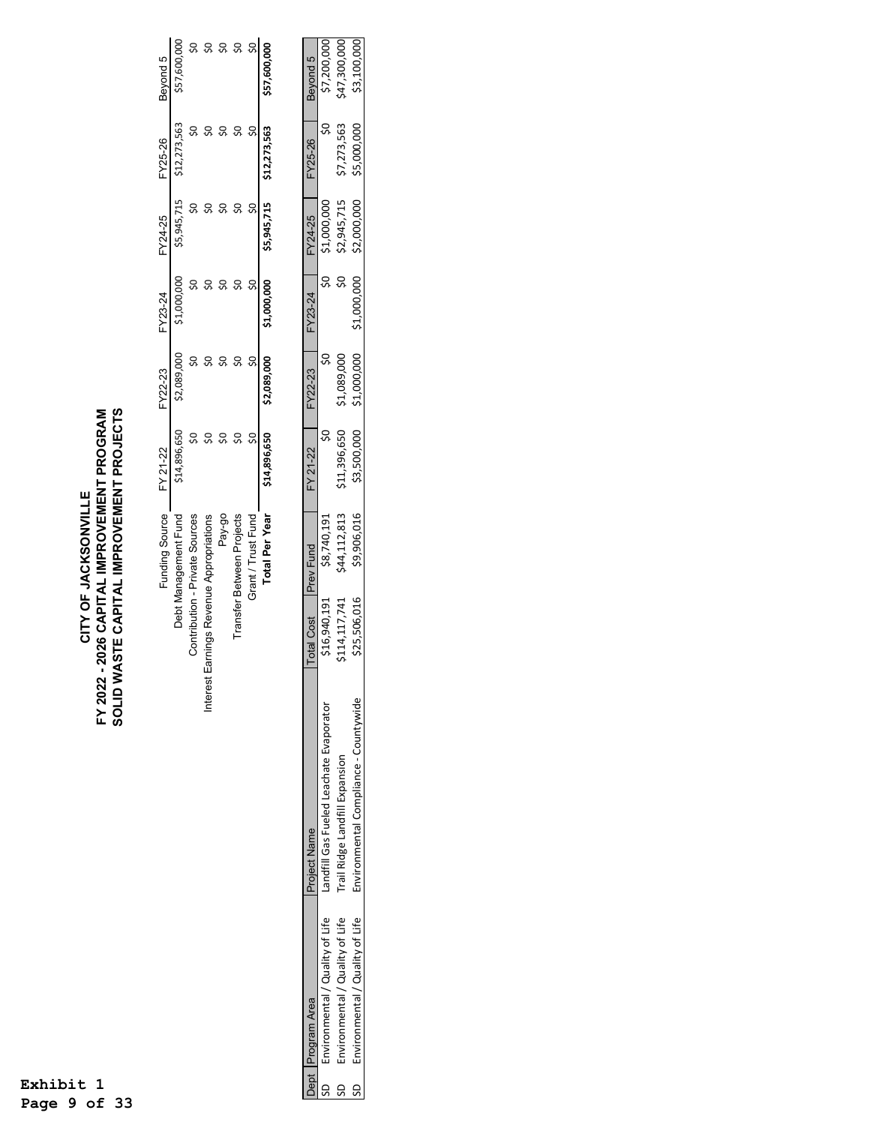## CITY OF JACKSONVILLE<br>FY 2022 - 2026 CAPITAL IMPROVEMENT PROGRAM<br>SOLID WASTE CAPITAL IMPROVEMENT PROJECTS **SOLID WASTE CAPITAL IMPROVEMENT PROJECTS FY 2022 - 2026 CAPITAL IMPROVEMENT PROGRAM CITY OF JACKSONVILLE**

| Funding Source                               | FY 21-22     | FY22-23     | FY23-24     | FY24-25     | FY25-26      | Beyond 5     |
|----------------------------------------------|--------------|-------------|-------------|-------------|--------------|--------------|
| Debt Management Fund                         | \$14,896,650 | \$2,089,000 | \$1,000,000 | \$5,945,715 | \$12,273,563 | \$57,600,000 |
| Contribution - Private Sources               |              |             |             |             |              |              |
| arnings Revenue Appropriations<br>nterest E. |              |             |             |             |              |              |
| Pay-go                                       |              |             |             |             |              |              |
| Transfer Between Projects                    |              |             |             |             |              |              |
| Grant / Trust Fund                           |              |             |             |             |              |              |
| <b>Total Per Year</b>                        | \$14,896,650 | \$2,089,000 | \$1,000,000 | \$5,945,715 | \$12,273,563 | \$57,600,000 |

|          | Dept Program Area               | Project Name                           | Total Cost P  |             | FY 21-22     | $\nabla$ Y22-23 | FY23-24               |             | FY25-26     | Bevond 5         |
|----------|---------------------------------|----------------------------------------|---------------|-------------|--------------|-----------------|-----------------------|-------------|-------------|------------------|
|          | Environmental / Quality of Life | andfill Gas Fueled Leachate Evaporator | \$16,940,191  | \$8,740,191 |              |                 |                       | 1,000,00    |             | בד המח מר        |
| <u>ვ</u> | Invironmental / Quality of Life | Trail Ridge Landfill Expansion         | \$114,117,741 | 44,112,813  | \$11,396,650 | \$1,089,00      |                       | \$2,945,715 | \$7,273,563 | \$47,300,000     |
| G        | invironmental / Quality of Life | invironmental Compliance - Countywide  | \$25,506,016  | \$9,906,016 | \$3,500,000  | \$1,000,000     | יי ההה ההר $\epsilon$ | \$2,000,000 | \$5,000,000 | <b>C3 100 DD</b> |
|          |                                 |                                        |               |             |              |                 |                       |             |             |                  |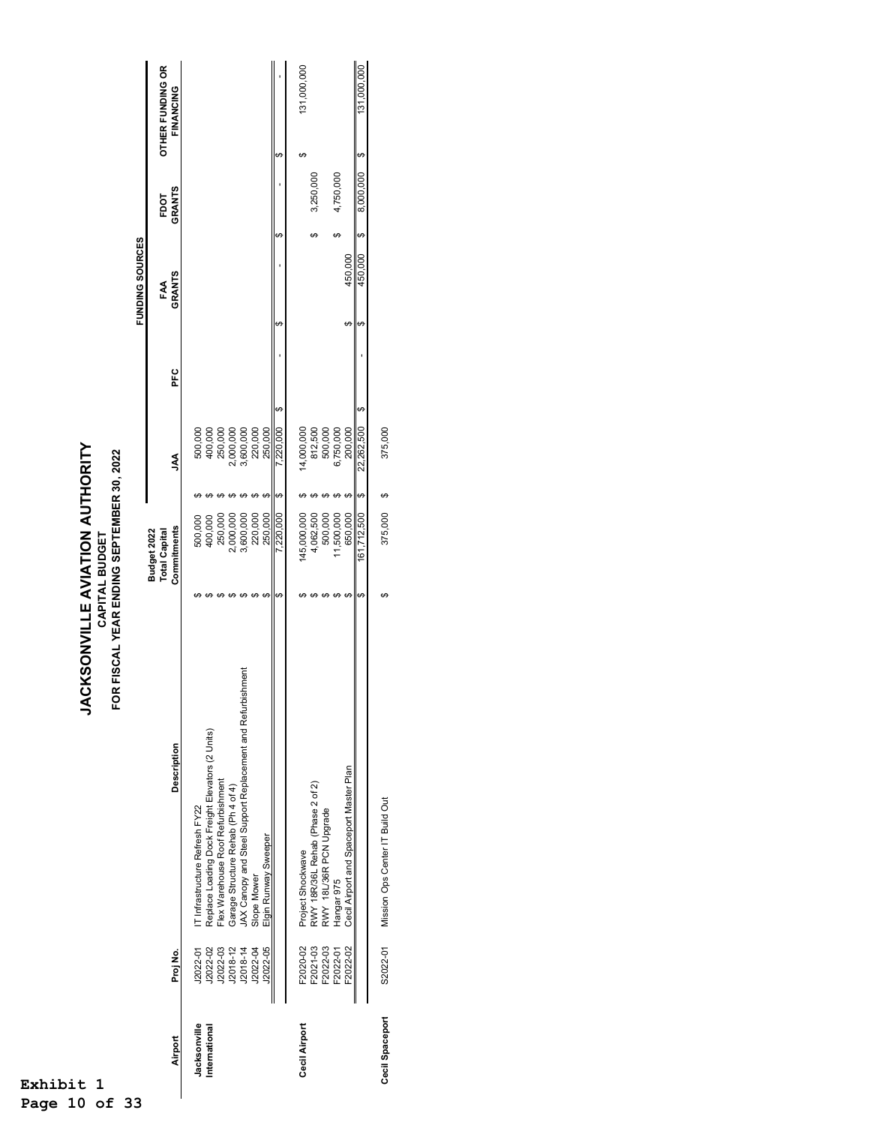**JACKSONVILLE AVIATION AUTHORITY<br>CAPITAL BUDGET<br>FOR FISCAL YEAR ENDING SEPTEMBER 30, 2022 JACKSONVILLE AVIATION AUTHORITY FOR FISCAL YEAR ENDING SEPTEMBER 30, 2022 CAPITAL BUDGET**

|                 |          |                                                                                                  |    |                                     |    |                               |     |   | FUNDING SOURCES |               |   |                  |
|-----------------|----------|--------------------------------------------------------------------------------------------------|----|-------------------------------------|----|-------------------------------|-----|---|-----------------|---------------|---|------------------|
|                 |          |                                                                                                  |    | <b>Total Capital</b><br>Budget 2022 |    |                               |     |   | FAA             | FDOT          |   | OTHER FUNDING OR |
| Airport         | Proj No. | <b>Description</b>                                                                               |    | Commitments                         |    | Ş                             | PEC |   | <b>GRANTS</b>   | <b>GRANTS</b> |   | FINANCING        |
| Jacksonville    | 12022-01 | T Infrastructure Refresh FY22                                                                    |    |                                     |    |                               |     |   |                 |               |   |                  |
| International   | J2022-02 | Replace Loading Dock Freight Elevators (2 Units)                                                 |    | 500,000<br>400,000                  |    |                               |     |   |                 |               |   |                  |
|                 | J2022-03 | Flex Warehouse Roof Refurbishment                                                                |    | 250,000                             |    | 500,000<br>400,000<br>250,000 |     |   |                 |               |   |                  |
|                 | J2018-12 | Garage Structure Rehab (Ph 4 of 4)<br>JAX Canopy and Steel Support Replacement and Refurbishment |    | ,000,000                            |    | ,000,000                      |     |   |                 |               |   |                  |
|                 | J2018-14 |                                                                                                  |    | 3,600,000                           |    | 3,600,000                     |     |   |                 |               |   |                  |
|                 | J2022-04 |                                                                                                  |    | 220,000                             |    | 220,000                       |     |   |                 |               |   |                  |
|                 | J2022-05 | Slope Mower<br>Elgin Runway Sweeper                                                              |    | 250,000                             | ↮  | 250,00C                       |     |   |                 |               |   |                  |
|                 |          |                                                                                                  | မာ | 220,000                             | ↔  | ↮<br>7,220,000                |     | ↔ | မာ              |               | ↮ |                  |
| Cecil Airport   | F2020-02 | Project Shockwave                                                                                |    | 145,000,000                         |    | 14,000,000                    |     |   |                 |               | ఱ | 131,000,000      |
|                 | F2021-03 |                                                                                                  |    | 4,062,500                           |    |                               |     |   |                 | 3,250,000     |   |                  |
|                 | F2022-03 | RWY 18R/36L Rehab (Phase 2 of 2)<br>RWY 18L/36R PCN Upgrade                                      |    | 500,000                             |    | 812,500<br>500,000            |     |   |                 |               |   |                  |
|                 | F2022-01 | Hangar 975                                                                                       |    | 11,500,000                          |    | 6,750,000                     |     |   | ↮               | 4,750,000     |   |                  |
|                 | F2022-02 | Cecil Airport and Spaceport Master Plan                                                          |    | 650.000                             | ₩  | 200,000                       |     |   | 450.000         |               |   |                  |
|                 |          |                                                                                                  | ↔  | 161,712,500                         | ↔  | ↮<br>22,262,500               |     | ↮ | ↔<br>450,000    | 8,000,000     | ↮ | 131,000,000      |
| Cecil Spaceport | S2022-01 | Mission Ops Center IT Build Out                                                                  | ↔  | 375,000                             | မာ | 375,000                       |     |   |                 |               |   |                  |
|                 |          |                                                                                                  |    |                                     |    |                               |     |   |                 |               |   |                  |
|                 |          |                                                                                                  |    |                                     |    |                               |     |   |                 |               |   |                  |

**Exhibit 1 Page 10 of 33**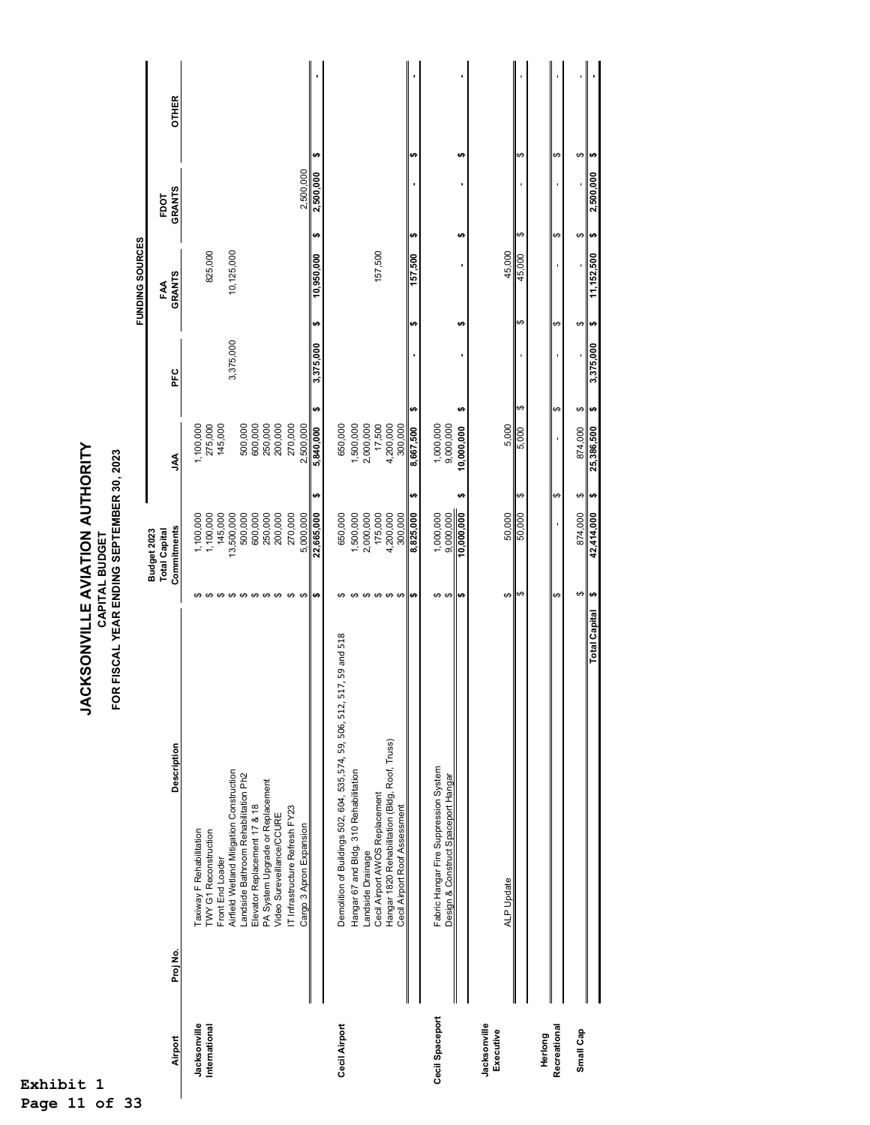| FDOT<br>↮<br>tA<br>H)<br>↮<br>မှ မှ<br>€,<br>10,125,000<br>157,500<br>825,000<br>45,000<br>157,500<br>10,950,000<br>45,000<br>٠<br><b>GRANTS</b><br>FAA<br>↮<br>÷<br>↮<br>မားမြာ<br>49<br>٠A<br>3,375,000<br>3,375,000<br>PFC<br>↮<br>မှာ မှာ<br>tA)<br>H)<br>H)<br>↮<br>275,000<br>145,000<br>500,000<br>600,000<br>250,000<br>200,000<br>270,000<br>2,500,000<br>650,000<br>1,500,000<br>2,000,000<br>17,500<br>4,200,000<br>1,000,000<br>9,000,000<br>1,100,000<br>300,000<br>5,000<br>5,840,000<br>8,667,500<br>5,000<br>874,000<br>25,386,500<br>10,000,000<br>Ş<br>tA,<br>H)<br>$\boldsymbol{\varphi}$<br>↮<br>မှာ မှာ<br>$\frac{1,000,000}{000,000}$<br>175,000<br>$\frac{874,000}{42,414,000}$<br>145,000<br>13,500,000<br>500,000<br>600,000<br>250,000<br>200,000<br>270,000<br>22,665,000<br>650,000<br>,500,000<br>2,000,000<br>4,200,000<br>300,000<br>8,825,000<br>50,000<br>1,100,000<br>5,000,000<br>1,100,000<br>Commitments<br><b>Total Capital</b><br>Budget 2023<br>$\leftrightarrow$<br>$\theta$<br>↮<br>$\boldsymbol{\varphi}$<br>$\theta$ $\theta$<br>မှာ မှာ<br>$\boldsymbol{\varphi}$<br>↔<br>မာ မာ<br>∣⇔<br>↮<br>$\theta$<br>↮<br>↔<br>မာ<br>↮<br>↮<br><b>SA</b><br>Demolition of Buildings 502, 604, 535, 574, 59, 506, 512, 517, 59 and 518<br>Hangar 1820 Rehabilitation (Bldg, Roof, Truss)<br>Description<br>Fabric Hangar Fire Suppression System<br>Airfield Wetland Mitigation Construction<br>Hangar 67 and Bldg. 310 Rehabilitation<br>Landside Bathroom Rehabilitation Ph2<br>Design & Construct Spaceport Hangar<br>PA System Upgrade or Replacement<br>Cecil Airport AWOS Replacement<br>Elevator Replacement 17 & 18<br>IT Infrastructure Refresh FY23<br>Cecil Airport Roof Assessment<br>Video Sureveillance/CCURE<br>Cargo 3 Apron Expansion<br>Taxiway F Rehabilitation<br>TWY G1 Reconstruction<br>Landside Drainage<br>Front End Loader<br><b>ALP Update</b><br>Proj No.<br>Cecil Spaceport<br>Cecil Airport<br>Jacksonville<br>Jacksonville<br>Recreational<br>International<br>Small Cap<br>Executive<br>Herlong<br>Airport |  |                      |   |  |           | FUNDING SOURCES |               |                        |
|-----------------------------------------------------------------------------------------------------------------------------------------------------------------------------------------------------------------------------------------------------------------------------------------------------------------------------------------------------------------------------------------------------------------------------------------------------------------------------------------------------------------------------------------------------------------------------------------------------------------------------------------------------------------------------------------------------------------------------------------------------------------------------------------------------------------------------------------------------------------------------------------------------------------------------------------------------------------------------------------------------------------------------------------------------------------------------------------------------------------------------------------------------------------------------------------------------------------------------------------------------------------------------------------------------------------------------------------------------------------------------------------------------------------------------------------------------------------------------------------------------------------------------------------------------------------------------------------------------------------------------------------------------------------------------------------------------------------------------------------------------------------------------------------------------------------------------------------------------------------------------------------------------------------------------------------------------------------------------------------------------------------------------------------------------------------------------|--|----------------------|---|--|-----------|-----------------|---------------|------------------------|
|                                                                                                                                                                                                                                                                                                                                                                                                                                                                                                                                                                                                                                                                                                                                                                                                                                                                                                                                                                                                                                                                                                                                                                                                                                                                                                                                                                                                                                                                                                                                                                                                                                                                                                                                                                                                                                                                                                                                                                                                                                                                             |  |                      |   |  |           |                 |               |                        |
|                                                                                                                                                                                                                                                                                                                                                                                                                                                                                                                                                                                                                                                                                                                                                                                                                                                                                                                                                                                                                                                                                                                                                                                                                                                                                                                                                                                                                                                                                                                                                                                                                                                                                                                                                                                                                                                                                                                                                                                                                                                                             |  |                      |   |  |           |                 | <b>GRANTS</b> | <b>OTHER</b>           |
|                                                                                                                                                                                                                                                                                                                                                                                                                                                                                                                                                                                                                                                                                                                                                                                                                                                                                                                                                                                                                                                                                                                                                                                                                                                                                                                                                                                                                                                                                                                                                                                                                                                                                                                                                                                                                                                                                                                                                                                                                                                                             |  |                      |   |  |           |                 |               |                        |
|                                                                                                                                                                                                                                                                                                                                                                                                                                                                                                                                                                                                                                                                                                                                                                                                                                                                                                                                                                                                                                                                                                                                                                                                                                                                                                                                                                                                                                                                                                                                                                                                                                                                                                                                                                                                                                                                                                                                                                                                                                                                             |  |                      |   |  |           |                 |               |                        |
|                                                                                                                                                                                                                                                                                                                                                                                                                                                                                                                                                                                                                                                                                                                                                                                                                                                                                                                                                                                                                                                                                                                                                                                                                                                                                                                                                                                                                                                                                                                                                                                                                                                                                                                                                                                                                                                                                                                                                                                                                                                                             |  |                      |   |  |           |                 |               |                        |
|                                                                                                                                                                                                                                                                                                                                                                                                                                                                                                                                                                                                                                                                                                                                                                                                                                                                                                                                                                                                                                                                                                                                                                                                                                                                                                                                                                                                                                                                                                                                                                                                                                                                                                                                                                                                                                                                                                                                                                                                                                                                             |  |                      |   |  |           |                 |               |                        |
|                                                                                                                                                                                                                                                                                                                                                                                                                                                                                                                                                                                                                                                                                                                                                                                                                                                                                                                                                                                                                                                                                                                                                                                                                                                                                                                                                                                                                                                                                                                                                                                                                                                                                                                                                                                                                                                                                                                                                                                                                                                                             |  |                      |   |  |           |                 |               |                        |
|                                                                                                                                                                                                                                                                                                                                                                                                                                                                                                                                                                                                                                                                                                                                                                                                                                                                                                                                                                                                                                                                                                                                                                                                                                                                                                                                                                                                                                                                                                                                                                                                                                                                                                                                                                                                                                                                                                                                                                                                                                                                             |  |                      |   |  |           |                 |               |                        |
|                                                                                                                                                                                                                                                                                                                                                                                                                                                                                                                                                                                                                                                                                                                                                                                                                                                                                                                                                                                                                                                                                                                                                                                                                                                                                                                                                                                                                                                                                                                                                                                                                                                                                                                                                                                                                                                                                                                                                                                                                                                                             |  |                      |   |  |           |                 |               |                        |
|                                                                                                                                                                                                                                                                                                                                                                                                                                                                                                                                                                                                                                                                                                                                                                                                                                                                                                                                                                                                                                                                                                                                                                                                                                                                                                                                                                                                                                                                                                                                                                                                                                                                                                                                                                                                                                                                                                                                                                                                                                                                             |  |                      |   |  |           |                 |               |                        |
|                                                                                                                                                                                                                                                                                                                                                                                                                                                                                                                                                                                                                                                                                                                                                                                                                                                                                                                                                                                                                                                                                                                                                                                                                                                                                                                                                                                                                                                                                                                                                                                                                                                                                                                                                                                                                                                                                                                                                                                                                                                                             |  |                      |   |  |           |                 |               |                        |
|                                                                                                                                                                                                                                                                                                                                                                                                                                                                                                                                                                                                                                                                                                                                                                                                                                                                                                                                                                                                                                                                                                                                                                                                                                                                                                                                                                                                                                                                                                                                                                                                                                                                                                                                                                                                                                                                                                                                                                                                                                                                             |  |                      |   |  |           |                 | 2,500,000     |                        |
|                                                                                                                                                                                                                                                                                                                                                                                                                                                                                                                                                                                                                                                                                                                                                                                                                                                                                                                                                                                                                                                                                                                                                                                                                                                                                                                                                                                                                                                                                                                                                                                                                                                                                                                                                                                                                                                                                                                                                                                                                                                                             |  |                      |   |  |           |                 | 2,500,000     | ₩                      |
|                                                                                                                                                                                                                                                                                                                                                                                                                                                                                                                                                                                                                                                                                                                                                                                                                                                                                                                                                                                                                                                                                                                                                                                                                                                                                                                                                                                                                                                                                                                                                                                                                                                                                                                                                                                                                                                                                                                                                                                                                                                                             |  |                      |   |  |           |                 |               |                        |
|                                                                                                                                                                                                                                                                                                                                                                                                                                                                                                                                                                                                                                                                                                                                                                                                                                                                                                                                                                                                                                                                                                                                                                                                                                                                                                                                                                                                                                                                                                                                                                                                                                                                                                                                                                                                                                                                                                                                                                                                                                                                             |  |                      |   |  |           |                 |               |                        |
|                                                                                                                                                                                                                                                                                                                                                                                                                                                                                                                                                                                                                                                                                                                                                                                                                                                                                                                                                                                                                                                                                                                                                                                                                                                                                                                                                                                                                                                                                                                                                                                                                                                                                                                                                                                                                                                                                                                                                                                                                                                                             |  |                      |   |  |           |                 |               |                        |
|                                                                                                                                                                                                                                                                                                                                                                                                                                                                                                                                                                                                                                                                                                                                                                                                                                                                                                                                                                                                                                                                                                                                                                                                                                                                                                                                                                                                                                                                                                                                                                                                                                                                                                                                                                                                                                                                                                                                                                                                                                                                             |  |                      |   |  |           |                 |               |                        |
|                                                                                                                                                                                                                                                                                                                                                                                                                                                                                                                                                                                                                                                                                                                                                                                                                                                                                                                                                                                                                                                                                                                                                                                                                                                                                                                                                                                                                                                                                                                                                                                                                                                                                                                                                                                                                                                                                                                                                                                                                                                                             |  |                      |   |  |           |                 |               |                        |
|                                                                                                                                                                                                                                                                                                                                                                                                                                                                                                                                                                                                                                                                                                                                                                                                                                                                                                                                                                                                                                                                                                                                                                                                                                                                                                                                                                                                                                                                                                                                                                                                                                                                                                                                                                                                                                                                                                                                                                                                                                                                             |  |                      |   |  |           |                 |               |                        |
|                                                                                                                                                                                                                                                                                                                                                                                                                                                                                                                                                                                                                                                                                                                                                                                                                                                                                                                                                                                                                                                                                                                                                                                                                                                                                                                                                                                                                                                                                                                                                                                                                                                                                                                                                                                                                                                                                                                                                                                                                                                                             |  |                      |   |  |           |                 |               | H)                     |
|                                                                                                                                                                                                                                                                                                                                                                                                                                                                                                                                                                                                                                                                                                                                                                                                                                                                                                                                                                                                                                                                                                                                                                                                                                                                                                                                                                                                                                                                                                                                                                                                                                                                                                                                                                                                                                                                                                                                                                                                                                                                             |  |                      |   |  |           |                 |               |                        |
|                                                                                                                                                                                                                                                                                                                                                                                                                                                                                                                                                                                                                                                                                                                                                                                                                                                                                                                                                                                                                                                                                                                                                                                                                                                                                                                                                                                                                                                                                                                                                                                                                                                                                                                                                                                                                                                                                                                                                                                                                                                                             |  |                      |   |  |           |                 |               |                        |
|                                                                                                                                                                                                                                                                                                                                                                                                                                                                                                                                                                                                                                                                                                                                                                                                                                                                                                                                                                                                                                                                                                                                                                                                                                                                                                                                                                                                                                                                                                                                                                                                                                                                                                                                                                                                                                                                                                                                                                                                                                                                             |  |                      |   |  |           |                 | ٠             | ÷                      |
|                                                                                                                                                                                                                                                                                                                                                                                                                                                                                                                                                                                                                                                                                                                                                                                                                                                                                                                                                                                                                                                                                                                                                                                                                                                                                                                                                                                                                                                                                                                                                                                                                                                                                                                                                                                                                                                                                                                                                                                                                                                                             |  |                      |   |  |           |                 |               |                        |
|                                                                                                                                                                                                                                                                                                                                                                                                                                                                                                                                                                                                                                                                                                                                                                                                                                                                                                                                                                                                                                                                                                                                                                                                                                                                                                                                                                                                                                                                                                                                                                                                                                                                                                                                                                                                                                                                                                                                                                                                                                                                             |  |                      |   |  |           |                 |               |                        |
|                                                                                                                                                                                                                                                                                                                                                                                                                                                                                                                                                                                                                                                                                                                                                                                                                                                                                                                                                                                                                                                                                                                                                                                                                                                                                                                                                                                                                                                                                                                                                                                                                                                                                                                                                                                                                                                                                                                                                                                                                                                                             |  |                      |   |  |           |                 |               | $\boldsymbol{\varphi}$ |
|                                                                                                                                                                                                                                                                                                                                                                                                                                                                                                                                                                                                                                                                                                                                                                                                                                                                                                                                                                                                                                                                                                                                                                                                                                                                                                                                                                                                                                                                                                                                                                                                                                                                                                                                                                                                                                                                                                                                                                                                                                                                             |  |                      |   |  |           |                 |               |                        |
|                                                                                                                                                                                                                                                                                                                                                                                                                                                                                                                                                                                                                                                                                                                                                                                                                                                                                                                                                                                                                                                                                                                                                                                                                                                                                                                                                                                                                                                                                                                                                                                                                                                                                                                                                                                                                                                                                                                                                                                                                                                                             |  |                      |   |  |           |                 |               | ↮                      |
|                                                                                                                                                                                                                                                                                                                                                                                                                                                                                                                                                                                                                                                                                                                                                                                                                                                                                                                                                                                                                                                                                                                                                                                                                                                                                                                                                                                                                                                                                                                                                                                                                                                                                                                                                                                                                                                                                                                                                                                                                                                                             |  |                      |   |  |           |                 |               |                        |
|                                                                                                                                                                                                                                                                                                                                                                                                                                                                                                                                                                                                                                                                                                                                                                                                                                                                                                                                                                                                                                                                                                                                                                                                                                                                                                                                                                                                                                                                                                                                                                                                                                                                                                                                                                                                                                                                                                                                                                                                                                                                             |  | <b>Total Capital</b> | ↮ |  | 3,375,000 | 11,152,500      | 2,500,000     | မားမြာ                 |

**JACKSONVILLE AVIATION AUTHORITY**<br>CAPITAL BUDGET **JACKSONVILLE AVIATION AUTHORITY CAPITAL BUDGET**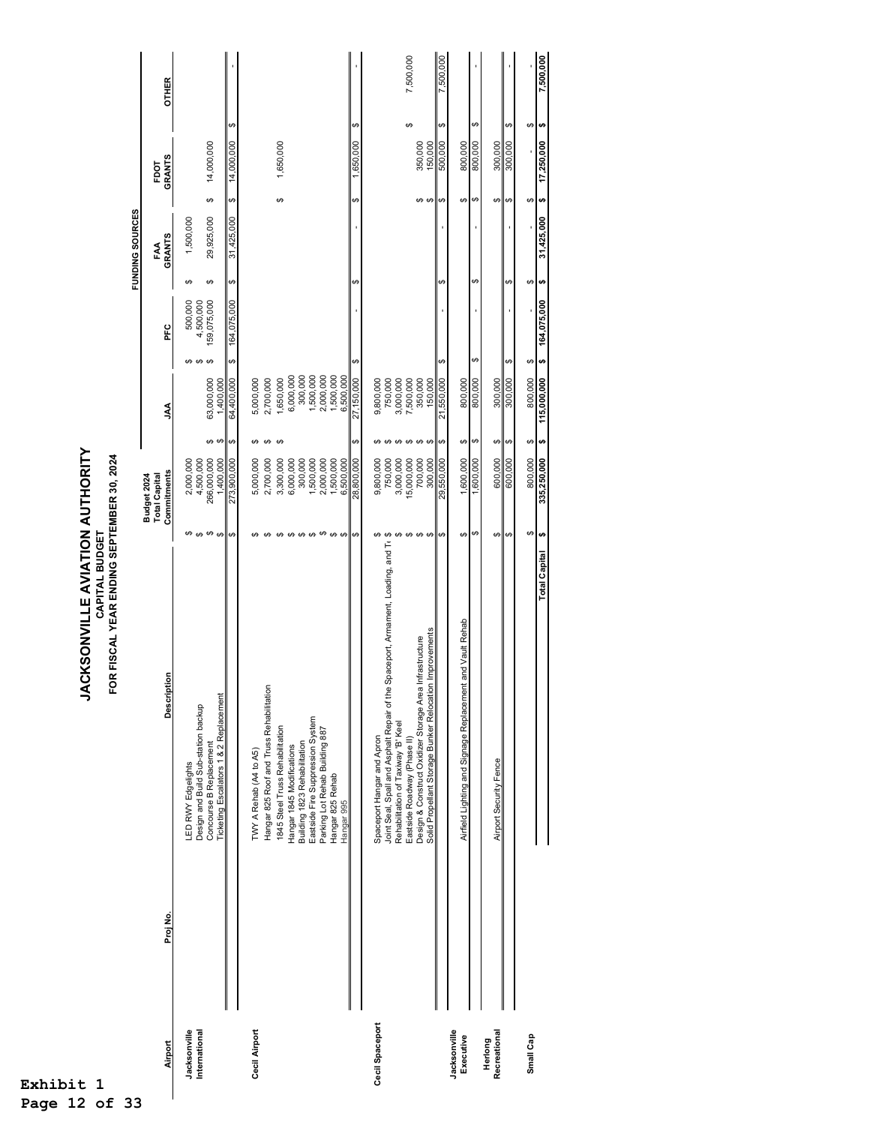| t                         |          | <b>ACKSONVILLE AVIATION AUTHORITY</b>                                               |                                                  |               |                         |                                                         |                     |            |                                   |    |              |
|---------------------------|----------|-------------------------------------------------------------------------------------|--------------------------------------------------|---------------|-------------------------|---------------------------------------------------------|---------------------|------------|-----------------------------------|----|--------------|
| $\mathbf 1$               |          | OR FISCAL YEAR ENDING SEPTEMBER 30, 2024<br>CAPITAL BUDGET                          |                                                  |               |                         |                                                         |                     |            |                                   |    |              |
|                           |          |                                                                                     |                                                  |               |                         |                                                         | FUNDING SOURCES     |            |                                   |    |              |
| Airport                   | Proj No. | Description                                                                         | Commitments<br>Budget 2024<br>Total Capital      |               | Š                       | PFC                                                     | <b>GRANTS</b><br>ĘĄ |            | <b>GRANTS</b><br>FDOT             |    | <b>OTHER</b> |
| Jacksonville              |          | LED RWY Edgelights                                                                  | 2,000,000<br>↮                                   |               |                         | 500,000<br>↮                                            | ↮                   | 1,500,000  |                                   |    |              |
| International             |          | Design and Build Sub-station backup<br>Concourse B Replacement                      | 266,000,000<br>4,500,000<br>$\theta$<br>$\Theta$ | കക            | 63,000,000              | 159,075,000<br>4,500,000<br>↮<br>$\boldsymbol{\varphi}$ | ↮                   | 29,925,000 | 14,000,000<br>↮                   |    |              |
|                           |          | Ticketing Escalators 1 & 2 Replacement                                              | 1,400,000<br>273,900,000<br>↮                    | $\Theta$      | 1,400,000<br>64,400,000 | 164,075,000<br>မာ                                       | ↮                   | 31,425,000 | 14,000,000<br>↮                   | ↮  |              |
| Cecil Airport             |          | TWY A Rehab (A4 to A5)                                                              | 5,000,000<br>ŧθ,                                 | ↮             | 5,000,000               |                                                         |                     |            |                                   |    |              |
|                           |          | Hangar 825 Roof and Truss Rehabilitation                                            | 2,700,000<br>↮                                   | ↮             | 2,700,000               |                                                         |                     |            |                                   |    |              |
|                           |          | 1845 Steel Truss Rehabilitation                                                     | 3,300,000<br>↮                                   | ↔             | 1,650,000               |                                                         |                     |            | 1,650,000<br>↮                    |    |              |
|                           |          | Hangar 1845 Modifications                                                           | 6,000,000<br>$\theta$                            |               | 6,000,000               |                                                         |                     |            |                                   |    |              |
|                           |          | Eastside Fire Suppression System<br>Building 1823 Rehabilitation                    | 300,000<br>1,500,000<br>↮                        |               | 300,000<br>1,500,000    |                                                         |                     |            |                                   |    |              |
|                           |          | Parking Lot Rehab Building 887                                                      | 2,000,000<br>↮                                   |               | 2,000,000               |                                                         |                     |            |                                   |    |              |
|                           |          | Hangar 825 Rehab                                                                    | 1,500,000<br>$\boldsymbol{\varphi}$              |               | 1,500,000               |                                                         |                     |            |                                   |    |              |
|                           |          | Hangar 995                                                                          | 6,500,000<br>↔                                   |               | 6,500,000               |                                                         |                     |            |                                   |    |              |
|                           |          |                                                                                     | 28,800,000<br>↔                                  | ↮             | 27,150,000              | ↮                                                       | G,                  |            | 1,650,000<br>↮                    | ↔  |              |
| Cecil Spaceport           |          | Spaceport Hangar and Apron                                                          | 9,800,000                                        |               | 9,800,000               |                                                         |                     |            |                                   |    |              |
|                           |          | Joint Seal, Spall and Asphalt Repair of the Spaceport, Armament, Loading, and Ti \$ | 750,000                                          | $\epsilon$ A  | 750,000                 |                                                         |                     |            |                                   |    |              |
|                           |          | Rehabilitation of Taxiway 'B' Keel<br>Eastside Roadway (Phase II)                   | 3,000,000<br>$\pmb{\leftrightarrow}$             |               | 3,000,000<br>7,500,000  |                                                         |                     |            |                                   |    |              |
|                           |          | Design & Construct Oxidizer Storage Area Infrastructure                             | 15,000,000<br>700,000<br>$\Theta$<br>$\Theta$    | ↮<br>$\Theta$ | 350,000                 |                                                         |                     |            | 350,000                           | ↮  | 7,500,000    |
|                           |          | Solid Propellant Storage Bunker Relocation Improvements                             | 300,000                                          | €             |                         |                                                         |                     |            | မာ မာ                             |    |              |
|                           |          |                                                                                     | 29,550,000                                       |               | 150,000                 |                                                         |                     |            | 150,000<br>$\boldsymbol{\varphi}$ | G, | 7,500,000    |
| Jacksonville<br>Executive |          | Airfield Lighting and Signage Replacement and Vault Rehab                           | 1,600,000<br>↮                                   | ↮             |                         |                                                         |                     |            | 800,000<br>↮                      |    |              |
|                           |          |                                                                                     | 1,600,000<br>↮                                   | ↔             | 800,000                 | ↮                                                       | ↮                   |            | 800,000<br>↮                      | ↮  |              |
| Recreational<br>Herlong   |          | Airport Security Fence                                                              | 600,000<br>↮                                     | ↮             | 300,000                 |                                                         |                     |            | 300,000<br>↮                      |    |              |
|                           |          |                                                                                     | 600,000                                          | ఱ             | 300,000                 |                                                         | မာ                  |            | 300,000<br>↮                      |    |              |
| Small Cap                 |          |                                                                                     | 800,000<br>G,                                    | ↮             | 115,000,000             | ↔                                                       | ↮                   |            | ↮                                 | ↮  |              |
|                           |          | <b>Total Capital</b>                                                                | 335,250,000<br>H                                 | ÷             |                         | 164,075,000<br>H                                        | ₩                   | 31,425,000 | 17,250,000<br>₩                   | ₩  | 7,500,000    |

**Exhibit 1** 

**Page 12 of 33**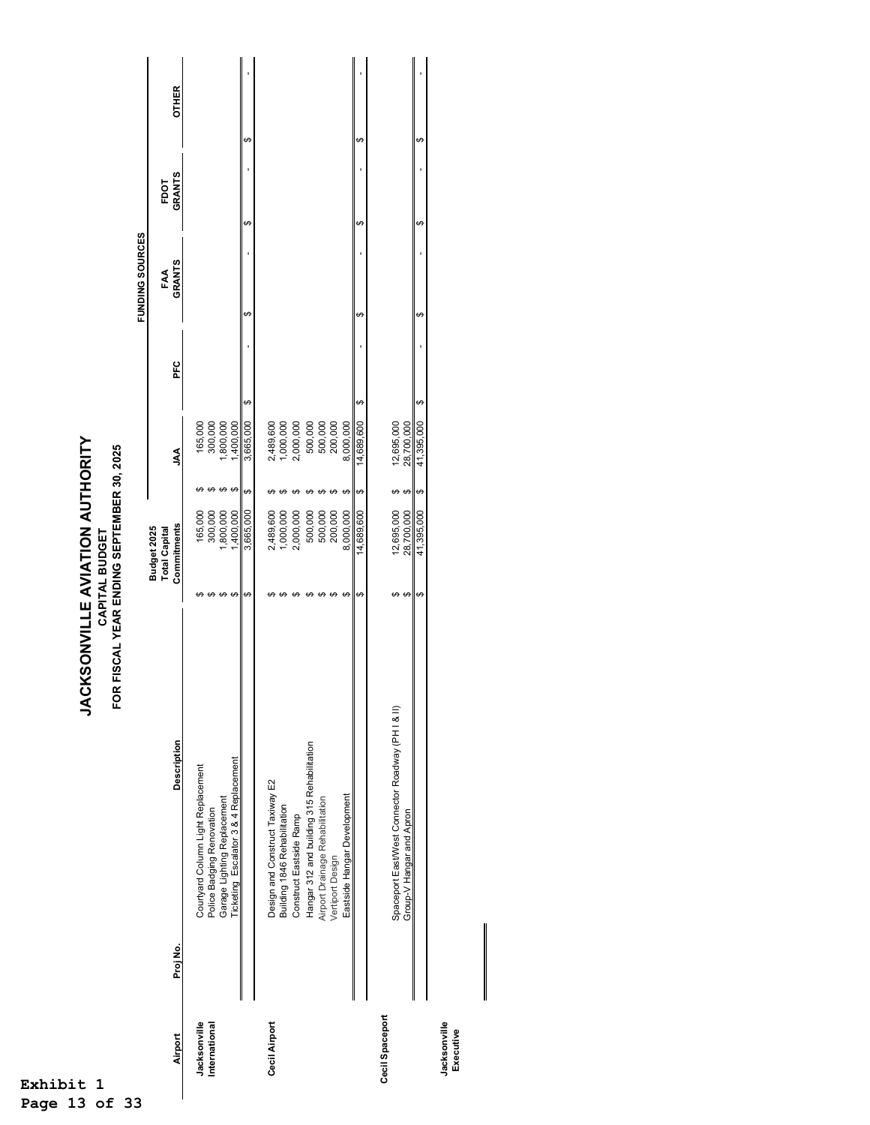| 1<br>t          |          | FOR                                                                           | <b>JACKSONVILLE AVIATION AUTHORITY</b><br>FISCAL YEAR ENDING SEPTEMBER 30, 2025<br>CAPITAL BUDGET |                                     |       |                          |     |    |                 |   |               |              |
|-----------------|----------|-------------------------------------------------------------------------------|---------------------------------------------------------------------------------------------------|-------------------------------------|-------|--------------------------|-----|----|-----------------|---|---------------|--------------|
|                 |          |                                                                               |                                                                                                   |                                     |       |                          |     |    | FUNDING SOURCES |   |               |              |
|                 |          |                                                                               |                                                                                                   | Budget 2025<br><b>Total Capital</b> |       |                          |     |    | FAA             |   | FDOT          |              |
| Airport         | Proj No. | <b>Description</b>                                                            |                                                                                                   | Commitments                         |       | ΥVΓ                      | PFC |    | <b>GRANTS</b>   |   | <b>GRANTS</b> | <b>OTHER</b> |
| Jacksonville    |          | Courtyard Column Light Replacement                                            | ക                                                                                                 | 165,000                             |       | 165,000                  |     |    |                 |   |               |              |
| International   |          | Police Badging Renovation                                                     |                                                                                                   | 300,000                             |       | 300,000                  |     |    |                 |   |               |              |
|                 |          | Garage Lighting Replacement                                                   | ↔                                                                                                 | ,800,000                            | ↮     | ,800,000                 |     |    |                 |   |               |              |
|                 |          | Ticketing Escalator 3 & 4 Replacement                                         | ↔                                                                                                 | ,400,000                            | ↔     | 1,400,000                |     |    |                 |   |               |              |
|                 |          |                                                                               | ↔                                                                                                 | 3,665,000                           | ↔     | 3,665,000                | ↔   | ↔  |                 | ↮ |               | ↮            |
| Cecil Airport   |          | Design and Construct Taxiway E2                                               |                                                                                                   | 2,489,600                           |       |                          |     |    |                 |   |               |              |
|                 |          | Building 1846 Rehabilitation                                                  |                                                                                                   | 1,000,000                           |       | 2,489,600<br>1,000,000   |     |    |                 |   |               |              |
|                 |          | Construct Eastside Ramp                                                       | ⊬                                                                                                 | 2,000,000                           |       | 2,000,000                |     |    |                 |   |               |              |
|                 |          | Hangar 312 and building 315 Rehabilitation                                    |                                                                                                   | 500,000                             |       | 500,000                  |     |    |                 |   |               |              |
|                 |          | Airport Drainage Rehabilitation                                               | Θ                                                                                                 | 500,000                             |       | 500,000                  |     |    |                 |   |               |              |
|                 |          | Vertiport Design                                                              |                                                                                                   | 200,000                             |       | 200,000                  |     |    |                 |   |               |              |
|                 |          | Eastside Hangar Development                                                   | ↮                                                                                                 | 8,000,000                           | ↮     | 8,000,000                |     |    |                 |   |               |              |
|                 |          |                                                                               | ŧθ                                                                                                | 14,689,600                          | မာ    | 14,689,600               | မာ  | မာ |                 | ↮ |               | မာ           |
| Cecil Spaceport |          |                                                                               |                                                                                                   |                                     |       |                          |     |    |                 |   |               |              |
|                 |          | Spaceport East/Vest Connector Roadway (PH I & II)<br>Group-V Hangar and Apron | $\theta$<br>↮                                                                                     | 12,695,000<br>28,700,000            | မာ မာ | 12,695,000<br>28,700,000 |     |    |                 |   |               |              |
|                 |          |                                                                               | ↮                                                                                                 | 41,395,000                          | ↮     | 41,395,000               | ↮   | ↮  |                 | ↮ |               | ↮            |
| larksonville    |          |                                                                               |                                                                                                   |                                     |       |                          |     |    |                 |   |               |              |

Jacksonville<br>Executive **Jacksonville Executive** 

**Exhibit 1 Page 13 of 33**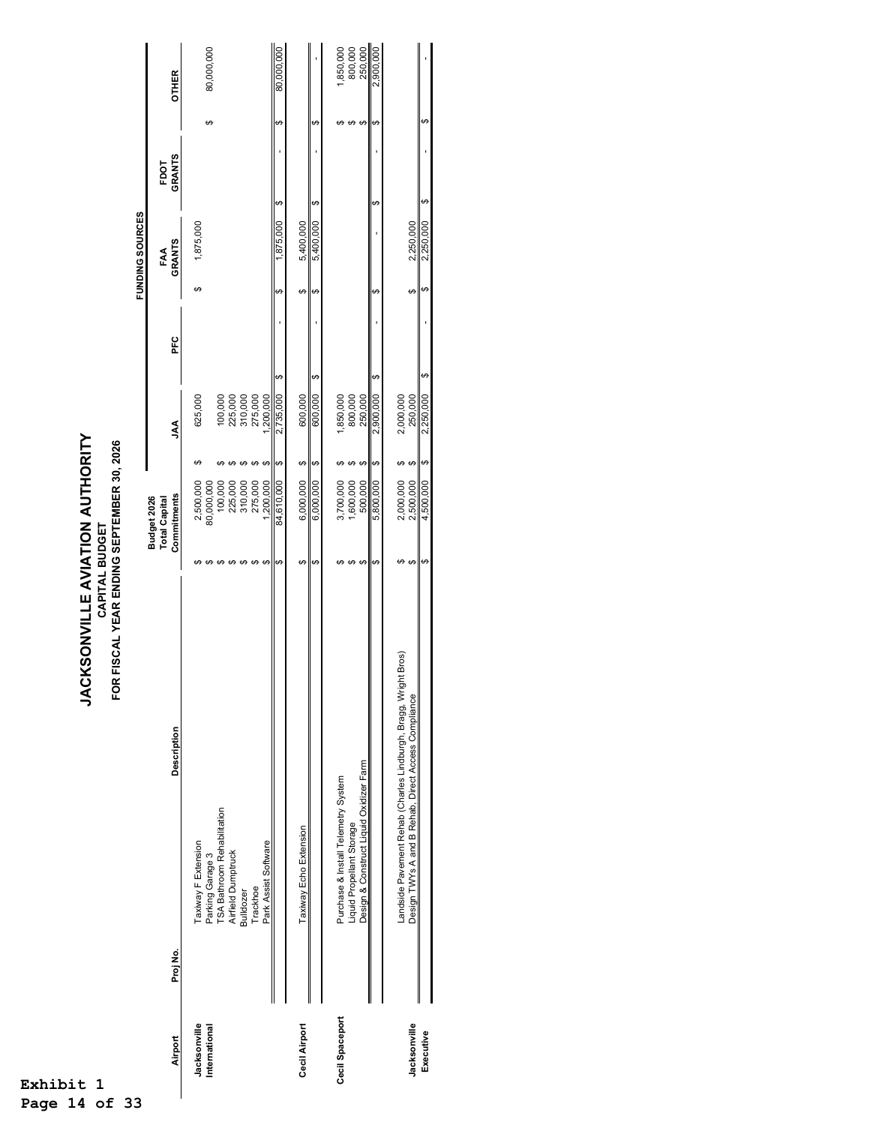**JACKSONVILLE AVIATION AUTHORITY<br>CAPITAL BUDGET<br>FOR FISCAL YEAR ENDING SEPTEMBER 30, 2026 JACKSONVILLE AVIATION AUTHORITY FOR FISCAL YEAR ENDING SEPTEMBER 30, 2026 CAPITAL BUDGET**

|                 |          |                                                                    |                   |                                     |   |                                     |     |   | <b>FUNDING SOURCES</b> |   |               |   |              |
|-----------------|----------|--------------------------------------------------------------------|-------------------|-------------------------------------|---|-------------------------------------|-----|---|------------------------|---|---------------|---|--------------|
|                 |          |                                                                    |                   | <b>Total Capital</b><br>Budget 2026 |   |                                     |     |   | FAA                    |   | FDOT          |   |              |
| Airport         | Proj No. | <b>Description</b>                                                 |                   | Commitments                         |   | УV                                  | PFC |   | <b>GRANTS</b>          |   | <b>GRANTS</b> |   | <b>OTHER</b> |
| Jacksonville    |          | Taxiway F Extension                                                |                   | 2,500,000                           |   | 625,000                             |     | ↔ | 1,875,000              |   |               |   |              |
|                 |          |                                                                    |                   |                                     |   |                                     |     |   |                        |   |               |   |              |
| International   |          | Parking Garage 3                                                   |                   | 80,000,000                          |   |                                     |     |   |                        |   |               | ↮ | 80,000,000   |
|                 |          | <b>TSA Bathroom Rehabilitation</b>                                 |                   | 100,000                             |   |                                     |     |   |                        |   |               |   |              |
|                 |          | <b>Airfield Dumptruck</b>                                          |                   | 225,000                             |   | 100,000<br>225,000                  |     |   |                        |   |               |   |              |
|                 |          | <b>Bulldozer</b>                                                   |                   | 310,000                             |   |                                     |     |   |                        |   |               |   |              |
|                 |          | Trackhoe                                                           | ⊬                 | 275,000                             |   | 310,000<br>275,000                  |     |   |                        |   |               |   |              |
|                 |          | Park Assist Software                                               | ↮                 | ,200,000                            |   | ,200,000                            |     |   |                        |   |               |   |              |
|                 |          |                                                                    | ↔                 | 84,610,000                          | ↔ | $\boldsymbol{\varphi}$<br>2,735,000 |     | ↔ | 1,875,000              | ↮ |               | ↮ | 80,000,000   |
| Cecil Airport   |          | Taxiway Echo Extension                                             | ↮                 | 6,000,000                           | ↮ | 600,000                             |     | ↮ | 5,400,000              |   |               |   |              |
|                 |          |                                                                    | ↮                 | 6,000,000                           | ↮ | ↮<br>600,000                        |     | ↔ | 5,400,000              | ↮ |               | ↮ |              |
| Cecil Spaceport |          | Purchase & Install Telemetry System                                | ఱ                 | 3,700,000                           |   |                                     |     |   |                        |   |               |   | ,850,000     |
|                 |          | Liquid Propellant Storage                                          | $\Theta$          | 1,600,000                           |   | 1,850,000<br>800,000                |     |   |                        |   |               | ↮ | 800,000      |
|                 |          | Design & Construct Liquid Oxidizer Farm                            | ↔                 | 500,000                             | ↮ | 250,000                             |     |   |                        |   |               | ↔ | 250,000      |
|                 |          |                                                                    | ↔                 | 5,800,000                           | ↔ | ↔<br>2,900,000                      |     | ↮ |                        | ↮ |               | ↔ | 2,900,000    |
|                 |          | Bros)<br>Landside Pavement Rehab (Charles Lindburgh, Bragg, Wright | မာ                | 2,000,000                           |   | 2,000,000                           |     |   |                        |   |               |   |              |
| Jacksonville    |          | Design TWYs A and B Rehab, Direct Access Compliance                | $\leftrightarrow$ | 2,500,000                           | ↔ | 250,000                             |     | ↔ | 2,250,000              |   |               |   |              |
| Executive       |          |                                                                    | ↮                 | 4,500,000                           | ↔ | ↔<br>2,250,000                      |     | ↔ | 2,250,000              | ↮ |               | ↮ |              |
|                 |          |                                                                    |                   |                                     |   |                                     |     |   |                        |   |               |   |              |
|                 |          |                                                                    |                   |                                     |   |                                     |     |   |                        |   |               |   |              |

**Exhibit 1 Page 14 of 33**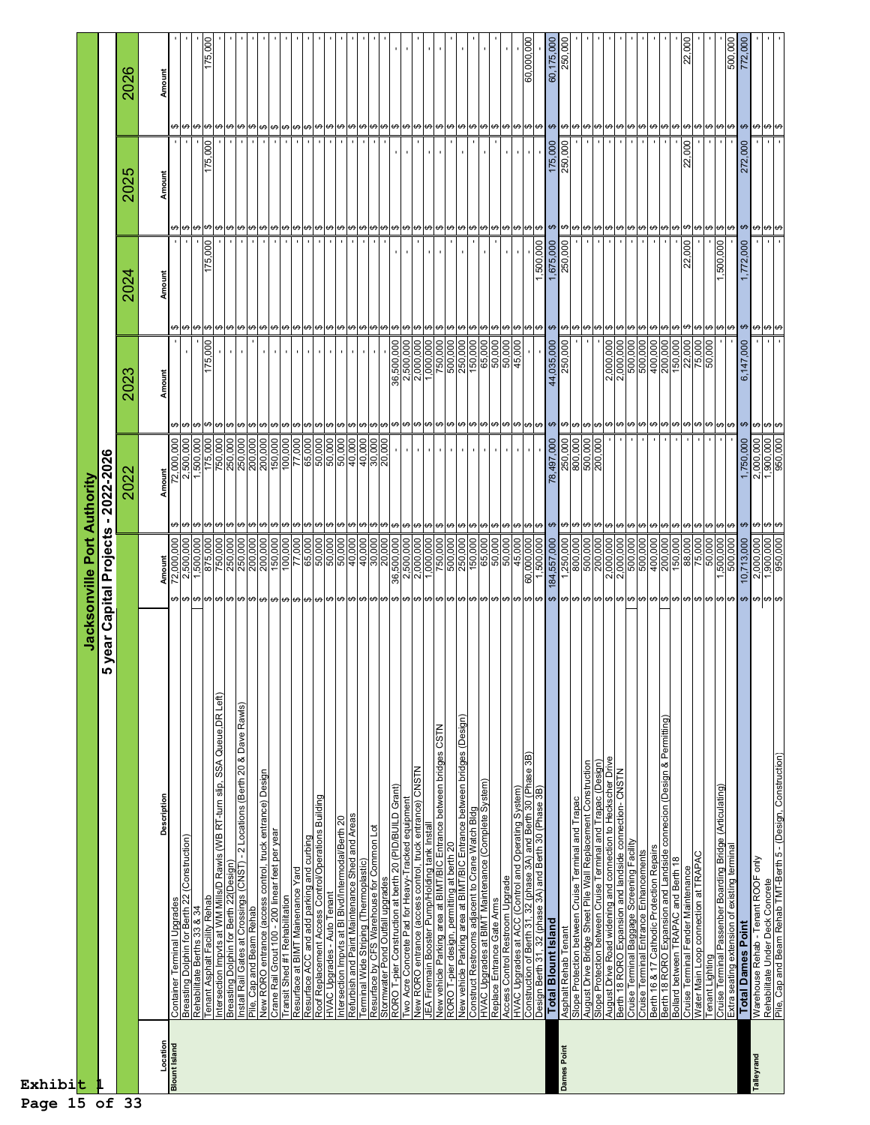| Exhibit<br>Page 15 of 33 |                                                                                                                              |                                                                                                                                                       |                                                                                                                                          |                                                                     |                                                  |             |                  |
|--------------------------|------------------------------------------------------------------------------------------------------------------------------|-------------------------------------------------------------------------------------------------------------------------------------------------------|------------------------------------------------------------------------------------------------------------------------------------------|---------------------------------------------------------------------|--------------------------------------------------|-------------|------------------|
|                          |                                                                                                                              |                                                                                                                                                       | Jacksonville Port Authority                                                                                                              |                                                                     |                                                  |             |                  |
|                          | rear<br>➤                                                                                                                    | <b>Capital Projects</b>                                                                                                                               | $-2022 - 2026$                                                                                                                           |                                                                     |                                                  |             |                  |
|                          |                                                                                                                              |                                                                                                                                                       | 202)                                                                                                                                     | 2023                                                                | 2024                                             | 2025        | 2026             |
| Location                 | Description                                                                                                                  |                                                                                                                                                       |                                                                                                                                          | Amount                                                              | Amount                                           | Amoun       | Amount           |
| <b>Blount Island</b>     | Container Terminal Upgrades                                                                                                  | Amount<br>72,000,000<br>2,500,000                                                                                                                     | Amount<br>72,000,000<br>2,500,000                                                                                                        |                                                                     |                                                  |             |                  |
|                          | Breasting Dolphin for Berth 22 (Construction)                                                                                |                                                                                                                                                       | မှ မှ မ                                                                                                                                  |                                                                     |                                                  |             |                  |
|                          | Rehabilitate Berths 33 & 34                                                                                                  | 1,500,000<br>မျမျမျမျမျမျမျမျမျမျမျမျမျမျမ                                                                                                            | 1,500,000<br>↮                                                                                                                           | 175,000<br>မာမြာမျာ                                                 | 000                                              |             | 175,000          |
|                          | Intersection Impvts at WM Mills/D Rawls (WB RT-turn slip, SSA Queue, DR Left)<br><b>Tenant Asphalt Facility Rehab</b>        | 750,000                                                                                                                                               | 750,000<br>175,000                                                                                                                       |                                                                     | 175,                                             | 175,000     |                  |
|                          |                                                                                                                              |                                                                                                                                                       | မှ မျ                                                                                                                                    |                                                                     |                                                  |             |                  |
|                          | - 2 Locations (Berth 20 & Dave Rawls)<br>Breasting Dolphin for Berth 22(Design)<br>Install Rail Gates at Crossings (CNST)    | 250,000<br>250,000<br>200,000                                                                                                                         | 250,000<br>250,000<br>200,000                                                                                                            | <b>မာ</b> မြာမြာ                                                    |                                                  |             |                  |
|                          | Pile, Cap and Beam Rehab                                                                                                     |                                                                                                                                                       | ↮                                                                                                                                        |                                                                     |                                                  |             |                  |
|                          | New RORO entrance (access control, truck entrance) Design<br>Crane Rail Grout 100 - 200 linear feet per year                 | 150,000<br>200,000                                                                                                                                    | 150,000<br>200,000<br>မာမြာ                                                                                                              |                                                                     |                                                  |             |                  |
|                          | Transit Shed #1 Rehabilitation                                                                                               |                                                                                                                                                       |                                                                                                                                          | မှ မှ မှ                                                            |                                                  |             |                  |
|                          | Resurface at BIMT Mainenance Yard                                                                                            |                                                                                                                                                       | မာမာ                                                                                                                                     | မာမာ                                                                |                                                  |             |                  |
|                          | Resurface ACC and add parking and curbing<br>Roof Replacement Access Control/Operations Building                             |                                                                                                                                                       |                                                                                                                                          |                                                                     |                                                  |             |                  |
|                          | HVAC Upgrades - Auto Tenant                                                                                                  | $\begin{array}{ l l l } \hline 100,000 \\ \hline 17,000 \\ \hline 65,000 \\ \hline 50,000 \\ \hline 90,000 \\ \hline 90,000 \\ \hline \end{array}$    | $\begin{array}{ l l l l } \hline 100,000 \\ \hline 77,000 \\ \hline 65,000 \\ \hline 50,000 \\ \hline 50,000 \\ \hline \end{array}$<br>↮ | $\mathbf{r}$<br>↮                                                   |                                                  |             |                  |
|                          | Intersection Impvts at BI Blvd/Intermodal/Berth 20                                                                           |                                                                                                                                                       | 50,000<br>မာမာ                                                                                                                           | $\mathbf{I}$<br>မာ မာ                                               |                                                  |             |                  |
|                          | Refurbish and Paint Maintenance Shed and Areas                                                                               |                                                                                                                                                       | 40,000<br>မာမြာ                                                                                                                          |                                                                     |                                                  |             |                  |
|                          | Terminal Wide Striping (Thermoplastic)<br>Resurface by CFS Warehouse for Common Lot                                          | $\frac{1}{6}$<br>$\frac{1}{6}$<br>$\frac{1}{6}$<br>$\frac{1}{6}$<br>$\frac{1}{6}$<br>$\frac{1}{6}$<br>$\frac{1}{6}$<br>$\frac{1}{6}$<br>$\frac{1}{6}$ | 40,000                                                                                                                                   |                                                                     |                                                  |             |                  |
|                          | Stormwater Pond Outfall upgrades                                                                                             |                                                                                                                                                       | 800<br>30,20                                                                                                                             |                                                                     |                                                  |             |                  |
|                          | RORO T-pier Construction at berth 20 (PID/BUILD Grant)                                                                       |                                                                                                                                                       | <b>မာ</b> မြာမြာ                                                                                                                         |                                                                     |                                                  |             |                  |
|                          | wo Acre Concrete Pad for Heavy-Tracked equipment                                                                             | 36,500,000                                                                                                                                            |                                                                                                                                          | $\begin{array}{r} 36,500,000 \\ 2,500,000 \\ 2,000,000 \end{array}$ |                                                  |             |                  |
|                          | New RORO entrance (access control, truck entrance) CNSTN                                                                     | 2,000,000                                                                                                                                             | ↮                                                                                                                                        |                                                                     | မာမြာ                                            |             |                  |
|                          | New vehicle Parking area at BIMT/BIC Entrance between bridges CSTN<br>JEA Firemain Booster Pump/Holding tank Install         | 1,000,000<br>750,000                                                                                                                                  | $\boldsymbol{\varphi}$<br>↮                                                                                                              | 1,000,000<br>750,000                                                | $\blacksquare$                                   |             |                  |
|                          |                                                                                                                              |                                                                                                                                                       |                                                                                                                                          |                                                                     |                                                  |             |                  |
|                          | RORO T-pier design, permitting at berth 20<br>New vehide Parking area at BIMT/BIC Entrance between bridges (Design)          | $\begin{array}{r}\n 500,000 \\  \hline\n 250,000 \\  \hline\n 150,000 \\  \hline\n 65,000\n \end{array}$                                              | မာမြာ                                                                                                                                    | 000,005<br>000,009                                                  |                                                  |             |                  |
|                          | Construct Restrooms adjacent to Crane Watch Bldg<br>HVAC Upgrades at BIMT Maintenance (Complete System)                      |                                                                                                                                                       | မာမြာ                                                                                                                                    | 150,000                                                             |                                                  |             |                  |
|                          | Replace Entrance Gate Arms                                                                                                   |                                                                                                                                                       | ↮                                                                                                                                        | 65,000                                                              |                                                  |             |                  |
|                          | Access Control Restroom Upgrade                                                                                              | $\frac{50,000}{50,000}$                                                                                                                               | ↮                                                                                                                                        | $\frac{50,000}{50,000}$                                             |                                                  |             |                  |
|                          | HVAC Upgrades at ACC (Control and Operating System)                                                                          | 45,000                                                                                                                                                | ↮                                                                                                                                        | 45,000                                                              |                                                  |             |                  |
|                          | Construction of Berth 31, 32 (phase 3A) and Berth 30 (Phase 3B)<br>Design Berth 31, 32 (phase 3A) and Berth 30 (Phase 3B)    | $\frac{60,000,000}{1,500,000}$                                                                                                                        | မာမာ                                                                                                                                     | <u> မျမမမြမမြများ မျမမြမမြမမြမမြမမြမမြ</u>                          | 500,000<br>မျမျမျမျ မျ <mark>မျမျမျမျမ</mark> ျမ |             | 60,000,000       |
|                          | <b>Total Blount Island</b>                                                                                                   | 184,557,000                                                                                                                                           | 78,497,000                                                                                                                               | 44,035,000                                                          | 1,675,000                                        | 175,000     | 60,175,000       |
| Dames Point              | Asphalt Rehab Tenan                                                                                                          | 000'008                                                                                                                                               | 250,000<br>800,000<br>500,000<br>မှ မျ                                                                                                   | 250,000<br><u> များများများများများများများများများမ</u>            | 000<br>250,                                      | 000<br>250, | 000<br>250       |
|                          | Slope Protection between Cruise Terminal and Trapac                                                                          |                                                                                                                                                       |                                                                                                                                          |                                                                     |                                                  |             |                  |
|                          | Slope Protection between Cruise Terminal and Trapac (Design)<br>August Drive Bridge Sheet Pile Wall Replacement Construction | 500,000<br>200,000                                                                                                                                    | ↮<br>↮                                                                                                                                   |                                                                     |                                                  |             |                  |
|                          |                                                                                                                              |                                                                                                                                                       |                                                                                                                                          | 2,000,000                                                           |                                                  |             |                  |
|                          | August Drive Road widening and connection to Heckscher Drive<br>Berth 18 RORO Expansion and landside connection- CNSTN       | $\frac{2,000,000}{2,000,000}$                                                                                                                         | မာမာ                                                                                                                                     | 2,000,000                                                           |                                                  |             |                  |
|                          | Cruise Terminal Baggage Screening Facility<br>Cruise Terminal Entrance Enhancements                                          | 500,000                                                                                                                                               | မာမာ                                                                                                                                     |                                                                     | မာမြာ                                            |             |                  |
|                          |                                                                                                                              |                                                                                                                                                       |                                                                                                                                          | 500,000                                                             |                                                  |             |                  |
|                          | Berth 18 RORO Expansion and Landside connecion (Design & Permitting)<br>Berth 16 & 17 Cathodic Protection Repairs            | 200,000<br>400,000                                                                                                                                    | ↮<br>↮                                                                                                                                   | 200,000                                                             | ↮                                                |             |                  |
|                          | Bollard between TRAPAC and Berth 18                                                                                          |                                                                                                                                                       | $\Theta$                                                                                                                                 | 150,000                                                             | မာမြာ                                            |             |                  |
|                          | Cruise Terminal Fender Maintenance                                                                                           |                                                                                                                                                       |                                                                                                                                          |                                                                     | 000<br>ର୍                                        | 000<br>22,  | 000<br>ଧି        |
|                          | Water Main Loop connection at TRAPAC                                                                                         | $\begin{array}{ l l l } \hline &180,000\ \hline &80,000\ \hline &75,000\ \hline &1,500,000\ \hline \end{array}$                                       | <u> မျမျမျမ</u>                                                                                                                          | 22,000<br>75,000<br>50,000                                          | မာမြာများ                                        |             |                  |
|                          | Cruise Terminal Passenber Boarding Bridge (Articulating)<br><b>Tenant Lighting</b>                                           |                                                                                                                                                       |                                                                                                                                          |                                                                     | 1,500,000                                        |             |                  |
|                          | Extra seating extension of existing terminal                                                                                 | 500,000                                                                                                                                               |                                                                                                                                          |                                                                     |                                                  |             | 500,000          |
|                          | <b>Total Dames Point</b>                                                                                                     | 10,713,000                                                                                                                                            | 1,750,000<br>မာ မြာ                                                                                                                      | 6,147,000<br>မာ မြာ                                                 | 000<br>↮                                         | 272,000     | 772,000          |
| Talleyrand               | Warehouse Rehab - Tenant ROOF only<br>Rehabilitate Under Deck Concrete                                                       | 2,000,000                                                                                                                                             | 2,000,000                                                                                                                                |                                                                     | ↮                                                | မှာ မှာ မ   |                  |
|                          | Pile, Cap and Beam Rehab TMT-Berth 5 - (Design, Construction)                                                                | $\frac{1,900,000}{950,000}$                                                                                                                           | $\frac{1,900,000}{950,000}$<br>မာမြာ                                                                                                     | မာမြာ                                                               | မှာ မှာ                                          |             | <b>မာ</b> မြေကြေ |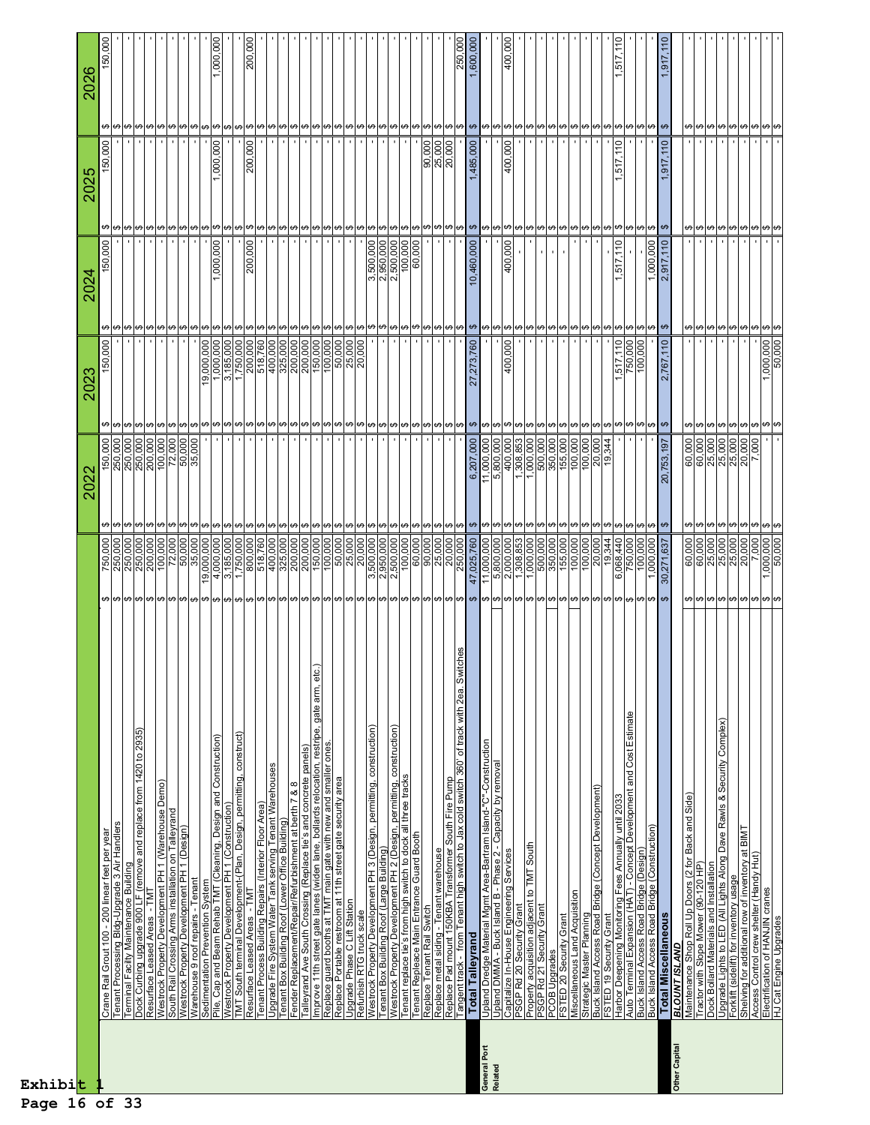| $\begin{array}{r}\n 100,000 \\  \hline\n 72,000 \\  \hline\n 50,000 \\  \hline\n 35,000\n \end{array}$<br>250,000<br>250,000<br>250,000<br>200,000<br>6,207,000<br>11,000,000<br>5,800,000<br>400,000<br>1,308,853<br>1,000,000<br>500,000<br>0001000<br>0001000<br>0001000<br>0001008<br>$\frac{8}{2}$<br>150,000<br>344<br>20,<br><u>ته</u><br>202<br>$\pmb{\leftrightarrow}$<br>မျမျမျမျမျမျမျမျမျမျမျမျမျမျမ<br>မျမျမျမျမျမျမျမျမျမျမျ<br>မာမြာမြာမြာမြာ<br>မာမြာ<br><u> မ မမ မ</u><br>မာမာ<br>မာမြာ<br>မာမာ<br>$\begin{array}{r l} 200,000 \ \hline 150,000 \ \hline 100,000 \ \hline 50,000 \ \hline 25,000 \ \hline \end{array}$<br>$\begin{array}{ l}100,000\overline{12,000}\\ \hline 72,000\\ \hline 50,000\\ \hline 35,000\\ \hline \end{array}$<br>4,000,000<br>800,000<br>518,760<br>400,000<br>325,000<br>200,000<br>20,000<br>3,500,000<br>2,950,000<br>47,025,760<br>500,000<br>350,000<br>$\begin{array}{ l} \hline 155,000 \\ \hline 100,000 \\ \hline 20,000 \\ \hline \end{array}$<br>19,344<br>6,068,440<br>750,000<br>$\begin{array}{r}\n 250,000 \\  \hline\n 250,000 \\  \hline\n 250,000 \\  \hline\n 200,000\n \end{array}$<br>000,000<br>3,185,000<br>1,750,000<br>11,000,000<br>5,800,000<br>2,000,000<br>1,308,853<br>1,000,000<br>750,000<br>$rac{100}{100}$<br>$\frac{100}{100}$<br>19,<br>itches<br>Improve 11th street gate lanes (widen lane, bollards relocation, restripe, gate arm, eto<br>Tangent track - from Tenant high switch to Jax cold switch 360' of track with 2ea. Sw<br>Auto Terminal Expansion (HAT) - Concept Development and Cost Estimate<br>Westrock Property Development PH 3 (Design, permitting, construction)<br>Westrock Property Development PH 2 (Design, permitting, construction)<br>Dock Curbing upgrade 900 LF (remove and replace from 1420 to 2935)<br>TMT South terminal Development-(Plan, Design, permitting, construct)<br>Pile, Cap and Beam Rehab TMT (Cleaning, Design and Construction)<br><u>Upland Dredge Material Mgmt Area-Bartram Island-"C"-Construction</u><br>Upland DMMA - Buck Island B - Phase 2 - Capacity by removal<br>ones<br>Talleyrand Ave South Crossing (Replace tie's and concrete panels)<br><u>Tenant Process Building Repairs (Interior Floor Area)</u><br>Upgrade Fire System Water Tank serving Tenant Warehouses<br>Replace guard booths at TMT main gate with new and smaller<br>Replace Portable restroom at 11th street gate security area<br>Tenant replace tie's from high switch to dock all three tracks<br>Tenant Repleace Main Entrance Guard Booth<br>Replace Pad mount 150KBA Transformer South Fire Pump<br>Westrock Property Development PH 1 (Warehouse Demo)<br>Fender Replacement/Repair/Refurbishment at berth 7 & 8<br>Buck Island Access Road Bridge (Concept Development)<br>Harbor Deepening Monitoring Fees Annually until 2033<br>Westrock Property Development PH 1 (Construction)<br>South Rail Crossing Arms installation on Talleyrand<br>Tenant Box Building Roof (Lower Office Building)<br>3 Air Handlers<br>Access Road Bridge (Design)<br>Access Road Bridge (Construction)<br>Westrock Property Development PH 1 (Design)<br>Warehouse 9 roof repairs - Tenant<br>Crane Rail Grout 100 - 200 linear feet per year<br>South<br>Tenant Box Building Roof (Large Building)<br>Replace metal siding - Tenant warehouse<br>Capitalize In-House Engineering Services<br>PSGP Rd 20 Security Grant<br>Terminal Facilty Maintenance Building<br>Property acquisition adjacent to TMT<br>Sedimentation Prevention System<br>Tenant Processing Bldg-Upgrade<br>Resurface Leased Areas - TMT<br>Miscellaneous Land Acquisition<br>F<br>Upgrade Phase C Lift Station<br>PSGP Rd 21 Security Grant<br>Replace Tenant Rail Switch<br>Refurbish RTG truck scale<br>Strategic Master Planning<br>9 roof repairs<br>FSTED 19 Security Grant<br>FSTED 20 Security Grant<br>Resurface Leased Areas<br><b>Total Talleyrand</b><br>PCOB Upgrades<br>Island<br>Warehouse<br>Island<br><b>Buck</b><br><b>Buck</b><br>General Port<br>Related<br>Exhibit |  | မာမာမာ<br>မျမျမျမျမျမျမျမျမျမျမျမျ<br>မာမြာ<br>$\begin{array}{r} \underline{150,000} \\ 100,000 \\ \underline{50,000} \\ 25,000 \end{array}$<br>518,760<br>400,000<br>325,000<br>200,000<br>200,000<br>20,000<br>$\overline{000}$<br>1,000,000<br>3,185,000<br>1,750,000<br>200,000<br>,000,000<br>150,<br><u>Ф,</u><br>202 | မျမျမျမျမျမျမျမမျမမျမမျမမျမမျမမျမမျ<br>မှုမ<br>$\mathbf{I}$<br>$\overline{\phantom{a}}$<br>$\mathbf{L}$<br>150,000<br>1,000,000<br>000<br>200<br>2024 | 150,000<br>1,000,000<br><b>202</b><br>များများများများများများများ | 150,000<br>2026 |
|------------------------------------------------------------------------------------------------------------------------------------------------------------------------------------------------------------------------------------------------------------------------------------------------------------------------------------------------------------------------------------------------------------------------------------------------------------------------------------------------------------------------------------------------------------------------------------------------------------------------------------------------------------------------------------------------------------------------------------------------------------------------------------------------------------------------------------------------------------------------------------------------------------------------------------------------------------------------------------------------------------------------------------------------------------------------------------------------------------------------------------------------------------------------------------------------------------------------------------------------------------------------------------------------------------------------------------------------------------------------------------------------------------------------------------------------------------------------------------------------------------------------------------------------------------------------------------------------------------------------------------------------------------------------------------------------------------------------------------------------------------------------------------------------------------------------------------------------------------------------------------------------------------------------------------------------------------------------------------------------------------------------------------------------------------------------------------------------------------------------------------------------------------------------------------------------------------------------------------------------------------------------------------------------------------------------------------------------------------------------------------------------------------------------------------------------------------------------------------------------------------------------------------------------------------------------------------------------------------------------------------------------------------------------------------------------------------------------------------------------------------------------------------------------------------------------------------------------------------------------------------------------------------------------------------------------------------------------------------------------------------------------------------------------------------------------------------------------------------------------------------------------------------------------------------------------------------------------------------------------------------------------------------------------------------------------------------------------------------------------------------------------------------------------------------------------------------------------------------------------------------------------------------------------------------------------------------------------------------------------------------------------------------------------------------------------------------------------------------------------------------------------------------------------------------------------------------------------------------------------------------------------------------------------------------------------------------------------------------------------------------------------------------------------------------------------|--|-----------------------------------------------------------------------------------------------------------------------------------------------------------------------------------------------------------------------------------------------------------------------------------------------------------------------------|-------------------------------------------------------------------------------------------------------------------------------------------------------|--------------------------------------------------------------------|-----------------|
|                                                                                                                                                                                                                                                                                                                                                                                                                                                                                                                                                                                                                                                                                                                                                                                                                                                                                                                                                                                                                                                                                                                                                                                                                                                                                                                                                                                                                                                                                                                                                                                                                                                                                                                                                                                                                                                                                                                                                                                                                                                                                                                                                                                                                                                                                                                                                                                                                                                                                                                                                                                                                                                                                                                                                                                                                                                                                                                                                                                                                                                                                                                                                                                                                                                                                                                                                                                                                                                                                                                                                                                                                                                                                                                                                                                                                                                                                                                                                                                                                                                                        |  |                                                                                                                                                                                                                                                                                                                             |                                                                                                                                                       |                                                                    |                 |
|                                                                                                                                                                                                                                                                                                                                                                                                                                                                                                                                                                                                                                                                                                                                                                                                                                                                                                                                                                                                                                                                                                                                                                                                                                                                                                                                                                                                                                                                                                                                                                                                                                                                                                                                                                                                                                                                                                                                                                                                                                                                                                                                                                                                                                                                                                                                                                                                                                                                                                                                                                                                                                                                                                                                                                                                                                                                                                                                                                                                                                                                                                                                                                                                                                                                                                                                                                                                                                                                                                                                                                                                                                                                                                                                                                                                                                                                                                                                                                                                                                                                        |  |                                                                                                                                                                                                                                                                                                                             |                                                                                                                                                       |                                                                    |                 |
|                                                                                                                                                                                                                                                                                                                                                                                                                                                                                                                                                                                                                                                                                                                                                                                                                                                                                                                                                                                                                                                                                                                                                                                                                                                                                                                                                                                                                                                                                                                                                                                                                                                                                                                                                                                                                                                                                                                                                                                                                                                                                                                                                                                                                                                                                                                                                                                                                                                                                                                                                                                                                                                                                                                                                                                                                                                                                                                                                                                                                                                                                                                                                                                                                                                                                                                                                                                                                                                                                                                                                                                                                                                                                                                                                                                                                                                                                                                                                                                                                                                                        |  |                                                                                                                                                                                                                                                                                                                             |                                                                                                                                                       |                                                                    |                 |
|                                                                                                                                                                                                                                                                                                                                                                                                                                                                                                                                                                                                                                                                                                                                                                                                                                                                                                                                                                                                                                                                                                                                                                                                                                                                                                                                                                                                                                                                                                                                                                                                                                                                                                                                                                                                                                                                                                                                                                                                                                                                                                                                                                                                                                                                                                                                                                                                                                                                                                                                                                                                                                                                                                                                                                                                                                                                                                                                                                                                                                                                                                                                                                                                                                                                                                                                                                                                                                                                                                                                                                                                                                                                                                                                                                                                                                                                                                                                                                                                                                                                        |  |                                                                                                                                                                                                                                                                                                                             |                                                                                                                                                       |                                                                    |                 |
|                                                                                                                                                                                                                                                                                                                                                                                                                                                                                                                                                                                                                                                                                                                                                                                                                                                                                                                                                                                                                                                                                                                                                                                                                                                                                                                                                                                                                                                                                                                                                                                                                                                                                                                                                                                                                                                                                                                                                                                                                                                                                                                                                                                                                                                                                                                                                                                                                                                                                                                                                                                                                                                                                                                                                                                                                                                                                                                                                                                                                                                                                                                                                                                                                                                                                                                                                                                                                                                                                                                                                                                                                                                                                                                                                                                                                                                                                                                                                                                                                                                                        |  |                                                                                                                                                                                                                                                                                                                             |                                                                                                                                                       |                                                                    |                 |
|                                                                                                                                                                                                                                                                                                                                                                                                                                                                                                                                                                                                                                                                                                                                                                                                                                                                                                                                                                                                                                                                                                                                                                                                                                                                                                                                                                                                                                                                                                                                                                                                                                                                                                                                                                                                                                                                                                                                                                                                                                                                                                                                                                                                                                                                                                                                                                                                                                                                                                                                                                                                                                                                                                                                                                                                                                                                                                                                                                                                                                                                                                                                                                                                                                                                                                                                                                                                                                                                                                                                                                                                                                                                                                                                                                                                                                                                                                                                                                                                                                                                        |  |                                                                                                                                                                                                                                                                                                                             |                                                                                                                                                       |                                                                    |                 |
|                                                                                                                                                                                                                                                                                                                                                                                                                                                                                                                                                                                                                                                                                                                                                                                                                                                                                                                                                                                                                                                                                                                                                                                                                                                                                                                                                                                                                                                                                                                                                                                                                                                                                                                                                                                                                                                                                                                                                                                                                                                                                                                                                                                                                                                                                                                                                                                                                                                                                                                                                                                                                                                                                                                                                                                                                                                                                                                                                                                                                                                                                                                                                                                                                                                                                                                                                                                                                                                                                                                                                                                                                                                                                                                                                                                                                                                                                                                                                                                                                                                                        |  |                                                                                                                                                                                                                                                                                                                             |                                                                                                                                                       |                                                                    |                 |
|                                                                                                                                                                                                                                                                                                                                                                                                                                                                                                                                                                                                                                                                                                                                                                                                                                                                                                                                                                                                                                                                                                                                                                                                                                                                                                                                                                                                                                                                                                                                                                                                                                                                                                                                                                                                                                                                                                                                                                                                                                                                                                                                                                                                                                                                                                                                                                                                                                                                                                                                                                                                                                                                                                                                                                                                                                                                                                                                                                                                                                                                                                                                                                                                                                                                                                                                                                                                                                                                                                                                                                                                                                                                                                                                                                                                                                                                                                                                                                                                                                                                        |  |                                                                                                                                                                                                                                                                                                                             |                                                                                                                                                       |                                                                    |                 |
|                                                                                                                                                                                                                                                                                                                                                                                                                                                                                                                                                                                                                                                                                                                                                                                                                                                                                                                                                                                                                                                                                                                                                                                                                                                                                                                                                                                                                                                                                                                                                                                                                                                                                                                                                                                                                                                                                                                                                                                                                                                                                                                                                                                                                                                                                                                                                                                                                                                                                                                                                                                                                                                                                                                                                                                                                                                                                                                                                                                                                                                                                                                                                                                                                                                                                                                                                                                                                                                                                                                                                                                                                                                                                                                                                                                                                                                                                                                                                                                                                                                                        |  |                                                                                                                                                                                                                                                                                                                             |                                                                                                                                                       |                                                                    |                 |
|                                                                                                                                                                                                                                                                                                                                                                                                                                                                                                                                                                                                                                                                                                                                                                                                                                                                                                                                                                                                                                                                                                                                                                                                                                                                                                                                                                                                                                                                                                                                                                                                                                                                                                                                                                                                                                                                                                                                                                                                                                                                                                                                                                                                                                                                                                                                                                                                                                                                                                                                                                                                                                                                                                                                                                                                                                                                                                                                                                                                                                                                                                                                                                                                                                                                                                                                                                                                                                                                                                                                                                                                                                                                                                                                                                                                                                                                                                                                                                                                                                                                        |  |                                                                                                                                                                                                                                                                                                                             |                                                                                                                                                       |                                                                    | ,000,000        |
|                                                                                                                                                                                                                                                                                                                                                                                                                                                                                                                                                                                                                                                                                                                                                                                                                                                                                                                                                                                                                                                                                                                                                                                                                                                                                                                                                                                                                                                                                                                                                                                                                                                                                                                                                                                                                                                                                                                                                                                                                                                                                                                                                                                                                                                                                                                                                                                                                                                                                                                                                                                                                                                                                                                                                                                                                                                                                                                                                                                                                                                                                                                                                                                                                                                                                                                                                                                                                                                                                                                                                                                                                                                                                                                                                                                                                                                                                                                                                                                                                                                                        |  |                                                                                                                                                                                                                                                                                                                             |                                                                                                                                                       |                                                                    |                 |
|                                                                                                                                                                                                                                                                                                                                                                                                                                                                                                                                                                                                                                                                                                                                                                                                                                                                                                                                                                                                                                                                                                                                                                                                                                                                                                                                                                                                                                                                                                                                                                                                                                                                                                                                                                                                                                                                                                                                                                                                                                                                                                                                                                                                                                                                                                                                                                                                                                                                                                                                                                                                                                                                                                                                                                                                                                                                                                                                                                                                                                                                                                                                                                                                                                                                                                                                                                                                                                                                                                                                                                                                                                                                                                                                                                                                                                                                                                                                                                                                                                                                        |  |                                                                                                                                                                                                                                                                                                                             |                                                                                                                                                       |                                                                    |                 |
|                                                                                                                                                                                                                                                                                                                                                                                                                                                                                                                                                                                                                                                                                                                                                                                                                                                                                                                                                                                                                                                                                                                                                                                                                                                                                                                                                                                                                                                                                                                                                                                                                                                                                                                                                                                                                                                                                                                                                                                                                                                                                                                                                                                                                                                                                                                                                                                                                                                                                                                                                                                                                                                                                                                                                                                                                                                                                                                                                                                                                                                                                                                                                                                                                                                                                                                                                                                                                                                                                                                                                                                                                                                                                                                                                                                                                                                                                                                                                                                                                                                                        |  |                                                                                                                                                                                                                                                                                                                             |                                                                                                                                                       | 200,000                                                            | 200,000         |
|                                                                                                                                                                                                                                                                                                                                                                                                                                                                                                                                                                                                                                                                                                                                                                                                                                                                                                                                                                                                                                                                                                                                                                                                                                                                                                                                                                                                                                                                                                                                                                                                                                                                                                                                                                                                                                                                                                                                                                                                                                                                                                                                                                                                                                                                                                                                                                                                                                                                                                                                                                                                                                                                                                                                                                                                                                                                                                                                                                                                                                                                                                                                                                                                                                                                                                                                                                                                                                                                                                                                                                                                                                                                                                                                                                                                                                                                                                                                                                                                                                                                        |  |                                                                                                                                                                                                                                                                                                                             |                                                                                                                                                       |                                                                    |                 |
|                                                                                                                                                                                                                                                                                                                                                                                                                                                                                                                                                                                                                                                                                                                                                                                                                                                                                                                                                                                                                                                                                                                                                                                                                                                                                                                                                                                                                                                                                                                                                                                                                                                                                                                                                                                                                                                                                                                                                                                                                                                                                                                                                                                                                                                                                                                                                                                                                                                                                                                                                                                                                                                                                                                                                                                                                                                                                                                                                                                                                                                                                                                                                                                                                                                                                                                                                                                                                                                                                                                                                                                                                                                                                                                                                                                                                                                                                                                                                                                                                                                                        |  |                                                                                                                                                                                                                                                                                                                             |                                                                                                                                                       |                                                                    |                 |
|                                                                                                                                                                                                                                                                                                                                                                                                                                                                                                                                                                                                                                                                                                                                                                                                                                                                                                                                                                                                                                                                                                                                                                                                                                                                                                                                                                                                                                                                                                                                                                                                                                                                                                                                                                                                                                                                                                                                                                                                                                                                                                                                                                                                                                                                                                                                                                                                                                                                                                                                                                                                                                                                                                                                                                                                                                                                                                                                                                                                                                                                                                                                                                                                                                                                                                                                                                                                                                                                                                                                                                                                                                                                                                                                                                                                                                                                                                                                                                                                                                                                        |  |                                                                                                                                                                                                                                                                                                                             |                                                                                                                                                       |                                                                    |                 |
|                                                                                                                                                                                                                                                                                                                                                                                                                                                                                                                                                                                                                                                                                                                                                                                                                                                                                                                                                                                                                                                                                                                                                                                                                                                                                                                                                                                                                                                                                                                                                                                                                                                                                                                                                                                                                                                                                                                                                                                                                                                                                                                                                                                                                                                                                                                                                                                                                                                                                                                                                                                                                                                                                                                                                                                                                                                                                                                                                                                                                                                                                                                                                                                                                                                                                                                                                                                                                                                                                                                                                                                                                                                                                                                                                                                                                                                                                                                                                                                                                                                                        |  |                                                                                                                                                                                                                                                                                                                             |                                                                                                                                                       |                                                                    |                 |
|                                                                                                                                                                                                                                                                                                                                                                                                                                                                                                                                                                                                                                                                                                                                                                                                                                                                                                                                                                                                                                                                                                                                                                                                                                                                                                                                                                                                                                                                                                                                                                                                                                                                                                                                                                                                                                                                                                                                                                                                                                                                                                                                                                                                                                                                                                                                                                                                                                                                                                                                                                                                                                                                                                                                                                                                                                                                                                                                                                                                                                                                                                                                                                                                                                                                                                                                                                                                                                                                                                                                                                                                                                                                                                                                                                                                                                                                                                                                                                                                                                                                        |  |                                                                                                                                                                                                                                                                                                                             |                                                                                                                                                       |                                                                    |                 |
|                                                                                                                                                                                                                                                                                                                                                                                                                                                                                                                                                                                                                                                                                                                                                                                                                                                                                                                                                                                                                                                                                                                                                                                                                                                                                                                                                                                                                                                                                                                                                                                                                                                                                                                                                                                                                                                                                                                                                                                                                                                                                                                                                                                                                                                                                                                                                                                                                                                                                                                                                                                                                                                                                                                                                                                                                                                                                                                                                                                                                                                                                                                                                                                                                                                                                                                                                                                                                                                                                                                                                                                                                                                                                                                                                                                                                                                                                                                                                                                                                                                                        |  |                                                                                                                                                                                                                                                                                                                             |                                                                                                                                                       |                                                                    |                 |
|                                                                                                                                                                                                                                                                                                                                                                                                                                                                                                                                                                                                                                                                                                                                                                                                                                                                                                                                                                                                                                                                                                                                                                                                                                                                                                                                                                                                                                                                                                                                                                                                                                                                                                                                                                                                                                                                                                                                                                                                                                                                                                                                                                                                                                                                                                                                                                                                                                                                                                                                                                                                                                                                                                                                                                                                                                                                                                                                                                                                                                                                                                                                                                                                                                                                                                                                                                                                                                                                                                                                                                                                                                                                                                                                                                                                                                                                                                                                                                                                                                                                        |  |                                                                                                                                                                                                                                                                                                                             |                                                                                                                                                       |                                                                    |                 |
|                                                                                                                                                                                                                                                                                                                                                                                                                                                                                                                                                                                                                                                                                                                                                                                                                                                                                                                                                                                                                                                                                                                                                                                                                                                                                                                                                                                                                                                                                                                                                                                                                                                                                                                                                                                                                                                                                                                                                                                                                                                                                                                                                                                                                                                                                                                                                                                                                                                                                                                                                                                                                                                                                                                                                                                                                                                                                                                                                                                                                                                                                                                                                                                                                                                                                                                                                                                                                                                                                                                                                                                                                                                                                                                                                                                                                                                                                                                                                                                                                                                                        |  |                                                                                                                                                                                                                                                                                                                             |                                                                                                                                                       |                                                                    |                 |
|                                                                                                                                                                                                                                                                                                                                                                                                                                                                                                                                                                                                                                                                                                                                                                                                                                                                                                                                                                                                                                                                                                                                                                                                                                                                                                                                                                                                                                                                                                                                                                                                                                                                                                                                                                                                                                                                                                                                                                                                                                                                                                                                                                                                                                                                                                                                                                                                                                                                                                                                                                                                                                                                                                                                                                                                                                                                                                                                                                                                                                                                                                                                                                                                                                                                                                                                                                                                                                                                                                                                                                                                                                                                                                                                                                                                                                                                                                                                                                                                                                                                        |  |                                                                                                                                                                                                                                                                                                                             | 3,500,000                                                                                                                                             |                                                                    |                 |
|                                                                                                                                                                                                                                                                                                                                                                                                                                                                                                                                                                                                                                                                                                                                                                                                                                                                                                                                                                                                                                                                                                                                                                                                                                                                                                                                                                                                                                                                                                                                                                                                                                                                                                                                                                                                                                                                                                                                                                                                                                                                                                                                                                                                                                                                                                                                                                                                                                                                                                                                                                                                                                                                                                                                                                                                                                                                                                                                                                                                                                                                                                                                                                                                                                                                                                                                                                                                                                                                                                                                                                                                                                                                                                                                                                                                                                                                                                                                                                                                                                                                        |  |                                                                                                                                                                                                                                                                                                                             |                                                                                                                                                       |                                                                    |                 |
|                                                                                                                                                                                                                                                                                                                                                                                                                                                                                                                                                                                                                                                                                                                                                                                                                                                                                                                                                                                                                                                                                                                                                                                                                                                                                                                                                                                                                                                                                                                                                                                                                                                                                                                                                                                                                                                                                                                                                                                                                                                                                                                                                                                                                                                                                                                                                                                                                                                                                                                                                                                                                                                                                                                                                                                                                                                                                                                                                                                                                                                                                                                                                                                                                                                                                                                                                                                                                                                                                                                                                                                                                                                                                                                                                                                                                                                                                                                                                                                                                                                                        |  |                                                                                                                                                                                                                                                                                                                             | $\frac{2,950,000}{2,500,000}$                                                                                                                         |                                                                    |                 |
|                                                                                                                                                                                                                                                                                                                                                                                                                                                                                                                                                                                                                                                                                                                                                                                                                                                                                                                                                                                                                                                                                                                                                                                                                                                                                                                                                                                                                                                                                                                                                                                                                                                                                                                                                                                                                                                                                                                                                                                                                                                                                                                                                                                                                                                                                                                                                                                                                                                                                                                                                                                                                                                                                                                                                                                                                                                                                                                                                                                                                                                                                                                                                                                                                                                                                                                                                                                                                                                                                                                                                                                                                                                                                                                                                                                                                                                                                                                                                                                                                                                                        |  |                                                                                                                                                                                                                                                                                                                             |                                                                                                                                                       |                                                                    |                 |
|                                                                                                                                                                                                                                                                                                                                                                                                                                                                                                                                                                                                                                                                                                                                                                                                                                                                                                                                                                                                                                                                                                                                                                                                                                                                                                                                                                                                                                                                                                                                                                                                                                                                                                                                                                                                                                                                                                                                                                                                                                                                                                                                                                                                                                                                                                                                                                                                                                                                                                                                                                                                                                                                                                                                                                                                                                                                                                                                                                                                                                                                                                                                                                                                                                                                                                                                                                                                                                                                                                                                                                                                                                                                                                                                                                                                                                                                                                                                                                                                                                                                        |  |                                                                                                                                                                                                                                                                                                                             |                                                                                                                                                       | 90,000                                                             |                 |
|                                                                                                                                                                                                                                                                                                                                                                                                                                                                                                                                                                                                                                                                                                                                                                                                                                                                                                                                                                                                                                                                                                                                                                                                                                                                                                                                                                                                                                                                                                                                                                                                                                                                                                                                                                                                                                                                                                                                                                                                                                                                                                                                                                                                                                                                                                                                                                                                                                                                                                                                                                                                                                                                                                                                                                                                                                                                                                                                                                                                                                                                                                                                                                                                                                                                                                                                                                                                                                                                                                                                                                                                                                                                                                                                                                                                                                                                                                                                                                                                                                                                        |  |                                                                                                                                                                                                                                                                                                                             |                                                                                                                                                       |                                                                    |                 |
|                                                                                                                                                                                                                                                                                                                                                                                                                                                                                                                                                                                                                                                                                                                                                                                                                                                                                                                                                                                                                                                                                                                                                                                                                                                                                                                                                                                                                                                                                                                                                                                                                                                                                                                                                                                                                                                                                                                                                                                                                                                                                                                                                                                                                                                                                                                                                                                                                                                                                                                                                                                                                                                                                                                                                                                                                                                                                                                                                                                                                                                                                                                                                                                                                                                                                                                                                                                                                                                                                                                                                                                                                                                                                                                                                                                                                                                                                                                                                                                                                                                                        |  |                                                                                                                                                                                                                                                                                                                             |                                                                                                                                                       | 25,000                                                             |                 |
|                                                                                                                                                                                                                                                                                                                                                                                                                                                                                                                                                                                                                                                                                                                                                                                                                                                                                                                                                                                                                                                                                                                                                                                                                                                                                                                                                                                                                                                                                                                                                                                                                                                                                                                                                                                                                                                                                                                                                                                                                                                                                                                                                                                                                                                                                                                                                                                                                                                                                                                                                                                                                                                                                                                                                                                                                                                                                                                                                                                                                                                                                                                                                                                                                                                                                                                                                                                                                                                                                                                                                                                                                                                                                                                                                                                                                                                                                                                                                                                                                                                                        |  |                                                                                                                                                                                                                                                                                                                             |                                                                                                                                                       |                                                                    | 250,000         |
|                                                                                                                                                                                                                                                                                                                                                                                                                                                                                                                                                                                                                                                                                                                                                                                                                                                                                                                                                                                                                                                                                                                                                                                                                                                                                                                                                                                                                                                                                                                                                                                                                                                                                                                                                                                                                                                                                                                                                                                                                                                                                                                                                                                                                                                                                                                                                                                                                                                                                                                                                                                                                                                                                                                                                                                                                                                                                                                                                                                                                                                                                                                                                                                                                                                                                                                                                                                                                                                                                                                                                                                                                                                                                                                                                                                                                                                                                                                                                                                                                                                                        |  | 27,273,760                                                                                                                                                                                                                                                                                                                  | 10,460,000                                                                                                                                            | 1,485,000                                                          | 1,600,000       |
|                                                                                                                                                                                                                                                                                                                                                                                                                                                                                                                                                                                                                                                                                                                                                                                                                                                                                                                                                                                                                                                                                                                                                                                                                                                                                                                                                                                                                                                                                                                                                                                                                                                                                                                                                                                                                                                                                                                                                                                                                                                                                                                                                                                                                                                                                                                                                                                                                                                                                                                                                                                                                                                                                                                                                                                                                                                                                                                                                                                                                                                                                                                                                                                                                                                                                                                                                                                                                                                                                                                                                                                                                                                                                                                                                                                                                                                                                                                                                                                                                                                                        |  | <u> မျာမျာမျာများများများများများများမ</u> ျား                                                                                                                                                                                                                                                                              |                                                                                                                                                       |                                                                    |                 |
|                                                                                                                                                                                                                                                                                                                                                                                                                                                                                                                                                                                                                                                                                                                                                                                                                                                                                                                                                                                                                                                                                                                                                                                                                                                                                                                                                                                                                                                                                                                                                                                                                                                                                                                                                                                                                                                                                                                                                                                                                                                                                                                                                                                                                                                                                                                                                                                                                                                                                                                                                                                                                                                                                                                                                                                                                                                                                                                                                                                                                                                                                                                                                                                                                                                                                                                                                                                                                                                                                                                                                                                                                                                                                                                                                                                                                                                                                                                                                                                                                                                                        |  | $\overline{0}$                                                                                                                                                                                                                                                                                                              |                                                                                                                                                       |                                                                    | 000             |
|                                                                                                                                                                                                                                                                                                                                                                                                                                                                                                                                                                                                                                                                                                                                                                                                                                                                                                                                                                                                                                                                                                                                                                                                                                                                                                                                                                                                                                                                                                                                                                                                                                                                                                                                                                                                                                                                                                                                                                                                                                                                                                                                                                                                                                                                                                                                                                                                                                                                                                                                                                                                                                                                                                                                                                                                                                                                                                                                                                                                                                                                                                                                                                                                                                                                                                                                                                                                                                                                                                                                                                                                                                                                                                                                                                                                                                                                                                                                                                                                                                                                        |  | 400,                                                                                                                                                                                                                                                                                                                        | 000<br>400,                                                                                                                                           | 400,000                                                            | $\frac{400}{2}$ |
|                                                                                                                                                                                                                                                                                                                                                                                                                                                                                                                                                                                                                                                                                                                                                                                                                                                                                                                                                                                                                                                                                                                                                                                                                                                                                                                                                                                                                                                                                                                                                                                                                                                                                                                                                                                                                                                                                                                                                                                                                                                                                                                                                                                                                                                                                                                                                                                                                                                                                                                                                                                                                                                                                                                                                                                                                                                                                                                                                                                                                                                                                                                                                                                                                                                                                                                                                                                                                                                                                                                                                                                                                                                                                                                                                                                                                                                                                                                                                                                                                                                                        |  |                                                                                                                                                                                                                                                                                                                             |                                                                                                                                                       |                                                                    |                 |
|                                                                                                                                                                                                                                                                                                                                                                                                                                                                                                                                                                                                                                                                                                                                                                                                                                                                                                                                                                                                                                                                                                                                                                                                                                                                                                                                                                                                                                                                                                                                                                                                                                                                                                                                                                                                                                                                                                                                                                                                                                                                                                                                                                                                                                                                                                                                                                                                                                                                                                                                                                                                                                                                                                                                                                                                                                                                                                                                                                                                                                                                                                                                                                                                                                                                                                                                                                                                                                                                                                                                                                                                                                                                                                                                                                                                                                                                                                                                                                                                                                                                        |  |                                                                                                                                                                                                                                                                                                                             | $\blacksquare$                                                                                                                                        |                                                                    |                 |
|                                                                                                                                                                                                                                                                                                                                                                                                                                                                                                                                                                                                                                                                                                                                                                                                                                                                                                                                                                                                                                                                                                                                                                                                                                                                                                                                                                                                                                                                                                                                                                                                                                                                                                                                                                                                                                                                                                                                                                                                                                                                                                                                                                                                                                                                                                                                                                                                                                                                                                                                                                                                                                                                                                                                                                                                                                                                                                                                                                                                                                                                                                                                                                                                                                                                                                                                                                                                                                                                                                                                                                                                                                                                                                                                                                                                                                                                                                                                                                                                                                                                        |  |                                                                                                                                                                                                                                                                                                                             |                                                                                                                                                       | များများများများများများများ                                       |                 |
|                                                                                                                                                                                                                                                                                                                                                                                                                                                                                                                                                                                                                                                                                                                                                                                                                                                                                                                                                                                                                                                                                                                                                                                                                                                                                                                                                                                                                                                                                                                                                                                                                                                                                                                                                                                                                                                                                                                                                                                                                                                                                                                                                                                                                                                                                                                                                                                                                                                                                                                                                                                                                                                                                                                                                                                                                                                                                                                                                                                                                                                                                                                                                                                                                                                                                                                                                                                                                                                                                                                                                                                                                                                                                                                                                                                                                                                                                                                                                                                                                                                                        |  |                                                                                                                                                                                                                                                                                                                             |                                                                                                                                                       |                                                                    |                 |
|                                                                                                                                                                                                                                                                                                                                                                                                                                                                                                                                                                                                                                                                                                                                                                                                                                                                                                                                                                                                                                                                                                                                                                                                                                                                                                                                                                                                                                                                                                                                                                                                                                                                                                                                                                                                                                                                                                                                                                                                                                                                                                                                                                                                                                                                                                                                                                                                                                                                                                                                                                                                                                                                                                                                                                                                                                                                                                                                                                                                                                                                                                                                                                                                                                                                                                                                                                                                                                                                                                                                                                                                                                                                                                                                                                                                                                                                                                                                                                                                                                                                        |  |                                                                                                                                                                                                                                                                                                                             |                                                                                                                                                       |                                                                    |                 |
|                                                                                                                                                                                                                                                                                                                                                                                                                                                                                                                                                                                                                                                                                                                                                                                                                                                                                                                                                                                                                                                                                                                                                                                                                                                                                                                                                                                                                                                                                                                                                                                                                                                                                                                                                                                                                                                                                                                                                                                                                                                                                                                                                                                                                                                                                                                                                                                                                                                                                                                                                                                                                                                                                                                                                                                                                                                                                                                                                                                                                                                                                                                                                                                                                                                                                                                                                                                                                                                                                                                                                                                                                                                                                                                                                                                                                                                                                                                                                                                                                                                                        |  |                                                                                                                                                                                                                                                                                                                             |                                                                                                                                                       |                                                                    |                 |
|                                                                                                                                                                                                                                                                                                                                                                                                                                                                                                                                                                                                                                                                                                                                                                                                                                                                                                                                                                                                                                                                                                                                                                                                                                                                                                                                                                                                                                                                                                                                                                                                                                                                                                                                                                                                                                                                                                                                                                                                                                                                                                                                                                                                                                                                                                                                                                                                                                                                                                                                                                                                                                                                                                                                                                                                                                                                                                                                                                                                                                                                                                                                                                                                                                                                                                                                                                                                                                                                                                                                                                                                                                                                                                                                                                                                                                                                                                                                                                                                                                                                        |  |                                                                                                                                                                                                                                                                                                                             |                                                                                                                                                       |                                                                    |                 |
|                                                                                                                                                                                                                                                                                                                                                                                                                                                                                                                                                                                                                                                                                                                                                                                                                                                                                                                                                                                                                                                                                                                                                                                                                                                                                                                                                                                                                                                                                                                                                                                                                                                                                                                                                                                                                                                                                                                                                                                                                                                                                                                                                                                                                                                                                                                                                                                                                                                                                                                                                                                                                                                                                                                                                                                                                                                                                                                                                                                                                                                                                                                                                                                                                                                                                                                                                                                                                                                                                                                                                                                                                                                                                                                                                                                                                                                                                                                                                                                                                                                                        |  | 1,517,110                                                                                                                                                                                                                                                                                                                   | 1,517,110                                                                                                                                             | 1,517,110                                                          | .110<br>1,517,  |
|                                                                                                                                                                                                                                                                                                                                                                                                                                                                                                                                                                                                                                                                                                                                                                                                                                                                                                                                                                                                                                                                                                                                                                                                                                                                                                                                                                                                                                                                                                                                                                                                                                                                                                                                                                                                                                                                                                                                                                                                                                                                                                                                                                                                                                                                                                                                                                                                                                                                                                                                                                                                                                                                                                                                                                                                                                                                                                                                                                                                                                                                                                                                                                                                                                                                                                                                                                                                                                                                                                                                                                                                                                                                                                                                                                                                                                                                                                                                                                                                                                                                        |  | 750,000<br>8<br>100                                                                                                                                                                                                                                                                                                         |                                                                                                                                                       |                                                                    |                 |
|                                                                                                                                                                                                                                                                                                                                                                                                                                                                                                                                                                                                                                                                                                                                                                                                                                                                                                                                                                                                                                                                                                                                                                                                                                                                                                                                                                                                                                                                                                                                                                                                                                                                                                                                                                                                                                                                                                                                                                                                                                                                                                                                                                                                                                                                                                                                                                                                                                                                                                                                                                                                                                                                                                                                                                                                                                                                                                                                                                                                                                                                                                                                                                                                                                                                                                                                                                                                                                                                                                                                                                                                                                                                                                                                                                                                                                                                                                                                                                                                                                                                        |  |                                                                                                                                                                                                                                                                                                                             | ,000,000                                                                                                                                              | <b>မာ</b> မြာမြာ                                                   |                 |
| 20,753,197<br>$\Theta$<br>30,271,637<br>$\leftrightarrow$<br><b>Total Miscellaneous</b>                                                                                                                                                                                                                                                                                                                                                                                                                                                                                                                                                                                                                                                                                                                                                                                                                                                                                                                                                                                                                                                                                                                                                                                                                                                                                                                                                                                                                                                                                                                                                                                                                                                                                                                                                                                                                                                                                                                                                                                                                                                                                                                                                                                                                                                                                                                                                                                                                                                                                                                                                                                                                                                                                                                                                                                                                                                                                                                                                                                                                                                                                                                                                                                                                                                                                                                                                                                                                                                                                                                                                                                                                                                                                                                                                                                                                                                                                                                                                                                |  | $\boldsymbol{\varphi}$<br>110<br>2,767,<br>$\boldsymbol{\varphi}$                                                                                                                                                                                                                                                           | 2,917,110                                                                                                                                             | $\boldsymbol{\varphi}$<br>1,917,110<br>$\boldsymbol{\varphi}$      | 1,917,110       |
| <b>OUNT ISI</b><br>ă<br>Other Capital                                                                                                                                                                                                                                                                                                                                                                                                                                                                                                                                                                                                                                                                                                                                                                                                                                                                                                                                                                                                                                                                                                                                                                                                                                                                                                                                                                                                                                                                                                                                                                                                                                                                                                                                                                                                                                                                                                                                                                                                                                                                                                                                                                                                                                                                                                                                                                                                                                                                                                                                                                                                                                                                                                                                                                                                                                                                                                                                                                                                                                                                                                                                                                                                                                                                                                                                                                                                                                                                                                                                                                                                                                                                                                                                                                                                                                                                                                                                                                                                                                  |  |                                                                                                                                                                                                                                                                                                                             |                                                                                                                                                       |                                                                    |                 |
| 60,000<br>Maintenance Shop Roll Up Doors (2 for Back and Side)                                                                                                                                                                                                                                                                                                                                                                                                                                                                                                                                                                                                                                                                                                                                                                                                                                                                                                                                                                                                                                                                                                                                                                                                                                                                                                                                                                                                                                                                                                                                                                                                                                                                                                                                                                                                                                                                                                                                                                                                                                                                                                                                                                                                                                                                                                                                                                                                                                                                                                                                                                                                                                                                                                                                                                                                                                                                                                                                                                                                                                                                                                                                                                                                                                                                                                                                                                                                                                                                                                                                                                                                                                                                                                                                                                                                                                                                                                                                                                                                         |  |                                                                                                                                                                                                                                                                                                                             |                                                                                                                                                       |                                                                    |                 |
| £<br>Tractor with Slope Mower (90-120                                                                                                                                                                                                                                                                                                                                                                                                                                                                                                                                                                                                                                                                                                                                                                                                                                                                                                                                                                                                                                                                                                                                                                                                                                                                                                                                                                                                                                                                                                                                                                                                                                                                                                                                                                                                                                                                                                                                                                                                                                                                                                                                                                                                                                                                                                                                                                                                                                                                                                                                                                                                                                                                                                                                                                                                                                                                                                                                                                                                                                                                                                                                                                                                                                                                                                                                                                                                                                                                                                                                                                                                                                                                                                                                                                                                                                                                                                                                                                                                                                  |  |                                                                                                                                                                                                                                                                                                                             |                                                                                                                                                       |                                                                    |                 |
| Upgrade Lights to LED (All Lights Along Dave Rawls & Security Complex)<br>Dock Bollard Materials and Installation                                                                                                                                                                                                                                                                                                                                                                                                                                                                                                                                                                                                                                                                                                                                                                                                                                                                                                                                                                                                                                                                                                                                                                                                                                                                                                                                                                                                                                                                                                                                                                                                                                                                                                                                                                                                                                                                                                                                                                                                                                                                                                                                                                                                                                                                                                                                                                                                                                                                                                                                                                                                                                                                                                                                                                                                                                                                                                                                                                                                                                                                                                                                                                                                                                                                                                                                                                                                                                                                                                                                                                                                                                                                                                                                                                                                                                                                                                                                                      |  |                                                                                                                                                                                                                                                                                                                             | $\mathbf{r}$                                                                                                                                          |                                                                    |                 |
| 60,000<br>25,000<br>25,000<br>20,000<br>Forklift (sidelift) for inventory usage                                                                                                                                                                                                                                                                                                                                                                                                                                                                                                                                                                                                                                                                                                                                                                                                                                                                                                                                                                                                                                                                                                                                                                                                                                                                                                                                                                                                                                                                                                                                                                                                                                                                                                                                                                                                                                                                                                                                                                                                                                                                                                                                                                                                                                                                                                                                                                                                                                                                                                                                                                                                                                                                                                                                                                                                                                                                                                                                                                                                                                                                                                                                                                                                                                                                                                                                                                                                                                                                                                                                                                                                                                                                                                                                                                                                                                                                                                                                                                                        |  |                                                                                                                                                                                                                                                                                                                             |                                                                                                                                                       |                                                                    |                 |
| Shelving for additional row of inventory at BIMT                                                                                                                                                                                                                                                                                                                                                                                                                                                                                                                                                                                                                                                                                                                                                                                                                                                                                                                                                                                                                                                                                                                                                                                                                                                                                                                                                                                                                                                                                                                                                                                                                                                                                                                                                                                                                                                                                                                                                                                                                                                                                                                                                                                                                                                                                                                                                                                                                                                                                                                                                                                                                                                                                                                                                                                                                                                                                                                                                                                                                                                                                                                                                                                                                                                                                                                                                                                                                                                                                                                                                                                                                                                                                                                                                                                                                                                                                                                                                                                                                       |  |                                                                                                                                                                                                                                                                                                                             |                                                                                                                                                       |                                                                    |                 |
| $\frac{8}{2}$<br>မာတြကြများမြစ်မြစ်<br>1000<br>Access Control crew shelter (Handy Hut)<br>Electrification of HANJIN cranes                                                                                                                                                                                                                                                                                                                                                                                                                                                                                                                                                                                                                                                                                                                                                                                                                                                                                                                                                                                                                                                                                                                                                                                                                                                                                                                                                                                                                                                                                                                                                                                                                                                                                                                                                                                                                                                                                                                                                                                                                                                                                                                                                                                                                                                                                                                                                                                                                                                                                                                                                                                                                                                                                                                                                                                                                                                                                                                                                                                                                                                                                                                                                                                                                                                                                                                                                                                                                                                                                                                                                                                                                                                                                                                                                                                                                                                                                                                                             |  |                                                                                                                                                                                                                                                                                                                             |                                                                                                                                                       |                                                                    |                 |
| 000,000<br>000,000,1<br><u>မျာမျာမျာမျာမျာများ</u><br>HJ Cat Engine Upgrades                                                                                                                                                                                                                                                                                                                                                                                                                                                                                                                                                                                                                                                                                                                                                                                                                                                                                                                                                                                                                                                                                                                                                                                                                                                                                                                                                                                                                                                                                                                                                                                                                                                                                                                                                                                                                                                                                                                                                                                                                                                                                                                                                                                                                                                                                                                                                                                                                                                                                                                                                                                                                                                                                                                                                                                                                                                                                                                                                                                                                                                                                                                                                                                                                                                                                                                                                                                                                                                                                                                                                                                                                                                                                                                                                                                                                                                                                                                                                                                           |  | <u> မျမျမျမျမျမျမျမ</u><br>1,000,000<br><u> မျမျမျမျမမျမမြ</u>                                                                                                                                                                                                                                                              |                                                                                                                                                       | <u> မျမျမျမမျမမျမမ</u><br>မျမျမျမျမျမျမျမျ                         |                 |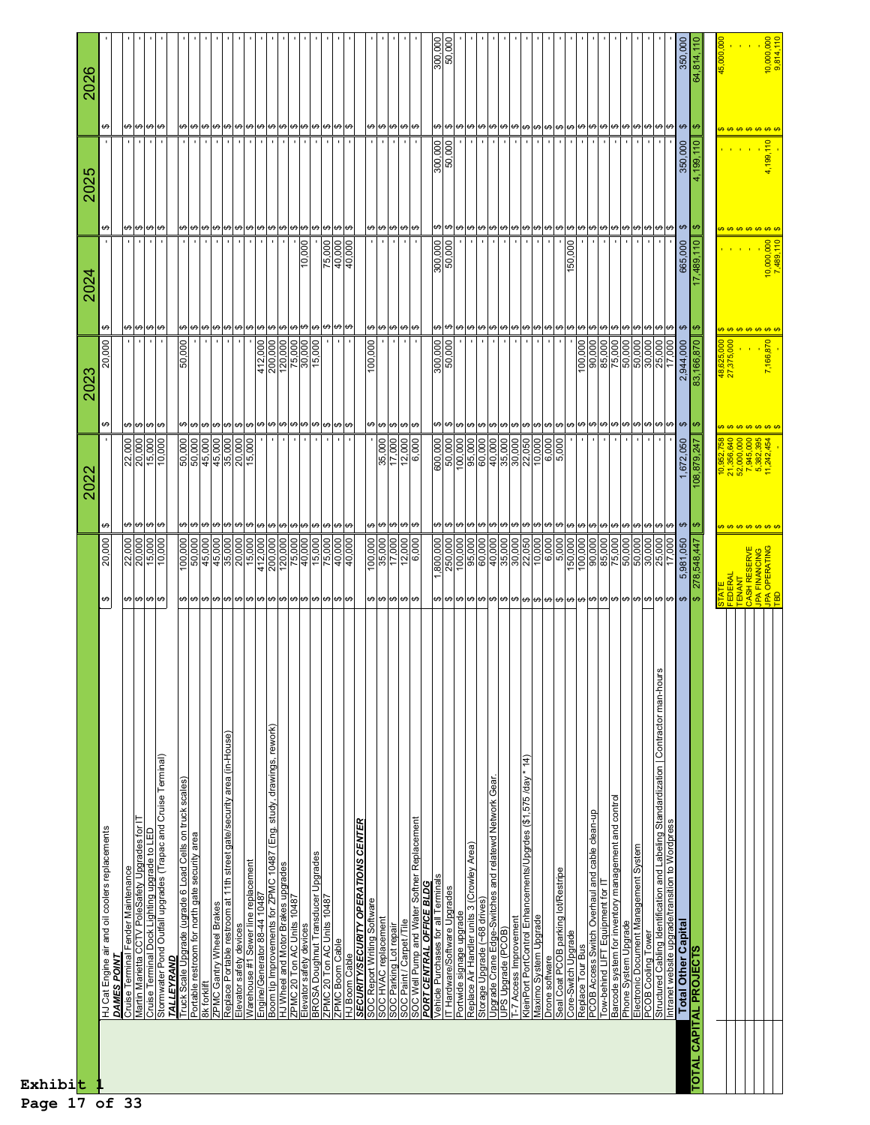| Exhibit |                                                                                                             |                                                                                                                                          |                                                                                                                                                                                                          |                                                                                                                                                  |                            |                                        |                                              |
|---------|-------------------------------------------------------------------------------------------------------------|------------------------------------------------------------------------------------------------------------------------------------------|----------------------------------------------------------------------------------------------------------------------------------------------------------------------------------------------------------|--------------------------------------------------------------------------------------------------------------------------------------------------|----------------------------|----------------------------------------|----------------------------------------------|
|         |                                                                                                             |                                                                                                                                          | 202.<br>20                                                                                                                                                                                               | 202.                                                                                                                                             | 2024                       | ഥ<br>202                               | <b>2021</b>                                  |
|         | HJ Cat Engine air and oil coolers replacements<br>DAMES POIN'                                               | ,000<br><u>ສຸ</u><br>↮                                                                                                                   | ↮                                                                                                                                                                                                        | ↮<br>000<br>20<br>↮                                                                                                                              |                            | \$                                     | ↮                                            |
|         | Cruise Terminal Fender Maintenance                                                                          |                                                                                                                                          |                                                                                                                                                                                                          |                                                                                                                                                  |                            |                                        |                                              |
|         | Martin Marietta CCTV PoleSafety Upgrades for                                                                | $\frac{22,000}{20,000}$<br>$\frac{15,000}{10,000}$<br>မာမြာ မာမြာ                                                                        | $\frac{22,000}{20,000}$<br>15,000<br>မှာမှာ မှာ                                                                                                                                                          | မာမြာမျာ<br> မ မ မ မ                                                                                                                             |                            | မာ မာ မာ                               | မာ မာ မာ မာ                                  |
|         | Cruise Terminal Dock Lighting upgrade to LED                                                                |                                                                                                                                          |                                                                                                                                                                                                          |                                                                                                                                                  |                            |                                        | $\blacksquare$                               |
|         | Stomwater Pond Outfall upgrades (Trapac and Cruise Terminal)<br>TALLEYRAND                                  |                                                                                                                                          |                                                                                                                                                                                                          |                                                                                                                                                  |                            |                                        |                                              |
|         |                                                                                                             |                                                                                                                                          |                                                                                                                                                                                                          | 000<br>50,                                                                                                                                       |                            |                                        |                                              |
|         | Truck Scale Upgrade (ugrade 6 Load Cells on truck scales)<br>Portable restroom for north gate security area | $\begin{array}{ l}\n\hline\n100,000 \\ \hline\n50,000 \\ \hline\n45,000 \\ \hline\n45,000\n\end{array}$<br>မျမျမျမျမျမျမျမျမျမျမျမျမျမျမ | မာမာ                                                                                                                                                                                                     | မျမျမျမျမျမျမျမျမျမျမမျမျမျမ<br><u> မျာမျာမျာမျာမျာမျာမျာမျာမျာမျာမ</u>                                                                          |                            | <u> မျမျမျမျမျမျမျမမျမမျမမျမမျမမျမ</u> | မျမျမျမျမျမျမျမျမျမျမမျမျမျမ                 |
|         | 8k forklift                                                                                                 |                                                                                                                                          |                                                                                                                                                                                                          |                                                                                                                                                  |                            |                                        | $\blacksquare$                               |
|         | Replace Portable restroom at 11th street gate/security area (in-House)<br>ZPMC Gantry Wheel Brakes          | 35,000                                                                                                                                   |                                                                                                                                                                                                          |                                                                                                                                                  |                            |                                        | $\blacksquare$                               |
|         | Elevator safety devices                                                                                     |                                                                                                                                          | မျမျမျမျမျမျမျမမျမမျမျမမျ                                                                                                                                                                                |                                                                                                                                                  |                            |                                        | $\blacksquare$                               |
|         | Warehouse #1 Sewer line replacement                                                                         |                                                                                                                                          |                                                                                                                                                                                                          |                                                                                                                                                  |                            |                                        | $\blacksquare$                               |
|         | Engine/Generator 88-44 10487                                                                                | $\begin{array}{r}\n 20,000 \\  \hline\n 15,000 \\  \hline\n 412,000 \\  \hline\n 200,000\n \end{array}$                                  |                                                                                                                                                                                                          |                                                                                                                                                  |                            |                                        | $\mathbf{r}$                                 |
|         | Boom tip Improvements for ZPMC 10487 (Eng. study, drawings, rework)<br>HJ Wheel and Motor Brakes upgrades   |                                                                                                                                          |                                                                                                                                                                                                          |                                                                                                                                                  |                            |                                        | $\mathbf{r}$                                 |
|         |                                                                                                             | $\frac{120,000}{75,000}$                                                                                                                 |                                                                                                                                                                                                          | $\begin{array}{r l} \hline 412,000 \\ \hline 200,000 \\ \hline 120,000 \\ \hline 75,000 \\ \hline 30,000 \\ \hline 15,000 \\ \hline \end{array}$ |                            |                                        | $\blacksquare$<br>$\blacksquare$             |
|         | ZPMC 20 Ton AC Units 10487<br>Elevator safety devices                                                       |                                                                                                                                          |                                                                                                                                                                                                          |                                                                                                                                                  | 10,000                     |                                        | $\blacksquare$                               |
|         |                                                                                                             |                                                                                                                                          |                                                                                                                                                                                                          |                                                                                                                                                  |                            |                                        |                                              |
|         | BROSA Doughnut Transducer Upgrades<br>ZPMC 20 Ton AC Units 10487<br>ZPMC Boom Cable                         | $\frac{15,000}{75,000}$                                                                                                                  |                                                                                                                                                                                                          |                                                                                                                                                  | 75,000<br>40,000<br>40,000 |                                        | $\cdot$                                      |
|         |                                                                                                             | 40,000                                                                                                                                   |                                                                                                                                                                                                          |                                                                                                                                                  |                            |                                        | $\mathbf{r}_\perp$                           |
|         | SECURITY/SECURITY OPERATIONS CENTER<br>HJ Boom Cable                                                        |                                                                                                                                          |                                                                                                                                                                                                          |                                                                                                                                                  |                            |                                        |                                              |
|         |                                                                                                             |                                                                                                                                          |                                                                                                                                                                                                          | 100,000                                                                                                                                          |                            |                                        |                                              |
|         | SOC Report Writing Software<br>SOC HVAC replacement                                                         |                                                                                                                                          |                                                                                                                                                                                                          |                                                                                                                                                  |                            |                                        |                                              |
|         | SOC Parking Lot repair<br>SOC Paint / Carpet /Tile                                                          | $\begin{array}{r}\n 100,000 \\  \hline\n 35,000 \\  \hline\n 17,000 \\  \hline\n 12,000\n \end{array}$<br><u>မျာများများ</u>             | $\frac{35,000}{17,000}$<br><u> မျမျမျ</u>                                                                                                                                                                | <b>မာ</b> မာ မာ                                                                                                                                  |                            |                                        | <b>မာ</b> မြ မျ မ                            |
|         |                                                                                                             |                                                                                                                                          |                                                                                                                                                                                                          |                                                                                                                                                  |                            |                                        |                                              |
|         | SOC Well Pump and Water Softner Replacement<br>PORT CENTRAL OFFICE BLDG                                     | 6,000                                                                                                                                    | 6,000<br>↮                                                                                                                                                                                               | ↮                                                                                                                                                |                            |                                        |                                              |
|         | Vehicle Purchases for all Terminals                                                                         | 1,800,000                                                                                                                                |                                                                                                                                                                                                          | 300,000                                                                                                                                          |                            | 300,000                                |                                              |
|         | Hardware/Software Upgrades<br>E                                                                             | 250,000                                                                                                                                  | 000,000<br>50,000<br>100,000<br>95,000<br><b>မာ</b> မြာမြာ                                                                                                                                               | <b>မာ</b> မြာမျာ                                                                                                                                 | 300,000                    |                                        | $\frac{300,000}{50,000}$                     |
|         | Portwide signage upgrade<br>Replace Air Handler units 3 (Crowley Area)                                      | 100,000                                                                                                                                  |                                                                                                                                                                                                          |                                                                                                                                                  |                            |                                        |                                              |
|         |                                                                                                             |                                                                                                                                          |                                                                                                                                                                                                          |                                                                                                                                                  |                            |                                        |                                              |
|         | Upgrade Crane Edge-Switches and relatewd Network Gear.<br>Storage Upgrade (~68 drives)                      | 60,000                                                                                                                                   | 60,000                                                                                                                                                                                                   |                                                                                                                                                  |                            |                                        |                                              |
|         | UPS Upgrade (PCOB)                                                                                          |                                                                                                                                          |                                                                                                                                                                                                          |                                                                                                                                                  |                            |                                        | $\mathbf{r}$<br>$\blacksquare$               |
|         |                                                                                                             |                                                                                                                                          |                                                                                                                                                                                                          |                                                                                                                                                  |                            |                                        | $\blacksquare$                               |
|         | * 14)<br>T-7 Access Improvement<br>KleinPort PortControl Enhancements/Upgrdes (\$1,575 /day                 | $\frac{35,000}{30,000}$                                                                                                                  | $\frac{1}{2}$<br>$\frac{1}{2}$<br>$\frac{1}{2}$<br>$\frac{1}{2}$<br>$\frac{1}{2}$<br>$\frac{1}{2}$<br>$\frac{1}{2}$<br>$\frac{1}{2}$<br>$\frac{1}{2}$<br>$\frac{1}{2}$<br>$\frac{1}{2}$<br>$\frac{1}{2}$ |                                                                                                                                                  |                            |                                        | $\cdot$                                      |
|         | Maximo System Upgrade                                                                                       |                                                                                                                                          |                                                                                                                                                                                                          |                                                                                                                                                  |                            |                                        | $\cdot$                                      |
|         | Drone software                                                                                              | 6,000                                                                                                                                    | 6,000<br>မျမျမျမျမျမျမျမျမျမျမျမျမျမျမျမျမျ                                                                                                                                                              | မ မ မ မ မ မ မ မ မ မ မ မ မ မ မ မ မ မ<br> မျမျမျမျမျမျမမျမမျမမျမမျမမျမမျမ <mark>ျမ</mark>                                                          |                            |                                        | $\blacksquare$<br> ၛႄႜၛၛၛၛၛၛၛၛၛၛၛၛၛၛၛၛၛၛၛၛၛၛ |
|         | Seal Coat PCOB parking lot/Restripe<br>Core-Switch Upgrade                                                  |                                                                                                                                          |                                                                                                                                                                                                          |                                                                                                                                                  | 000<br>50,                 |                                        | $\mathbf{r}$<br>$\blacksquare$               |
|         | Replace Tour Bus                                                                                            |                                                                                                                                          |                                                                                                                                                                                                          | 100,000                                                                                                                                          |                            |                                        | $\blacksquare$                               |
|         |                                                                                                             | $\begin{array}{r l} & 5,000\ \hline 1,00,000\ \hline 1,00,000\ \hline 90,000\ \hline 85,000\ \hline 75,000\ \hline \end{array}$          |                                                                                                                                                                                                          |                                                                                                                                                  |                            |                                        | $\cdot$                                      |
|         | PCOB Access Switch Overhaul and cable clean-up<br>Tow-behind LIFT Equipment for IT                          |                                                                                                                                          |                                                                                                                                                                                                          | $\frac{90,000}{85,000}$                                                                                                                          |                            |                                        |                                              |
|         | Barcode system for inventory management and control                                                         |                                                                                                                                          |                                                                                                                                                                                                          | $\boldsymbol{\omega}$                                                                                                                            |                            |                                        | $\blacksquare$                               |
|         | Electronic Document Management System<br>Phone System Upgrade                                               |                                                                                                                                          |                                                                                                                                                                                                          |                                                                                                                                                  |                            |                                        | $\blacksquare$                               |
|         |                                                                                                             |                                                                                                                                          |                                                                                                                                                                                                          |                                                                                                                                                  |                            |                                        |                                              |
|         | PCOB Cooling Tower<br>Structured Cabling Identification and Labeling Standardization   Contractor man-hour  | $\frac{50,000}{50,000}$<br>$\frac{50,000}{25,000}$<br>17,000                                                                             |                                                                                                                                                                                                          | မ) မ) မ) မ) မ<br>50,000<br>50,000<br>50,000<br>25,000<br>17,000                                                                                  |                            |                                        |                                              |
|         | Intranet website upgrade/transition to Wordpress                                                            |                                                                                                                                          |                                                                                                                                                                                                          |                                                                                                                                                  |                            |                                        |                                              |
|         | <b>Total Other Capital</b>                                                                                  | 5,981,050                                                                                                                                | 1,672,050                                                                                                                                                                                                | 2,944,000                                                                                                                                        | 665,000                    | 350,000<br>$\Theta$                    | 350,000                                      |
|         | <b>TOTAL CAPITAL PROJECTS</b>                                                                               | 278,548,447                                                                                                                              | 108,879,247<br>$\theta$                                                                                                                                                                                  | ∣⇔<br>83,166,870                                                                                                                                 | 17,489,110                 | 4,199,110<br>↮                         | 64,814,110<br>$\frac{1}{2}$                  |
|         |                                                                                                             |                                                                                                                                          |                                                                                                                                                                                                          |                                                                                                                                                  |                            |                                        |                                              |
|         |                                                                                                             |                                                                                                                                          |                                                                                                                                                                                                          | 1,625,000<br>375,000<br>$rac{48}{27}$                                                                                                            |                            |                                        |                                              |
|         |                                                                                                             |                                                                                                                                          |                                                                                                                                                                                                          |                                                                                                                                                  |                            |                                        |                                              |
|         |                                                                                                             | STATE<br>  FEDERAL<br>  TENANT<br>  CASH RESERVE<br>  CASH RESERVE<br>  TED OPERATING<br>  TED OPERATING                                 | $\begin{array}{l} 10,952,758\\ 21,356,640\\ 52,000,000\\ 52,000,000\\ 7,945,000\\ 5,382,395\\ 11,242,454 \end{array}$                                                                                    | <del>.</del>                                                                                                                                     |                            |                                        | <del>.</del>                                 |
|         |                                                                                                             |                                                                                                                                          |                                                                                                                                                                                                          | 7,166,870                                                                                                                                        | 10,000,000<br>7,489,110    | 4,199,110                              | 10,000,000                                   |
|         |                                                                                                             |                                                                                                                                          |                                                                                                                                                                                                          |                                                                                                                                                  |                            |                                        |                                              |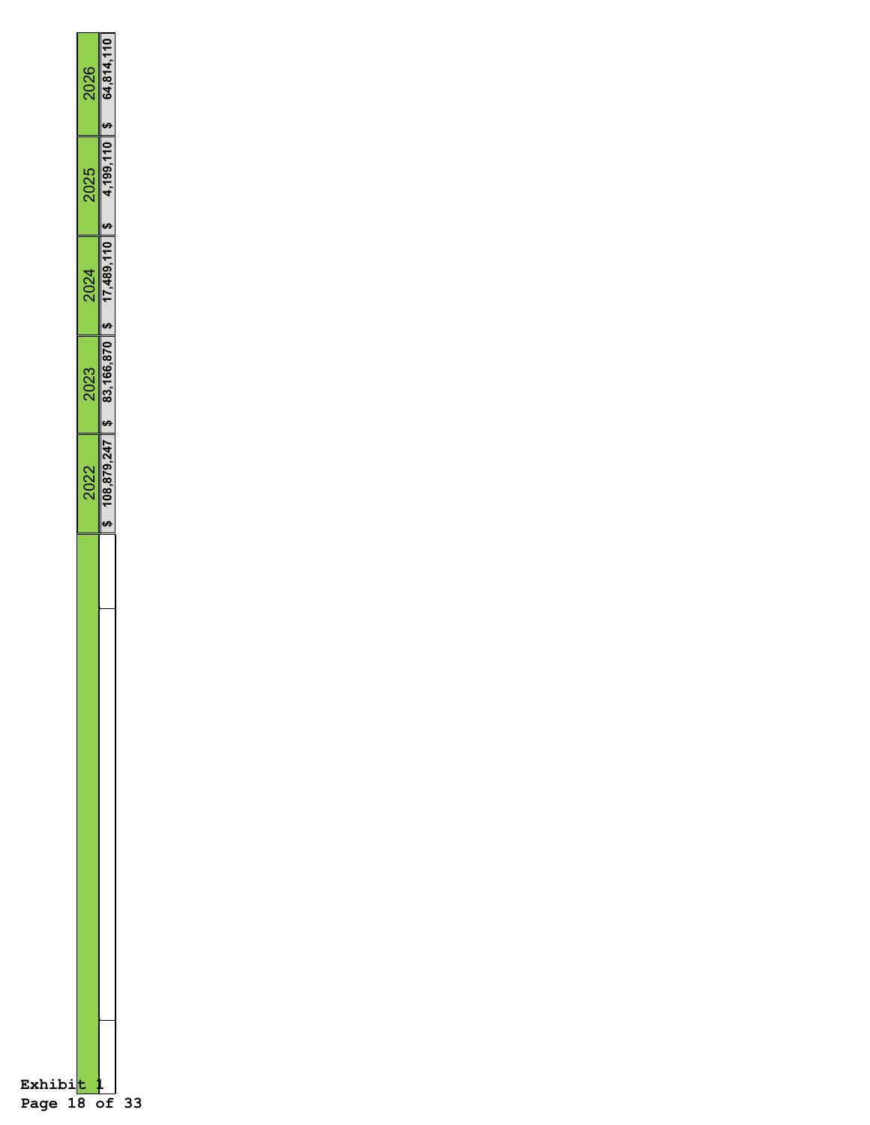| Exhibi<br>Page 18 of |      |                                           |      |      |                           |
|----------------------|------|-------------------------------------------|------|------|---------------------------|
|                      | 2022 | 2023                                      | 2024 | 2025 | 2026                      |
|                      |      | $108,879,247$ \$ 83,166,870 \$ 17,489,110 |      |      | $4,199,110$ \$ 64,814,110 |
| 33                   |      |                                           |      |      |                           |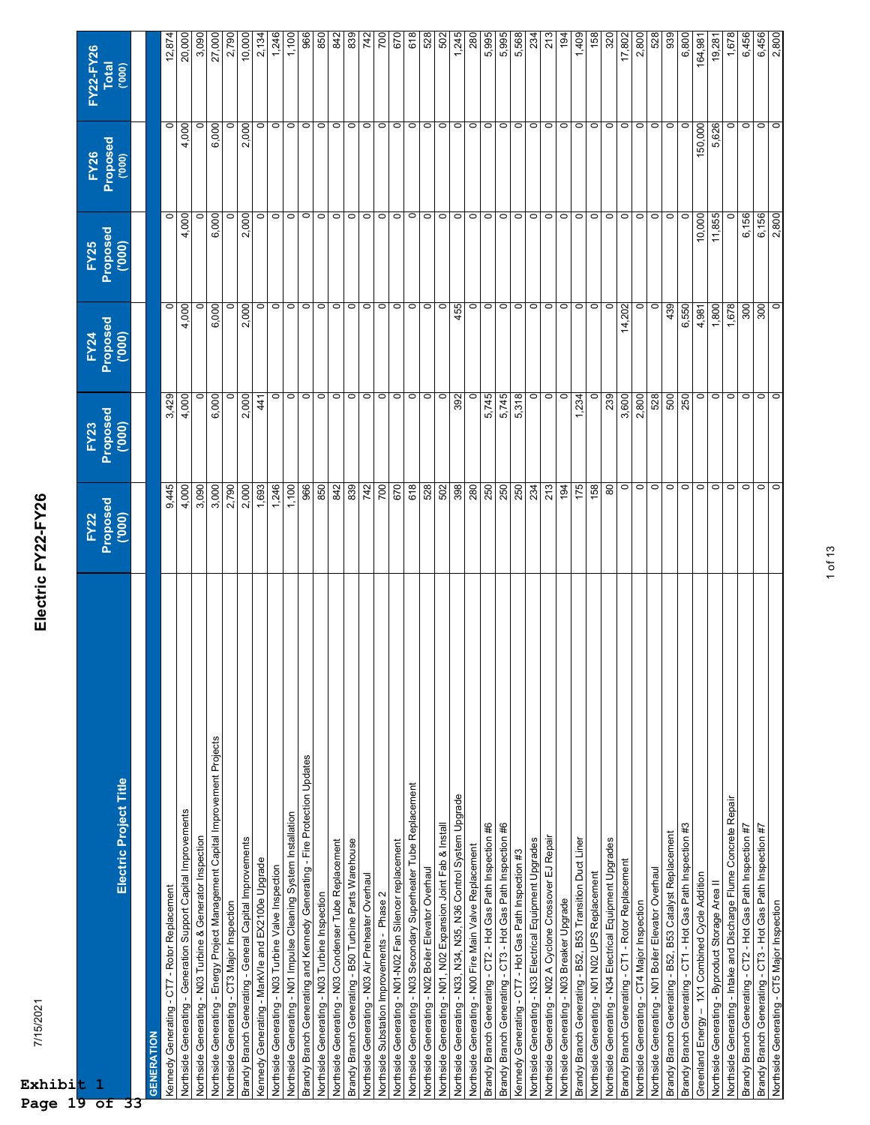| t,<br>-1<br>ष<br>∩f                                                           | FY22<br>Proposed<br>('000) | FY23<br>Proposed<br>('000) | FY24<br>Proposed<br>('000) | FY25<br>Proposed<br>('000) | FY26<br>Proposed<br><sub>('000)</sub> | FY22-FY26<br>Total |
|-------------------------------------------------------------------------------|----------------------------|----------------------------|----------------------------|----------------------------|---------------------------------------|--------------------|
| Electric Project Title                                                        |                            |                            |                            |                            |                                       | (000)              |
|                                                                               |                            |                            |                            |                            |                                       |                    |
| <b>GENERATION</b>                                                             |                            |                            |                            |                            |                                       |                    |
| Kennedy Generating - CT7 - Rotor Replacement                                  | 9,445                      | 3,429                      | $\circ$                    | $\circ$                    | $\circ$                               | 12,874             |
| Northside Generating - Generation Support Capital Improvements                | 4,000                      | 4,000                      | 4,000                      | 4,000                      | 4,000                                 | 20,000             |
| Northside Generating - N03 Turbine & Generator Inspection                     | 3,090                      |                            | $\circ$                    | $\circ$                    | 0                                     | 3,090              |
| Northside Generating - Energy Project Management Capital Improvement Projects | 3,000                      | 6,000                      | 6,000                      | 6,000                      | 6,000                                 | 27,000             |
| Northside Generating - CT3 Major Inspection                                   | 2,790                      |                            | $\circ$                    | $\circ$                    | 0                                     | 2,790              |
| Brandy Branch Generating - General Capital Improvements                       | 2,000                      | 2,000                      | 2,000                      | 2,000                      | 2,000                                 | 10,000             |
| Kennedy Generating - MarkVle and EX2100e Upgrade                              | 1,693                      | 41                         | $\circ$                    | $\circ$                    | $\circ$                               | 2,134              |
| Northside Generating - N03 Turbine Valve Inspection                           | 1,246                      | $\circ$                    | $\circ$                    | $\circ$                    | $\circ$                               | 1,246              |
| Northside Generating - N01 Impulse Cleaning System Installation               | 1,100                      | $\circ$                    | $\circ$                    | $\circ$                    | $\circ$                               | 1,100              |
| Brandy Branch Generating and Kennedy Generating - Fire Protection Updates     | 966                        | $\circ$                    | $\circ$                    | $\circ$                    | $\circ$                               | 966                |
| Northside Generating - N03 Turbine Inspection                                 | 850                        | $\circ$                    | $\circ$                    | $\circ$                    | $\circ$                               | 850                |
| Northside Generating - N03 Condenser Tube Replacement                         | 842                        | $\circ$                    | $\circ$                    | $\circ$                    | $\circ$                               | 842                |
| Brandy Branch Generating - B50 Turbine Parts Warehouse                        | 839                        | $\circ$                    | $\circ$                    | $\circ$                    | $\circ$                               | 839                |
| Northside Generating - N03 Air Preheater Overhaul                             | 742                        | $\circ$                    | $\circ$                    | $\circ$                    | $\circ$                               | 742                |
| Northside Substation Improvements - Phase 2                                   | 700                        | $\circ$                    | $\circ$                    | $\circ$                    | $\circ$                               | 700                |
| Northside Generating - N01-N02 Fan Silencer replacement                       | 670                        | $\circ$                    |                            | $\circ$                    | $\circ$                               | 670                |
| Northside Generating - N03 Secondary Superheater Tube Replacement             | 618                        | $\circ$                    | $\circ$ $\circ$            | $\circ$                    | $\circ$                               | 618                |
| Northside Generating - N02 Boiler Elevator Overhaul                           | 528                        | $\circ$                    | $\circ$                    | $\circ$                    | $\circ$                               | 528                |
| Northside Generating - N01, N02 Expansion Joint Fab & Install                 | 502                        | $\circ$                    | $\circ$                    | $\circ$                    | $\circ$                               | 502                |
| Northside Generating - N33, N34, N35, N36 Control System Upgrade              | 398                        | 392                        | 455                        | $\circ$                    | $\circ$                               | 1,245              |
| Northside Generating - N00 Fire Main Valve Replacement                        | 280                        | $\circ$                    | $\circ$                    | $\circ$                    | $\circ$                               | 280                |
| Brandy Branch Generating - CT2 - Hot Gas Path Inspection #6                   | 250                        | 5,745                      | $\circ$                    | $\circ$                    | $\circ$                               | 5,995              |
| Brandy Branch Generating - CT3 - Hot Gas Path Inspection #6                   | 250                        | 5,745                      | $\circ$                    | $\circ$                    | $\circ$                               | 5,995              |
| Kennedy Generating - CT7 - Hot Gas Path Inspection #3                         | 250                        | 5,318                      | $\circ$                    | $\circ$                    | $\circ$                               | 5,568              |
| Northside Generating - N33 Electrical Equipment Upgrades                      | 234                        | $\circ$                    | $\circ$                    | $\circ$                    | $\circ$                               | 234                |
| Northside Generating - N02 A Cyclone Crossover EJ Repair                      | 213                        | $\circ$                    | $\circ$                    | $\circ$                    | $\circ$                               | 213                |
| Northside Generating - N03 Breaker Upgrade                                    | 194                        | $\circ$                    | $\circ$                    | $\circ$                    | $\circ$                               | 194                |
| Brandy Branch Generating - B52, B53 Transition Duct Liner                     | 175                        | 1,234                      | $\circ$                    | $\circ$                    | $\circ$                               | 1,409              |
| Northside Generating - N01 N02 UPS Replacement                                | 158                        | $\circ$                    | $\circ$                    | $\circ$                    | $\circ$                               | 158                |
| Northside Generating - N34 Electrical Equipment Upgrades                      | 80                         | 239                        | $\circ$                    | $\circ$                    | $\circ$                               | 320                |
| Brandy Branch Generating - CT1 - Rotor Replacement                            | $\circ$                    | 3,600                      | 14,202                     | $\circ$                    | $\circ$                               | 17,802             |
| Northside Generating - CT4 Major Inspection                                   | $\circ$                    | 2,800                      | $\circ$                    | $\circ$                    | $\circ$                               | 2,800              |
| Northside Generating - N01 Boiler Elevator Overhaul                           | $\circ$                    | 528                        | $\circ$                    | $\circ$                    | $\circ$                               | 528                |
| Brandy Branch Generating - B52, B53 Catalyst Replacement                      | $\circ$                    | 500                        | 439                        | $\circ$                    | $\circ$                               | 939                |
| Brandy Branch Generating - CT1 - Hot Gas Path Inspection #3                   | $\circ$                    | 250                        | 6,550                      | $\circ$                    | $\circ$                               | 6,800              |
| Greenland Energy - 1X1 Combined Cycle Addition                                | $\circ$                    | $\circ$                    | 4,981                      | 10,000                     | 150,000                               | 164,981            |
| Northside Generating - Byproduct Storage Area II                              | $\circ$                    | $\circ$                    | 1,800                      | 11,855                     | 5,626                                 | 19,281             |
| Northside Generating - Intake and Discharge Flume Concrete Repair             | $\circ$                    | $\circ$                    | 1,678                      | $\circ$                    | $\circ$                               | 1,678              |
| Brandy Branch Generating - CT2 - Hot Gas Path Inspection #7                   | $\circ$                    | $\circ$                    | 300                        | 6,156                      | $\circ$                               | 6,456              |
| Brandy Branch Generating - CT3 - Hot Gas Path Inspection #7                   | $\circ$                    | $\circ$                    | 300                        | 6,156                      | $\circ$                               | 6,456              |
| Northside Generating - CT5 Major Inspection                                   | $\circ$                    | $\circ$                    | $\circ$                    | 2,800                      | $\circ$                               | 2,800              |

Electric FY22-FY26 7/15/2021 **Electric FY22-FY26**

**Exhibi Page 19 of 33**

7/15/2021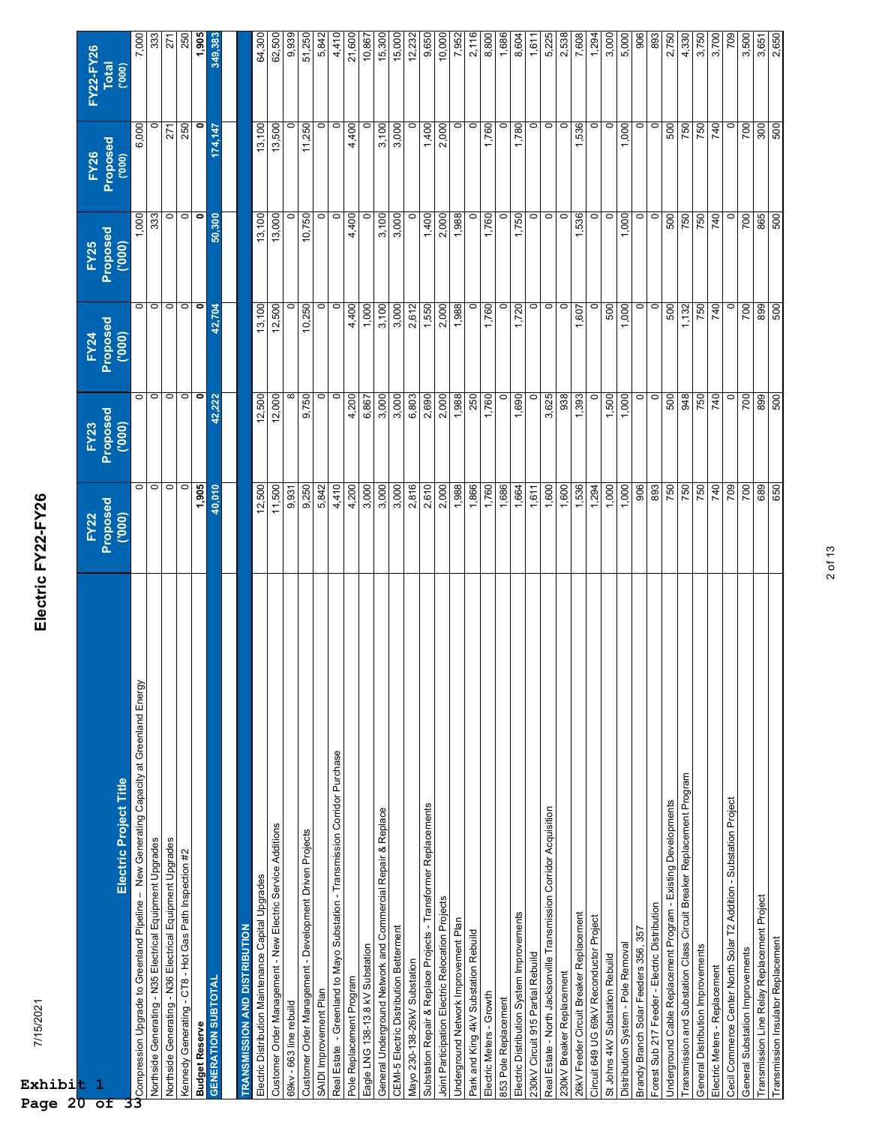| t                                                                                       |                            |                            |                           |                            |                                       | FY22-FY26 |
|-----------------------------------------------------------------------------------------|----------------------------|----------------------------|---------------------------|----------------------------|---------------------------------------|-----------|
| $\mathbf 1$                                                                             | FY22<br>Proposed<br>('000) | FY23<br>Proposed<br>('000) | FY24<br>Proposed<br>(000) | FY25<br>Proposed<br>('000) | FY26<br>Proposed<br><sub>('000)</sub> | Total     |
| Electric Project Title                                                                  |                            |                            |                           |                            |                                       | (000)     |
| Compression Upgrade to Greenland Pipeline - New Generating Capacity at Greenland Energy | $\circ$                    | $\circ$                    | $\circ$                   | 1,000                      | 6,000                                 | 7,000     |
| Northside Generating - N35 Electrical Equipment Upgrades                                | $\circ$                    | $\circ$ $\circ$            | $\circ$                   | 333                        | 0                                     | 333       |
| Northside Generating - N36 Electrical Equipment Upgrades                                | $\circ$                    |                            | $\circ$                   | $\circ$                    | 271                                   | 271       |
| Kennedy Generating - CT8 - Hot Gas Path Inspection #2                                   | $\circ$                    | $\overline{0}$             | $\circ$                   | $\circ$                    | 250                                   | 250       |
| <b>Budget Reserve</b>                                                                   | 1,905                      | $\bullet$                  | $\bullet$                 | $\bullet$                  | 0                                     | 1,905     |
| <b>GENERATION SUBTOTAL</b>                                                              | 40,010                     | 42,222                     | 42,704                    | 50,300                     | 174,147                               | 349,383   |
|                                                                                         |                            |                            |                           |                            |                                       |           |
| <b>TRANSMISSION AND DISTRIBUTION</b>                                                    |                            |                            |                           |                            |                                       |           |
| Electric Distribution Maintenance Capital Upgrades                                      | 12,500                     | 12,500                     | 13,100                    | 13,100                     | 13,100                                | 64,300    |
| Customer Order Management - New Electric Service Additions                              | 11,500                     | 12,000                     | 12,500                    | 13,000                     | 13,500                                | 62,500    |
| 69kv - 663 line rebuild                                                                 | 9,931                      | $\infty$                   | $\circ$                   | 0                          | $\circ$                               | 9,939     |
| Customer Order Management - Development Driven Projects                                 | 9,250                      | 9,750                      | 10,250                    | 10,750                     | 11,250                                | 51,250    |
| SAIDI Improvement Plan                                                                  | 5,842                      | $\circ$                    | $\circ$                   | 0                          | $\circ$                               | 5,842     |
| Real Estate - Greenland to Mayo Substation - Transmission Corridor Purchase             | 4,410                      | $\circ$                    | $\circ$                   | $\circ$                    | $\circ$                               | 4,410     |
| Pole Replacement Program                                                                | 4,200                      | 4,200                      | 4,400                     | 4,400                      | 4,400                                 | 21,600    |
| Eagle LNG 138-13.8 kV Substation                                                        | 3,000                      | 6,867                      | 1,000                     | $\circ$                    | $\circ$                               | 10,867    |
| General Underground Network and Commercial Repair & Replace                             | 3,000                      | 3,000                      | 3,100                     | 3,100                      | 3,100                                 | 15,300    |
| CEMI-5 Electric Distribution Betterment                                                 | 3,000                      | 3,000                      | 3,000                     | 3,000                      | 3,000                                 | 15,000    |
| Mayo 230-138-26kV Substation                                                            | 2,816                      | 6,803                      | 2,612                     | 0                          | $\circ$                               | 12,232    |
| Substation Repair & Replace Projects - Transformer Replacements                         | 2,610                      | 2,690                      | 1,550                     | 1,400                      | 1,400                                 | 9,650     |
| Joint Participation Electric Relocation Projects                                        | 2,000                      | 2,000                      | 2,000                     | 2,000                      | 2,000                                 | 10,000    |
| Underground Network Improvement Plan                                                    | 1,988                      | 1,988                      | 1,988                     | 1,988                      | $\circ$                               | 7,952     |
| Park and King 4kV Substation Rebuild                                                    | 1,866                      | 250                        | $\circ$                   | 0                          | $\circ$                               | 2,116     |
| Electric Meters - Growth                                                                | 1,760                      | 1,760                      | 1,760                     | 1,760                      | 1,760                                 | 8,800     |
| 853 Pole Replacement                                                                    | 1,686                      | $\circ$                    | 0                         | 0                          | $\circ$                               | 1,686     |
| Electric Distribution System Improvements                                               | 1,664                      | 1,690                      | 1,720                     | 1,750                      | 1,780                                 | 8,604     |
| 230kV Circuit 915 Partial Rebuild                                                       | 1.611                      | $\circ$                    | $\circ$                   | $\circ$                    | $\circ$                               | 1.611     |
| Real Estate - North Jacksonville Transmission Corridor Acquisition                      | 1,600                      | 3,625                      | $\circ$                   | $\circ$                    | $\circ$                               | 5,225     |
| 230kV Breaker Replacement                                                               | 1,600                      | 938                        | $\circ$                   | $\circ$                    | $\circ$                               | 2,538     |
| 26kV Feeder Circuit Breaker Replacement                                                 | 1,536                      | 1,393                      | 1,607                     | 1,536                      | 1,536                                 | 7,608     |
| Circuit 649 UG 69kV Reconductor Project                                                 | 1,294                      | $\circ$                    | $\circ$                   | 0                          | $\circ$                               | 1,294     |
| St Johns 4kV Substation Rebuild                                                         | 1.000                      | 1.500                      | 500                       | $\circ$                    | $\circ$                               | 3,000     |
| Distribution System - Pole Removal                                                      | 1,000                      | 1,000                      | 1,000                     | 1,000                      | 1,000                                 | 5,000     |
| Brandy Branch Solar Feeders 356, 357                                                    | 906                        | $\circ$                    | $\circ$                   | $\circ$                    | $\circ$                               | 906       |
| Forest Sub 217 Feeder - Electric Distribution                                           | 893                        | $\circ$                    | $\circ$                   | $\circ$                    | $\circ$                               | 893       |
| Underground Cable Replacement Program - Existing Developments                           | 750                        | 500                        | 500                       | 500                        | 500                                   | 2,750     |
| Transmission and Substation Class Circuit Breaker Replacement Program                   | 750                        | 948                        | 1,132                     | 750                        | 750                                   | 4,330     |
| General Distribution Improvements                                                       | 750                        | 750                        | 750                       | 750                        | 750                                   | 3,750     |
| Electric Meters - Replacement                                                           | 740                        | 740                        | 740                       | 740                        | 740                                   | 3,700     |
| Cecil Commerce Center North Solar T2 Addition - Substation Project                      | 709                        | $\circ$                    | $\circ$                   | $\circ$                    | $\circ$                               | 709       |
| General Substation Improvements                                                         | 700                        | 700                        | 700                       | 700                        | 700                                   | 3,500     |
| Transmission Line Relay Replacement Project                                             | 689                        | 899                        | 899                       | 865                        | 300                                   | 3,651     |
| Transmission Insulator Replacement                                                      | 650                        | 500                        | 500                       | 500                        | 500                                   | 2,650     |

Electric FY22-FY26 7/15/2021 **Electric FY22-FY26**

**Exhibi Page 20 of 33**

7/15/2021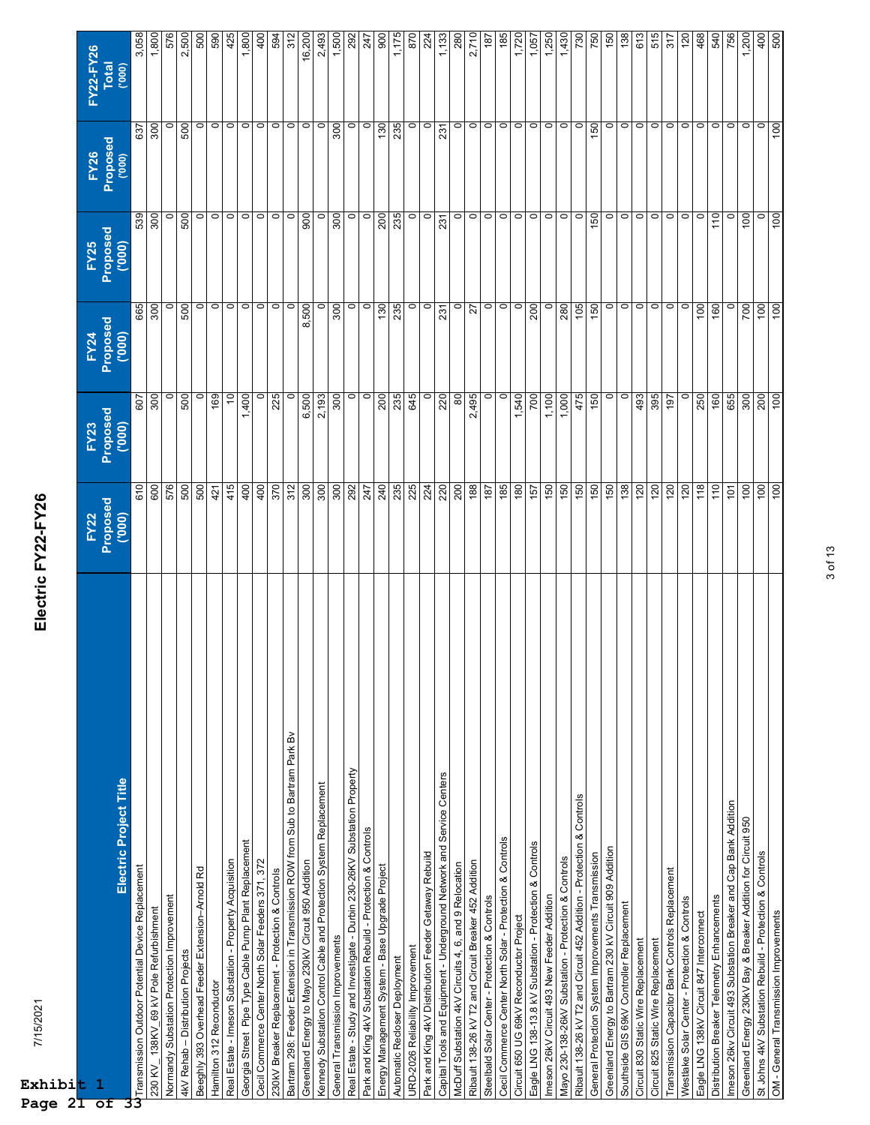| 7/15/2021<br>Exhibit 1                                                        | Electric FY22-FY26      |                            |                  |                         |                            |                           |
|-------------------------------------------------------------------------------|-------------------------|----------------------------|------------------|-------------------------|----------------------------|---------------------------|
|                                                                               | Proposed<br><b>FY22</b> | Proposed<br>('000)<br>FY23 | Proposed<br>FY24 | Proposed<br><b>FY25</b> | Proposed<br>('000)<br>FY26 | FY22-FY26<br><b>Total</b> |
| Electric Project Title                                                        | (000)                   |                            | (000)            | (000)                   |                            | (000)                     |
| Transmission Outdoor Potential Device Replacement                             | 610                     | 607                        | 665              | 539                     | 637                        | 3,058                     |
| 230 KV 138KV 69 kV Pole Refurbishment                                         | 600                     | 300                        | 300              | 300                     | 300                        | 1,800                     |
| Normandy Substation Protection Improvement                                    | 576                     | $\circ$                    | $\circ$          |                         | $\circ$                    | 576                       |
| 4kV Rehab - Distribution Projects                                             | 500                     | 500                        | 500              | 500                     | 500                        | 2,500                     |
| Beeghly 393 Overhead Feeder Extension-Arnold Rd                               | 500                     | $\circ$                    | $\circ$          | $\circ$                 | $\circ$                    | 500                       |
| Hamilton 312 Reconductor                                                      | 421                     | 169                        | $\circ$          | $\circ$                 | $\circ$                    | 590                       |
| Real Estate - Imeson Substation - Property Acquisition                        | 415                     | $\tilde{c}$                | $\circ$          | $\circ$                 | $\circ$                    | 425                       |
| Georgia Street Pipe Type Cable Pump Plant Replacement                         | 400                     | 1,400                      | $\circ$          | $\circ$                 | $\circ$                    | 1,800                     |
| Cecil Commerce Center North Solar Feeders 371, 372                            | 400                     | $\circ$                    | $\circ$          | $\circ$                 | $\circ$                    | 400                       |
| 230kV Breaker Replacement - Protection & Controls                             | 370                     | 225                        | $\circ$          | $\circ$                 | $\circ$                    | 594                       |
| Bartram 298: Feeder Extension in Transmission ROW from Sub to Bartram Park By | 312                     | $\circ$                    | $\circ$          | $\circ$                 | $\circ$                    | 312                       |
| Greenland Energy to Mayo 230kV Circuit 950 Addition                           | 300                     | 6,500                      | 8,500            | 900                     | $\circ$                    | 16,200                    |
| Kennedy Substation Control Cable and Protection System Replacement            | 300                     | 2,193                      | $\circ$          | $\circ$                 | $\circ$                    | 2,493                     |
| General Transmission Improvements                                             | 300                     | 300                        | 300              | 300                     | 300                        | 1,500                     |
| Real Estate - Study and Investigate - Durbin 230-26KV Substation Property     | 292                     | $\circ$                    | $\circ$          | $\circ$                 | $\circ$                    | 292                       |
| Park and King 4kV Substation Rebuild - Protection & Controls                  | 247                     | $\circ$                    | $\circ$          | $\circ$                 | $\circ$                    | 247                       |
| Energy Management System - Base Upgrade Project                               | 240                     | 200                        | 130              | 200                     | 130                        | 900                       |
| Automatic Recloser Deployment                                                 | 235                     | 235                        | 235              | 235                     | 235                        | 1,175                     |
| URD-2026 Reliability Improvement                                              | 225                     | 645                        | $\circ$          | $\circ$                 | $\circ$                    | 870                       |
| Park and King 4kV Distribution Feeder Getaway Rebuild                         | 224                     | $\circ$                    | $\circ$          | $\circ$                 | $\circ$                    | 224                       |
| Capital Tools and Equipment - Underground Network and Service Centers         | 220                     | 220                        | 231              | 231                     | 231                        | 1,133                     |
| McDuff Substation 4kV Circuits 4, 6, and 9 Relocation                         | 200                     | 80                         | $\circ$          | ∘∣                      | $\circ$                    | 280                       |
| Ribault 138-26 kV T2 and Circuit Breaker 452 Addition                         | 188                     | 2,495                      | 27               | $\circ$                 | $\circ$                    | 2,710                     |
| Steelbald Solar Center - Protection & Controls                                | 187                     | $\circ$                    | $\circ$          | $\circ$                 | $\circ$                    | 187                       |
| Cecil Commerce Center North Solar - Protection & Controls                     | 185                     | $\circ$                    | $\circ$          | $\circ$                 | $\circ$                    | 185                       |
| Circuit 650 UG 69kV Reconductor Project                                       | 180                     | 1,540                      | $\circ$          | $\circ$                 | $\circ$                    | 1,720                     |
| Eagle LNG 138-13.8 kV Substation - Protection & Controls                      | 157                     | 700                        | 200              | $\circ$                 | $\circ$                    | 1,057                     |
| Imeson 26kV Circuit 493 New Feeder Addition                                   | 150                     | 1,100                      | $\circ$          | $\circ$                 | $\circ$                    | 1,250                     |
| Mayo 230-138-26kV Substation - Protection & Controls                          | 150                     | 1,000                      | 280              | $\circ$                 | $\circ$                    | 1,430                     |
| Ribault 138-26 kV T2 and Circuit 452 Addition - Protection & Controls         | 150                     | 475                        | 105              | $\circ$                 | $\circ$                    | 730                       |
| General Protection System Improvements Transmission                           | 150                     | 150                        | 150              | 150                     | 150                        | 750                       |
| Greenland Energy to Bartram 230 kV Circuit 909 Addition                       | 150                     | $\circ$                    | $\circ$          | $\circ$                 | $\circ$                    | 150                       |
| Southside GIS 69kV Controller Replacement                                     | 138                     | $\circ$                    | $\circ$          | $\circ$                 | $\circ$                    | 138                       |
| Circuit 830 Static Wire Replacement                                           | 120                     | 493                        | $\circ$ $\circ$  | $\circ$                 | $\circ$                    | 613                       |
| Circuit 825 Static Wire Replacement                                           | 120                     | 395                        |                  | $\circ$                 | $\circ$                    | 515                       |
| Transmission Capacitor Bank Controls Replacement                              | 120                     | 197                        | $\circ$          | $\circ$                 | $\circ$                    | 317                       |
| Westlake Solar Center - Protection & Controls                                 | 120                     | $\circ$                    | $\circ$          | $\circ$                 | $\circ$                    | 120                       |
| Eagle LNG 138kV Circuit 847 Interconnect                                      | 118                     | 250                        | 100              | 0                       | $\circ$                    | 468                       |
| Distribution Breaker Telemetry Enhancements                                   | 110                     | 160                        | 160              | 110                     | $\circ$                    | 540                       |
| Imeson 26kv Circuit 493 Substation Breaker and Cap Bank Addition              | $\overline{101}$        | 655                        | $\circ$          |                         | $\circ$                    | 756                       |
| Greenland Energy 230KV Bay & Breaker Addition for Circuit 950                 | 100                     | 300                        | 700              | 100                     | $\circ$                    | 1,200                     |
| St Johns 4kV Substation Rebuild - Protection & Controls                       | 100                     | 200                        | 100              | $\circ$                 | $\circ$                    | 400                       |
| OM - General Transmission Improvements                                        | 100                     | 100                        | 100              | 100                     | 100                        | 500                       |

**Page 21 of 33**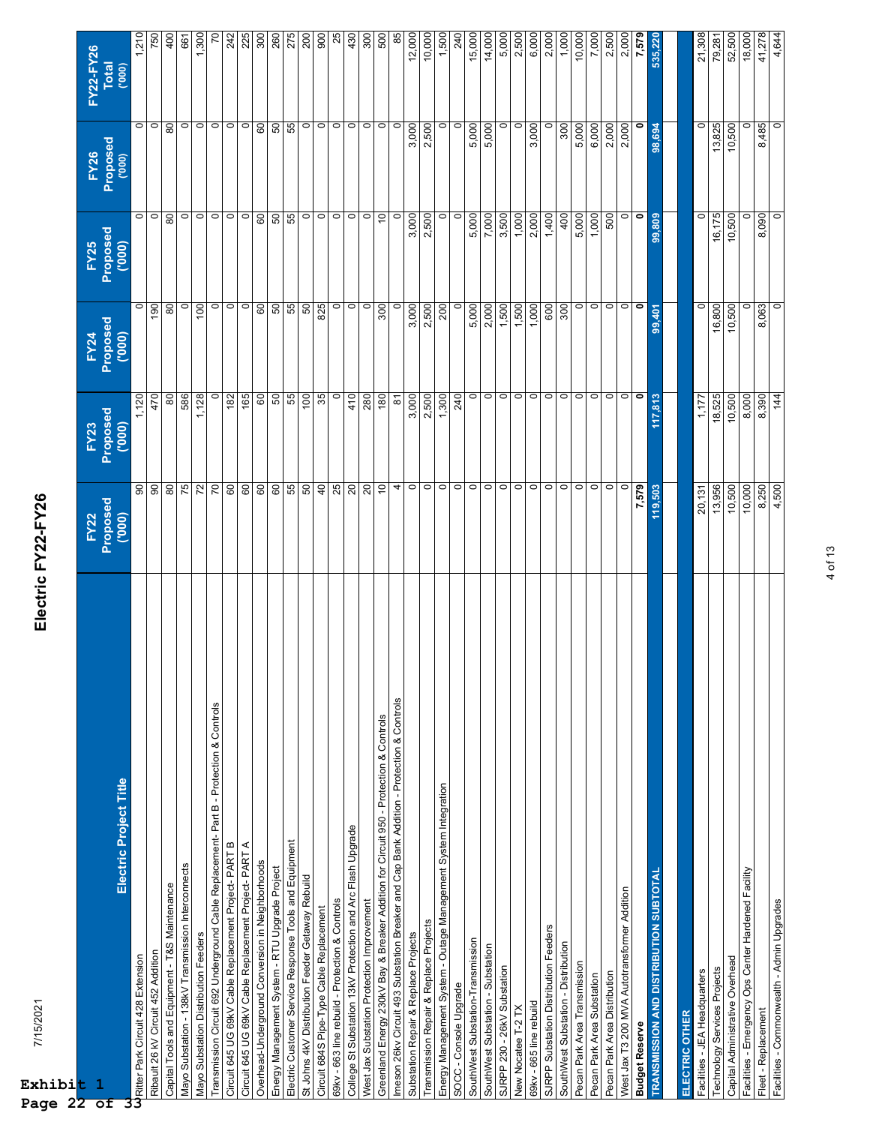| 7/15/2021<br>Exhibit                                                                     | Electric FY22-FY26                |                           |                           |                                   |                                   |                                    |
|------------------------------------------------------------------------------------------|-----------------------------------|---------------------------|---------------------------|-----------------------------------|-----------------------------------|------------------------------------|
| Electric Project Title<br>$\mathbf{1}$                                                   | Proposed<br>('000)<br><b>FY22</b> | Proposed<br>(000)<br>FY23 | Proposed<br>(000)<br>FY24 | Proposed<br>("000)<br><b>FY25</b> | Proposed<br>('000)<br><b>FY26</b> | FY22-FY26<br><b>Total</b><br>(000) |
| Ritter Park Circuit 428 Extension                                                        | 8                                 | 1,120                     | $\circ$                   | $\circ$                           | $\circ$                           | 1,210                              |
| Ribault 26 kV Circuit 452 Addition                                                       | 90                                | 470                       | 190                       | $\circ$                           | $\circ$                           | 750                                |
| Capital Tools and Equipment - T&S Maintenance                                            | $80$                              | 80                        | 80                        | 80                                | 80                                | 400                                |
| Mayo Substation - 138kV Transmission Interconnects                                       | 75                                | 586                       | $\circ$                   | $\circ$                           | $\circ$                           | 661                                |
| Mayo Substation Distribution Feeders                                                     | 72                                | 1,128                     | 100                       | $\circ$                           | $\circ$                           | 1,300                              |
| Transmission Circuit 692 Underground Cable Replacement-Part B - Protection & Controls    | 20                                | $\circ$                   | $\circ$                   | $\circ$                           | $\circ$                           | 2                                  |
| Circuit 645 UG 69KV Cable Replacement Project- PART B                                    | 60                                | 182                       | $\circ$                   | $\circ$                           | $\circ$                           | 242                                |
| Circuit 645 UG 69kV Cable Replacement Project- PART A                                    | 60                                | 165                       | $\circ$                   | $\circ$                           | $\circ$                           | 225                                |
| Overhead-Underground Conversion in Neighborhoods                                         | 60                                | 60                        | $\mbox{S}$                | 60                                | $\mbox{S}$                        | 300                                |
| Energy Management System - RTU Upgrade Project                                           | 60                                | 50                        | 50                        | 50                                | SO                                | 260                                |
| Electric Customer Service Response Tools and Equipment                                   | 55                                | 55                        | 55                        | 55                                | 55                                | 275                                |
| St Johns 4KV Distribution Feeder Getaway Rebuild                                         | 50                                | 100                       | 50                        | $\circ$                           | $\circ$                           | 200                                |
| Circuit 684S Pipe-Type Cable Replacement                                                 | 40                                | 35                        | 825                       | $\circ$                           | $\circ$                           | 900                                |
| 69kv - 663 line rebuild - Protection & Controls                                          | 25                                | $\circ$                   | $\circ$                   | $\circ$                           | $\circ$                           | 25                                 |
| College St Substation 13kV Protection and Arc Flash Upgrade                              | 20                                | 410                       | $\circ$                   | $\circ$                           | $\circ$                           | 430                                |
| West Jax Substation Protection Improvement                                               | 20                                | 280                       | $\circ$                   | $\circ$                           | $\circ$                           | 300                                |
| Greenland Energy 230kV Bay & Breaker Addition for Circuit 950 - Protection & Controls    | $\overline{c}$                    | 180                       | 300                       | $\tilde{c}$                       | $\circ$                           | 500                                |
| Imeson 26kv Circuit 493 Substation Breaker and Cap Bank Addition - Protection & Controls | 4                                 | $\overline{8}$            | $\circ$                   | $\circ$                           | $\circ$                           | 85                                 |
| Substation Repair & Replace Projects                                                     | $\circ$                           | 3,000                     | 3,000                     | 3,000                             | 3,000                             | 12,000                             |
| Transmission Repair & Replace Projects                                                   | $\circ$                           | 2,500                     | 2,500                     | 2,500                             | 2,500                             | 10,000                             |
| Energy Management System - Outage Management System Integration                          | $\circ$                           | 1,300                     | 200                       | $\circ$                           | $\circ$                           | 1,500                              |
| SOCC - Console Upgrade                                                                   | $\circ$                           | 240                       | $\circ$                   | $\circ$                           | $\circ$                           | 240                                |
| SouthWest Substation-Transmission                                                        | $\circ$                           | $\circ$                   | 5,000                     | 5,000                             | 5,000                             | 15,000                             |
| SouthWest Substation - Substation                                                        | $\circ$                           | $\circ$                   | 2,000                     | 7,000                             | 5,000                             | 14,000                             |
| SJRPP 230 - 26kV Substation                                                              | $\circ$                           | $\circ$                   | 1,500                     | 3,500                             | $\circ$                           | 5,000                              |
| New Nocatee T-2 TX                                                                       | $\circ$                           | $\circ$                   | 1,500                     | 1,000                             | $\circ$                           | 2,500                              |
| 69kv - 665 line rebuild                                                                  | $\circ$                           | $\circ$                   | 1,000                     | 2,000                             | 3,000                             | 6,000                              |
| SJRPP Substation Distribution Feeders                                                    | $\circ$                           | $\circ$                   | 600                       | 1,400                             | $\circ$                           | 2,000                              |
| SouthWest Substation - Distribution                                                      | $\circ$                           | $\circ$                   | 300                       | 400                               | 300                               | 1,000                              |
| Pecan Park Area Transmission                                                             | $\circ$                           | $\circ$                   | $\circ$                   | 5,000                             | 5,000                             | 10,000                             |
| Pecan Park Area Substation                                                               | $\circ$                           | $\circ$                   | $\circ$                   | 1,000                             | 6,000                             | 7,000                              |
| Pecan Park Area Distribution                                                             | $\circ$                           | $\circ$                   | $\circ$                   | 500                               | 2,000                             | 2,500                              |
| West Jax T3 200 MVA Autotransformer Addition                                             | $\circ$                           | $\circ$ $\circ$           | $\circ$                   | $\circ$                           | 2,000                             | 2,000                              |
| <b>Budget Reserve</b>                                                                    | 7,579                             |                           | $\bullet$                 | $\bullet$                         | $\bullet$                         | 7,579                              |
| TRANSMISSION AND DISTRIBUTION SUBTOTAL                                                   | 119,503                           | 117,813                   | 99,401                    | 99,809                            | 98,694                            | 535,220                            |
| ELECTRIC OTHER                                                                           |                                   |                           |                           |                                   |                                   |                                    |
| Facilities - JEA Headquarters                                                            | 20,131                            | 1,177                     | $\circ$                   | $\circ$                           | 0                                 | 21,308                             |
| Technology Services Projects                                                             | 13,956                            | 18,525                    | 16,800                    | 16,175                            | 13,825                            | 79,281                             |
| Capital Administrative Overhead                                                          | 10,500                            | 10,500                    | 10,500                    | 10,500                            | 10,500                            | 52,500                             |
| Facilities - Emergency Ops Center Hardened Facility                                      | 10,000                            | 8,000                     | $\circ$                   | 0                                 | $\circ$                           | 18,000                             |
| Fleet - Replacement                                                                      | 8,250                             | 8,390                     | 8,063                     | 8,090                             | 8,485                             | 41,278                             |
| Facilities - Commonwealth - Admin Upgrades                                               | 4,500                             | 144                       | $\circ$                   | $\circ$                           | $\circ$                           | 4,644                              |

4 of 13

**Page 22 of 33**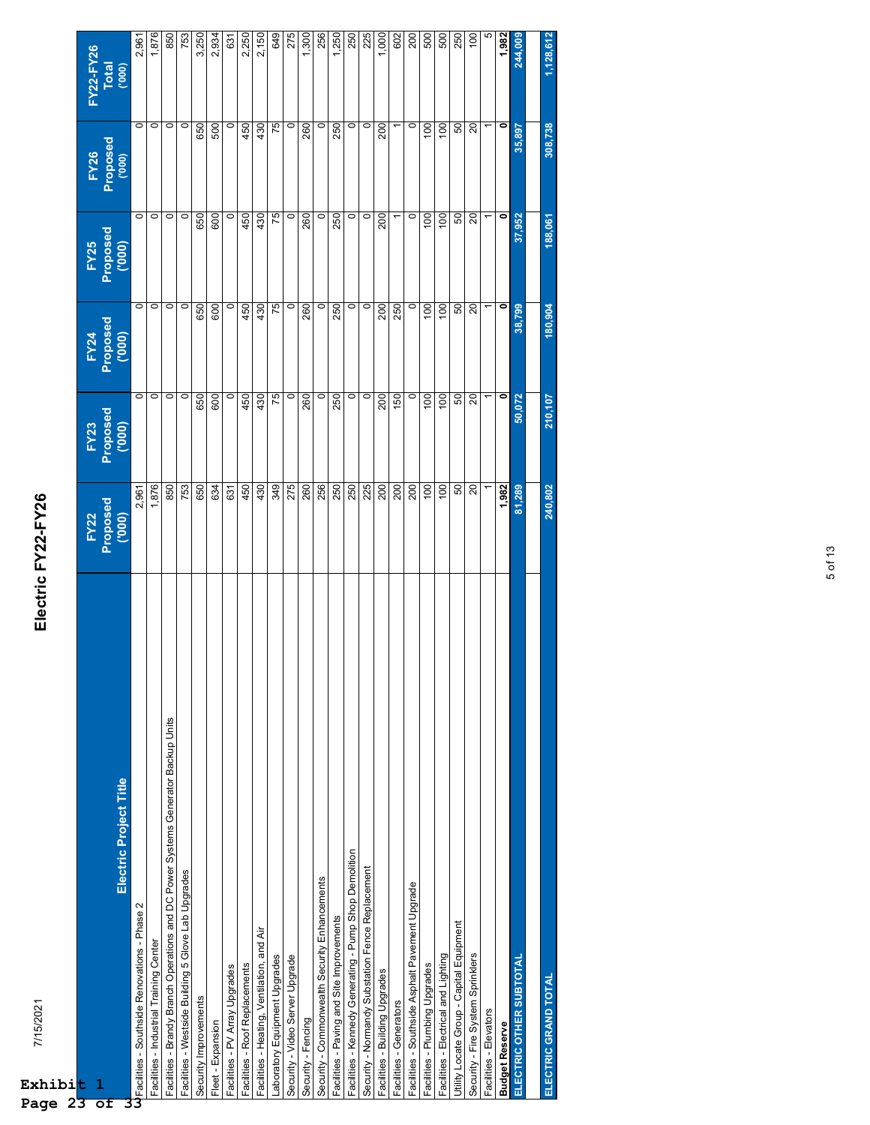| 7/15/2021<br>Exhibi <mark>t</mark><br>$2\overline{3}$<br>Page                     | Electric FY22-FY26 |                                        |                            |                                   |                                   |                    |
|-----------------------------------------------------------------------------------|--------------------|----------------------------------------|----------------------------|-----------------------------------|-----------------------------------|--------------------|
| $\mathbf{1}$<br>of                                                                | FY22<br>Proposed   | Proposed<br>("000)<br>FY <sub>23</sub> | Proposed<br>('000)<br>FY24 | Proposed<br>('000)<br><b>FY25</b> | Proposed<br>('000)<br><b>FY26</b> | FY22-FY26<br>Total |
| Electric Project Title                                                            | (000)              |                                        |                            |                                   |                                   | (000)              |
| <b>U</b><br>UFacilities - Southside Renovations - Phase 2                         | 2,961              | $\circ$                                | $\circ$                    | $\circ$                           | $\circ$                           | 2,961              |
| Facilities - Industrial Training Center                                           | 1,876              | 0                                      | $\circ$                    | $\circ$                           | $\circ$                           | 1,876              |
| Facilities - Brandy Branch Operations and DC Power Systems Generator Backup Units | 850                | $\circ$                                | $\circ$                    | $\circ$                           | $\circ$                           | 850                |
| Facilities - Westside Building 5 Glove Lab Upgrades                               | 753                | c                                      | $\circ$                    | $\circ$                           | $\circ$                           | 753                |
| Security Improvements                                                             | 650                | 650                                    | 650                        | 650                               | 650                               | 3,250              |
| Fleet - Expansion                                                                 | 634                | 600                                    | 600                        | 600                               | 500                               | 2,934              |
| Facilities - PV Array Upgrades                                                    | 631                | 0                                      | $\circ$                    | $\circ$                           | $\circ$                           | 631                |
| Facilities - Roof Replacements                                                    | 450                | 450                                    | 450                        | 450                               | 450                               | 2,250              |
| Facilities - Heating, Ventilation, and Air                                        | 430                | 430                                    | 430                        | 430                               | 430                               | 2,150              |
| Laboratory Equipment Upgrades                                                     | 349                | 75                                     | 75                         | 75                                | 75                                | <b>649</b>         |
| Security - Video Server Upgrade                                                   | 275                | 0                                      | $\circ$                    | $\circ$                           | 0                                 | 275                |
| Security - Fencing                                                                | 260                | 260                                    | 260                        | 260                               | 260                               | 1,300              |
| Security - Commonwealth Security Enhancements                                     | 256                | $\circ$                                | $\circ$                    | $\circ$                           | $\circ$                           | 256                |
| Facilities - Paving and Site Improvements                                         | 250                | 250                                    | 250                        | 250                               | 250                               | 1,250              |
| Facilities - Kennedy Generating - Pump Shop Demolition                            | 250                | $\circ$                                | $\circ$                    | $\circ$                           | $\circ$                           | 250                |
| Security - Normandy Substation Fence Replacement                                  | 225                | 0                                      | $\circ$                    | $\circ$                           | $\circ$                           | 225                |
| Facilities - Building Upgrades                                                    | 200                | 200                                    | 200                        | 200                               | 200                               | 1,000              |
| Facilities - Generators                                                           | 200                | 150                                    | 250                        |                                   |                                   | 602                |
| Facilities - Southside Asphalt Pavement Upgrade                                   | 200                | $\circ$                                | $\circ$                    | $\circ$                           | $\circ$                           | 200                |
| Facilities - Plumbing Upgrades                                                    | 100                | 100                                    | 100                        | 100                               | 100                               | 500                |
| Facilities - Electrical and Lighting                                              | 100                | 100                                    | 100                        | 100                               | 100                               | 500                |
| Utility Locate Group - Capital Equipment                                          | 50                 | 50                                     | 50                         | 50                                | 50                                | 250                |
| Security - Fire System Sprinklers                                                 | $\overline{20}$    | 20                                     | 20                         | $\Omega$                          | $\Omega$                          | 9                  |
| Facilities - Elevators                                                            |                    |                                        |                            |                                   |                                   | LΩ                 |
| <b>Budget Reserve</b>                                                             | 1,982              | 0                                      | 0                          | ۰                                 |                                   | 1,982              |
| ELECTRIC OTHER SUBTOTAL                                                           | 81,289             | 50,072                                 | 38,799                     | 37,952                            | 35,897                            | 244,009            |
|                                                                                   |                    |                                        |                            |                                   |                                   |                    |
| ELECTRIC GRAND TOTAL                                                              | 240,802            | 210,107                                | 180,904                    | 188,061                           | 308,738                           | 1,128,612          |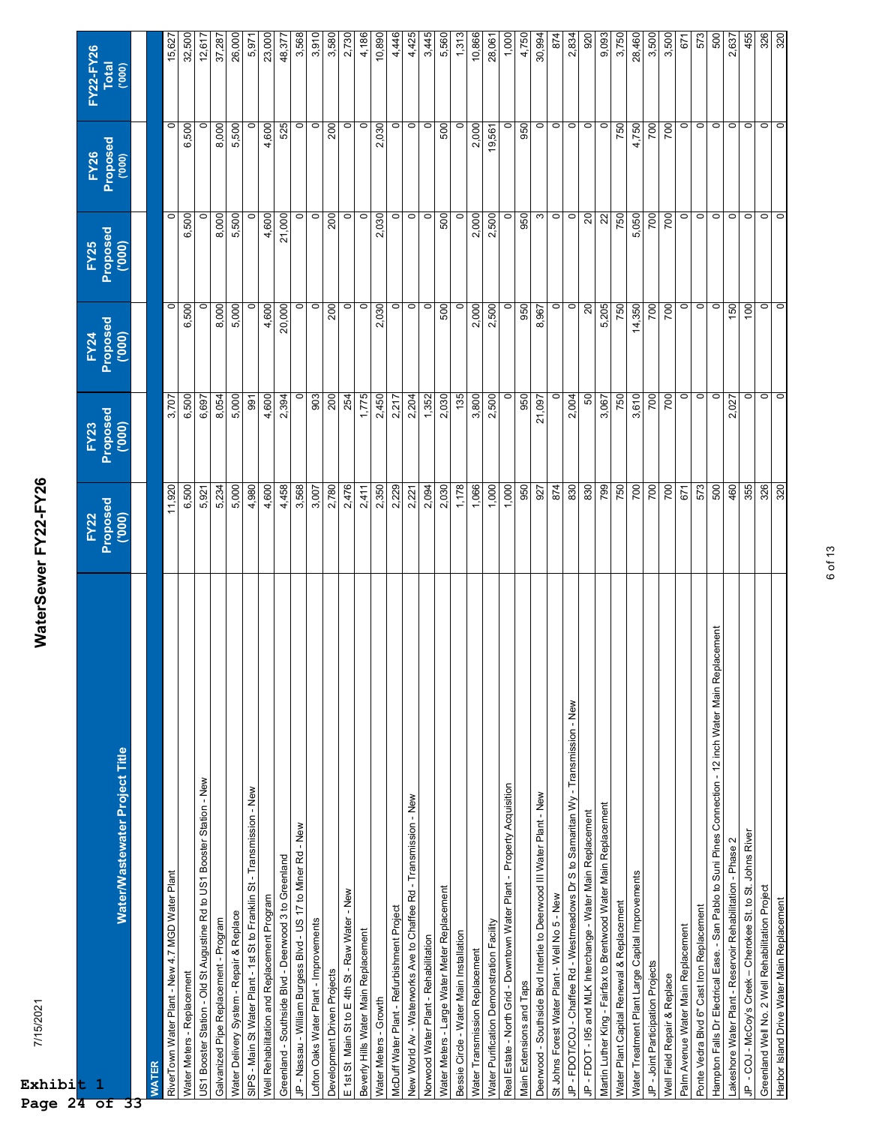| 7/15/2021<br>Exhibi <mark>t 1</mark><br>Page 24 of                                                      | WaterSewer FY22-FY26             |                                  |                            |                                   |                                  |                                    |
|---------------------------------------------------------------------------------------------------------|----------------------------------|----------------------------------|----------------------------|-----------------------------------|----------------------------------|------------------------------------|
| Water/Wastewater Project Title                                                                          | Proposed<br>(000)<br><b>FY22</b> | Proposed<br>(000)<br><b>FY23</b> | Proposed<br>("000)<br>FY24 | Proposed<br>('000)<br><b>FY25</b> | Proposed<br><b>FY26</b><br>(000) | FY22-FY26<br><b>Total</b><br>(000) |
| WATER<br>33                                                                                             |                                  |                                  |                            |                                   |                                  |                                    |
| RiverTown Water Plant - New 4.7 MGD Water Plant                                                         | 11,920                           | 3,707                            | $\circ$                    | $\circ$                           | $\circ$                          | 15,627                             |
| Water Meters - Replacement                                                                              | 6,500                            | 6,500                            | 6,500                      | 6,500                             | 6,500                            | 32,500                             |
| US1 Booster Station - Old St Augustine Rd to US1 Booster Station - New                                  | 5,921                            | 6,697                            | 0                          | $\circ$                           | 0                                | 12,617                             |
| Galvanized Pipe Replacement - Program                                                                   | 5,234                            | 8,054                            | 8,000                      | 8,000                             | 8,000                            | 37,287                             |
| Water Delivery System - Repair & Replace                                                                | 5,000                            | 5,000                            | 5,000                      | 5,500                             | 5,500                            | 26,000                             |
| SIPS - Main St Water Plant - 1st St to Franklin St - Transmission - New                                 | 4,980                            | 991                              | $\circ$                    | 0                                 |                                  | 5,971                              |
| Well Rehabilitation and Replacement Program                                                             | 4,600                            | 4,600                            | 4,600                      | 4,600                             | 4,600                            | 23,000                             |
| Greenland - Southside Blvd - Deerwood 3 to Greenland                                                    | 4,458                            | 2,394                            | 20,000                     | 21,000                            | 525                              | 48,377                             |
| JP - Nassau - William Burgess Blvd - US 17 to Miner Rd - New                                            | 3,568                            | $\circ$                          | $\circ$                    | $\circ$                           | $\circ$                          | 3,568                              |
| Lofton Oaks Water Plant - Improvements                                                                  | 3,007                            | 903                              | $\circ$                    | $\circ$                           | $\circ$                          | 3,910                              |
| Development Driven Projects                                                                             | 2,780                            | 200                              | 200                        | 200                               | 200                              | 3,580                              |
| E 1st St Main St to E 4th St - Raw Water - New                                                          | 2,476                            | 254                              | $\circ$                    | $\circ$                           | $\circ$                          | 2,730                              |
| Beverly Hills Water Main Replacement                                                                    | 2,411                            | 1,775                            | $\circ$                    | $\circ$                           | $\circ$                          | 4,186                              |
| Water Meters - Growth                                                                                   | 2,350                            | 2,450                            | 2,030                      | 2,030                             | 2,030                            | 10,890                             |
| McDuff Water Plant - Refurbishment Project                                                              | 2,229                            | 2,217                            | $\circ$                    | $\circ$                           | $\circ$                          | 4,446                              |
| New World Av - Waterworks Ave to Chaffee Rd - Transmission - New                                        | 2,221                            | 2,204                            | $\circ$                    | $\circ$                           | $\circ$                          | 4,425                              |
| Norwood Water Plant - Rehabilitation                                                                    | 2,094                            | 1,352                            | $\circ$                    | $\circ$                           | $\circ$                          | 3,445                              |
| Water Meters - Large Water Meter Replacement                                                            | 2,030                            | 2,030                            | 500                        | 500                               | 500                              | 5,560                              |
| Bessie Circle - Water Main Installation                                                                 | 1,178                            | 135                              | $\circ$                    | $\circ$                           | $\circ$                          | 1,313                              |
| Water Transmission Replacement                                                                          | 1,066                            | 3,800                            | 2,000                      | 2,000                             | 2,000                            | 10,866                             |
| Water Purification Demonstration Facility                                                               | 1,000                            | 2,500                            | 2,500                      | 2,500                             | 19,561                           | 28,061                             |
| Real Estate - North Grid - Downtown Water Plant - Property Acquisition                                  | 1,000                            | 0                                | $\circ$                    | $\circ$                           | 0                                | 1,000                              |
| Main Extensions and Taps                                                                                | 950                              | 950                              | 950                        | 950                               | 950                              | 4,750                              |
| Deerwood - Southside Blvd Intertie to Deerwood III Water Plant - New                                    | 927                              | 21,097                           | 8,967                      | $\boldsymbol{\infty}$             | $\circ$                          | 30,994                             |
| St Johns Forest Water Plant - Well No 5 - New                                                           | 874                              | $\circ$                          | $\circ$                    | $\circ$                           | $\circ$                          | 874                                |
| JP - FDOT/COJ - Chaffee Rd - Westmeadows Dr S to Samaritan Wy - Transmission - New                      | 830                              | 2,004                            | $\circ$                    | $\circ$                           | $\circ$                          | 2,834                              |
| JP - FDOT - 195 and MLK Interchange - Water Main Replacement                                            | 830                              | 50                               | $\overline{c}$             | 20                                | $\circ$                          | 920                                |
| Martin Luther King - Fairfax to Brentwood Water Main Replacement                                        | 799                              | 3,067                            | 5,205                      | $\boldsymbol{\mathcal{Z}}$        | $\circ$                          | 9,093                              |
| Water Plant Capital Renewal & Replacement                                                               | 750                              | 750                              | 750                        | 750                               | 750                              | 3,750                              |
| Water Treatment Plant Large Capital Improvements                                                        | 700                              | 3,610                            | 14,350                     | 5,050                             | 4,750                            | 28,460                             |
| JP - Joint Participation Projects                                                                       | 700                              | 700                              | 700                        | 700                               | 700                              | 3,500                              |
| Well Field Repair & Replace                                                                             | 700                              | <b>POZ</b>                       | 700                        | 700                               | 700                              | 3,500                              |
| Palm Avenue Water Main Replacement                                                                      | 671                              | 0                                | $\circ$                    | $\circ$                           | 0                                | 671                                |
| Ponte Vedra Blvd 6" Cast Iron Replacement                                                               | 573                              | $\circ$                          | $\circ$                    | $\circ$                           | $\circ$                          | 573                                |
| Hampton Falls Dr Electrical Ease. - San Pablo to Suni Pines Connection - 12 inch Water Main Replacement | 500                              | $\circ$                          | $\circ$                    | $\circ$                           | $\circ$                          | 500                                |
| Lakeshore Water Plant - Reservoir Rehabilitation - Phase 2                                              | 460                              | 2,027                            | 150                        | $\circ$                           | $\circ$                          | 2,637                              |
| - COJ - McCoy's Creek - Cherokee St. to St. Johns River<br>$\frac{1}{2}$                                | 355                              | $\circ$                          | $\overline{00}$            | $\circ$                           | $\circ$                          | 455                                |
| Greenland Well No. 2 Well Rehabilitation Project                                                        | 326                              | $\circ$                          | $\circ$                    | $\overline{0}$                    | $\circ$                          | 326                                |
| Harbor Island Drive Water Main Replacement                                                              | 320                              | $\circ$                          | $\circ$                    | O                                 | $\circ$                          | 320                                |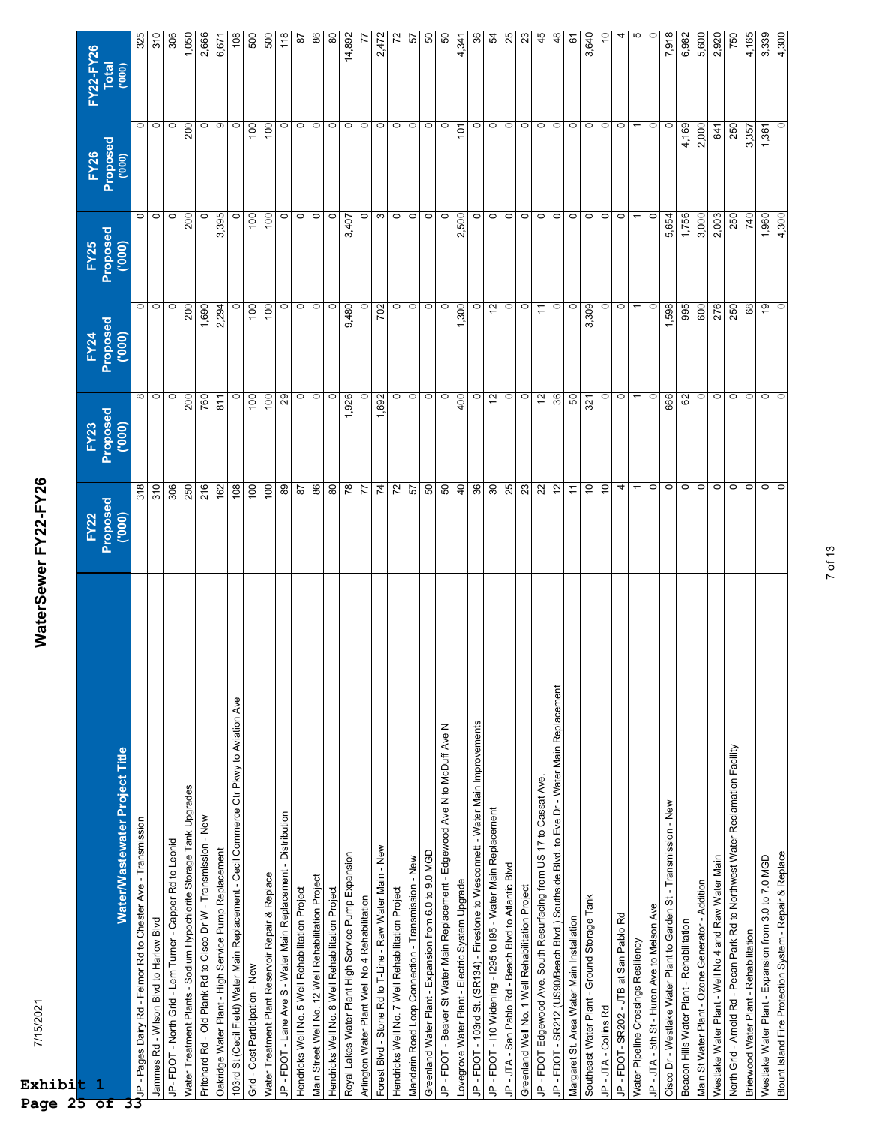| 7/15/2021<br>Exhibi <mark>t</mark><br>$D = \alpha \alpha$ $2\overline{5}$               | WaterSewer FY22-FY26       |                  |                          |                |             |                |
|-----------------------------------------------------------------------------------------|----------------------------|------------------|--------------------------|----------------|-------------|----------------|
|                                                                                         | <b>FY22</b>                | FY23             | <b>FY24</b>              | <b>FY25</b>    | <b>FY26</b> | FY22-FY26      |
| 1<br>$\overline{ }$                                                                     | Proposed                   | Proposed         | Proposed                 | Proposed       | Proposed    | <b>Total</b>   |
| Water/Wastewater Project Title                                                          | (000)                      | (000)            | (000)                    | (000)          | (000)       | (000)          |
| JP - Pages Dairy Rd - Felmor Rd to Chester Ave - Transmission                           | 318                        |                  | $\circ$                  | $\circ$        | $\circ$     | 325            |
| Jammes Rd - Wilson Blvd to Harlow Blvd                                                  | 310                        | $\infty$ $\circ$ | $\circ$                  | $\circ$        | $\circ$     | 310            |
| JP-FDOT - North Grid - Lem Turner - Capper Rd to Leonid                                 | 306                        | $\circ$          | $\circ$                  | $\circ$        | $\circ$     | 306            |
| Water Treatment Plants - Sodium Hypochlorite Storage Tank Upgrades                      | 250                        | 200              | 200                      | 200            | 200         | 1,050          |
| Pritchard Rd - Old Plank Rd to Cisco Dr W - Transmission - New                          | 216                        | 760              | 1,690                    |                | $\circ$     | 2,666          |
| Oakridge Water Plant - High Service Pump Replacement                                    | 162                        | 811              | 2,294                    | 3,395          | ၜ           | 6,671          |
| 103rd St (Cecil Field) Water Main Replacement - Cecil Commerce Ctr Pkwy to Aviation Ave | 108                        | $\circ$          | $\circ$                  |                | $\circ$     | 108            |
| Grid - Cost Participation - New                                                         | 100                        | 100              | 100                      | 100            | 100         | 500            |
| Water Treatment Plant Reservoir Repair & Replace                                        | 100                        | 100              | $\overline{100}$         | 100            | 100         | 500            |
| JP - FDOT - Lane Ave S - Water Main Replacement - Distribution                          | 89                         | 29               | $\circ$                  | $\circ$        | $\circ$     | 118            |
| Hendricks Well No. 5 Well Rehabilitation Project                                        | $\sqrt{8}$                 | $\circ$          | $\circ$                  | $\circ$        | $\circ$     | 5              |
| Main Street Well No. 12 Well Rehabilitation Project                                     | 86                         | $\circ$          | $\circ$                  | $\circ$        | $\circ$     | 86             |
| Hendricks Well No. 8 Well Rehabilitation Project                                        | 80                         | $\circ$          | $\circ$                  | $\circ$        | $\circ$     | 80             |
| Royal Lakes Water Plant High Service Pump Expansion                                     | 78                         | 1,926            | 9,480                    | 3,407          | $\circ$     | 14,892         |
| Arlington Water Plant Well No 4 Rehabilitation                                          | 77                         | $\circ$          | $\circ$                  | $\circ$        | $\circ$     | F              |
| Forest Blvd - Stone Rd to T-Line - Raw Water Main - New                                 | 74                         | 1,692            | 702                      | $\infty$       | $\circ$     | 2,472          |
| Hendricks Well No. 7 Well Rehabilitation Project                                        | 72                         | $\circ$          | $\circ$                  | $\circ$        | $\circ$     | 5Z             |
| Mandarin Road Loop Connection - Transmission - New                                      | 57                         | $\circ$          | $\circ$                  | $\circ$        | $\circ$     | 29             |
| Greenland Water Plant - Expansion from 6.0 to 9.0 MGD                                   | 50                         | $\circ$          | $\circ$                  | $\circ$        | $\circ$     | 50             |
| JP - FDOT - Beaver St Water Main Replacement - Edgewood Ave N to McDuff Ave N           | 50                         | $\circ$          | $\circ$                  | $\circ$        | $\circ$     | 50             |
| Lovegrove Water Plant - Electric System Upgrade                                         | $\overline{40}$            | 400              | 1,300                    | 2,500          | 101         | 4,341          |
| JP - FDOT - 103rd St. (SR134) - Firestone to Wesconnett - Water Main Improvements       | 36                         | $\circ$          | $\circ$                  | $\circ$        | $\circ$     | 36             |
| JP - FDOT - I10 Widening - I295 to I95 - Water Main Replacement                         | 30 <sub>o</sub>            | $\frac{2}{3}$    | $\overline{\omega}$      | $\circ$        | $\circ$     | R,             |
| JP - JTA - San Pablo Rd - Beach Blvd to Atlantic Blvd                                   | 25                         | $\circ$          | $\circ$                  | $\circ$        | $\circ$     | 25             |
| Greenland Well No. 1 Well Rehabilitation Project                                        | 23                         | $\circ$          | $\circ$                  | $\circ$        | $\circ$     | 23             |
| JP - FDOT Edgewood Ave. South Resurfacing from US 17 to Cassat Ave.                     | 22                         | 12               | $\tilde{t}$              | $\circ$        | $\circ$     | 45             |
| JP - FDOT - SR212 (US90/Beach Blvd.) Southside Blvd. to Eve Dr - Water Main Replacement | $12 \overline{ }$          | 36               | $\circ$                  | $\circ$        | $\circ$     | $\frac{8}{3}$  |
| Margaret St. Area Water Main Installation                                               | $\overleftarrow{\tau}$     | 50               | $\circ$                  | $\circ$        | $\circ$     | 6              |
| Southeast Water Plant - Ground Storage Tank                                             | $\overline{10}$            | 321              | 3,309                    | $\circ$        | $\circ$     | 3,640          |
| JP-JTA-Collins Rd                                                                       | 10                         | $\circ$          | $\circ$                  | $\circ$        | $\circ$     | $\overline{c}$ |
| JP - FDOT- SR202 - JTB at San Pablo Rd                                                  | 4                          | $\circ$          | $\circ$                  | $\circ$        | $\circ$     | 4              |
| Water Pipeline Crossings Resiliency                                                     | $\overline{\phantom{0}}$   |                  | $\overline{\phantom{0}}$ | $\overline{ }$ |             | 5              |
| JP-JTA-5th St-Huron Ave to Melson Ave                                                   | $\circ$                    | $\circ$          | $\circ$                  | $\circ$        | $\circ$     | $\circ$        |
| Cisco Dr - Westlake Water Plant to Garden St - Transmission - New                       | $\circ$                    | 666              | 1,598                    | 5,654          | $\circ$     | 7,918          |
| Beacon Hills Water Plant - Rehabilitation                                               | $\circ$                    | 62               | 995                      | 1,756          | 4,169       | 6,982          |
| Main St Water Plant - Ozone Generator - Addition                                        | $\circ$                    | $\circ$          | 600                      | 3,000          | 2,000       | 5,600          |
| Westlake Water Plant - Well No 4 and Raw Water Main                                     | $\circ$                    | $\circ$          | 276                      | 2,003          | 641         | 2,920          |
| North Grid - Arnold Rd - Pecan Park Rd to Northwest Water Reclamation Facility          | $\circ$                    | $\circ$          | 250                      | 250            | 250         | 750            |
| Brierwood Water Plant - Rehabilitation                                                  | $\circ$                    | $\circ$          | 89                       | 740            | 3,357       | 4,165          |
| Westlake Water Plant - Expansion from 3.0 to 7.0 MGD                                    | $\overline{\circ}$ $\circ$ | $\circ$          | $\overline{e}$           | 1,960          | 1,361       | 3,339          |
| Blount Island Fire Protection System - Repair & Replace                                 |                            | $\circ$          | $\circ$                  | 4,300          | $\circ$     | 4,300          |

7 of 13

**Page 25 of 33**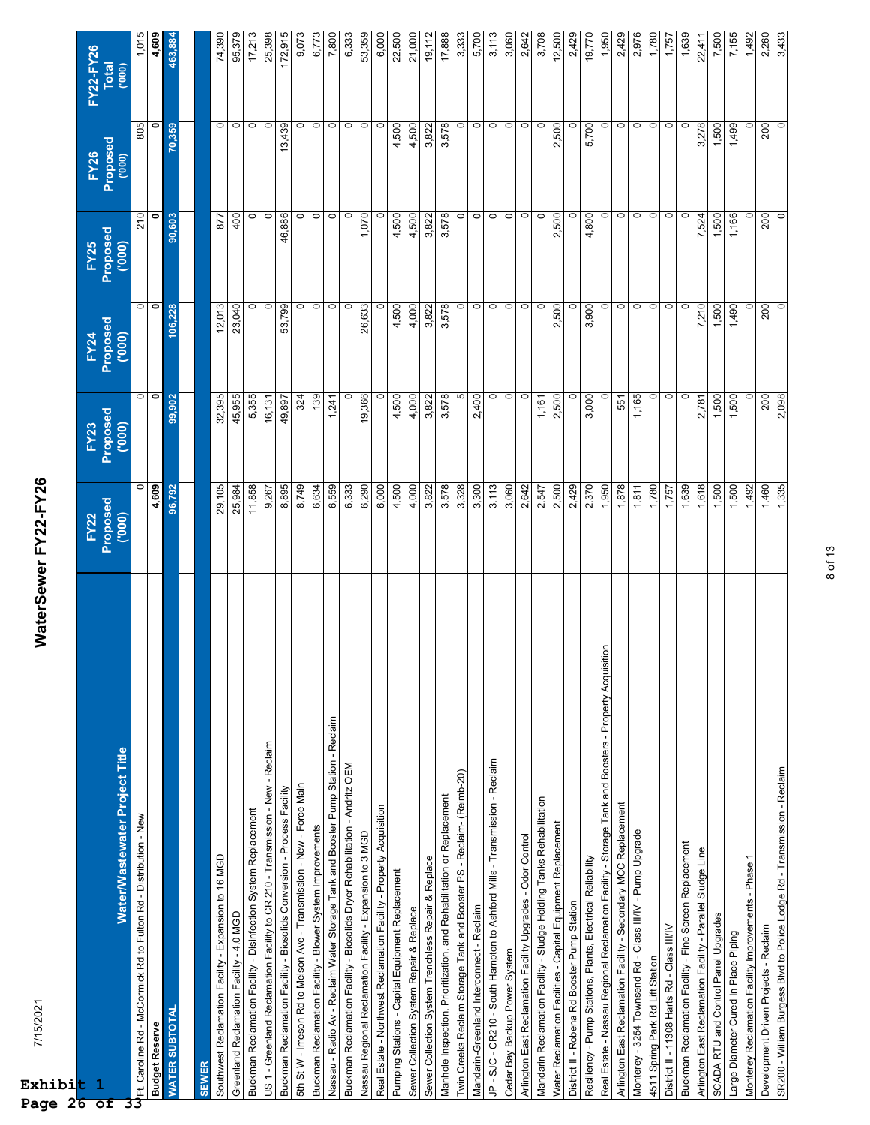| 7/15/2021<br>Exhibit<br>Page 26 of                                                                        | WaterSewer FY22-FY26                     |                                  |                                   |                                   |                                   |                                    |
|-----------------------------------------------------------------------------------------------------------|------------------------------------------|----------------------------------|-----------------------------------|-----------------------------------|-----------------------------------|------------------------------------|
| Water/Wastewater Project Title<br>$\mathbf{1}$                                                            | Proposed<br><b>FY22</b><br>$\frac{1}{2}$ | Proposed<br>(000)<br><b>FY23</b> | Proposed<br>('000)<br><b>FY24</b> | Proposed<br>("000)<br><b>FY25</b> | Proposed<br>('000)<br><b>FY26</b> | FY22-FY26<br><b>Total</b><br>(000) |
| U<br>UFFI. Caroline Rd - McCormick Rd to Fulton Rd - Distribution - New                                   | $\circ$                                  | o                                | $\circ$                           | 210                               | 805                               | 1,015                              |
| <b>Budget Reserve</b>                                                                                     | 4,609                                    | $\bullet$                        | $\bullet$                         | $\bullet$                         | $\bullet$                         | 4,609                              |
| <b>WATER SUBTOTAL</b>                                                                                     | 96,792                                   | 99,902                           | 106,228                           | 90,603                            | 70,359                            | 463,884                            |
|                                                                                                           |                                          |                                  |                                   |                                   |                                   |                                    |
| Southwest Reclamation Facility - Expansion to 16 MGD<br><b>SEWER</b>                                      | 29,105                                   | 32,395                           | 12,013                            | 877                               | $\circ$                           | 74,390                             |
| Greenland Reclamation Facility - 4.0 MGD                                                                  | 25,984                                   | 45,955                           | 23,040                            | 400                               | $\circ$                           | 95,379                             |
| Buckman Reclamation Facility - Disinfection System Replacement                                            | 11,858                                   | 5,355                            | 0                                 | $\circ$                           | $\circ$                           | 17,213                             |
| US 1 - Greenland Reclamation Facility to CR 210 - Transmission - New - Reclaim                            | 9,267                                    | 16,131                           | $\circ$                           | $\circ$                           | $\circ$                           | 25,398                             |
| Buckman Reclamation Facility - Biosolids Conversion - Process Facility                                    | 8,895                                    | 49,897                           | 53,799                            | 46,886                            | 13,439                            | 172,915                            |
| 5th St W - Imeson Rd to Melson Ave - Transmission - New - Force Main                                      | 8,749                                    | 324                              | $\circ$                           | $\circ$                           | 0                                 | 9,073                              |
| Buckman Reclamation Facility - Blower System Improvements                                                 | 6,634                                    | 139                              | $\circ$                           | $\circ$                           | $\circ$                           | 6,773                              |
| Nassau - Radio Av - Reclaim Water Storage Tank and Booster Pump Station - Reclaim                         | 6,559                                    | 1,241                            | $\circ$                           |                                   | $\circ$                           | 7,800                              |
| Buckman Reclamation Facility - Biosolids Dryer Rehabilitation - Andritz OEM                               | 6,333                                    | 0                                | $\circ$                           | $\circ$ $\circ$                   | $\circ$                           | 6,333                              |
| Nassau Regional Reclamation Facility - Expansion to 3 MGD                                                 | 6,290                                    | 19,366                           | 26,633                            | 1,070                             | $\circ$                           | 53,359                             |
| Real Estate - Northwest Reclamation Facility - Property Acquisition                                       | 6,000                                    |                                  | $\circ$                           | $\circ$                           | $\circ$                           | 6,000                              |
| Pumping Stations - Capital Equipment Replacement                                                          | 4,500                                    | 4,500                            | 4,500                             | 4,500                             | 4,500                             | 22,500                             |
| Sewer Collection System Repair & Replace                                                                  | 4,000                                    | 4,000                            | 4,000                             | 4,500                             | 4,500                             | 21,000                             |
| Sewer Collection System Trenchless Repair & Replace                                                       | 3,822                                    | 3,822                            | 3,822                             | 3,822                             | 3,822                             | 19,112                             |
| Manhole Inspection, Prioritization, and Rehabilitation or Replacement                                     | 3,578                                    | 3,578                            | 578<br>ຕ້                         | 3,578                             | 3,578                             | 17,888                             |
| Twin Creeks Reclaim Storage Tank and Booster PS - Reclaim- (Reimb-20)                                     | 3,328                                    | 5                                | $\circ$                           | $\circ$                           | $\circ$                           | 3,333                              |
| Mandarin-Greenland Interconnect - Reclaim                                                                 | 3,300                                    | 2,400                            | $\circ$                           | $\circ$                           | $\circ$                           | 5,700                              |
| JP - SJC - CR210 - South Hampton to Ashford Mills - Transmission - Reclaim                                | 3,113                                    | $\circ$                          | $\circ$                           | $\circ$                           | $\circ$                           | 3,113                              |
| Cedar Bay Backup Power System                                                                             | 3,060                                    | $\circ$                          | $\circ$                           | $\circ$                           | $\circ$                           | 3,060                              |
| Arlington East Reclamation Facility Upgrades - Odor Control                                               | 2,642                                    | $\circ$                          | $\circ$                           | $\circ$                           | $\circ$                           | 2,642                              |
| Mandarin Reclamation Facility - Sludge Holding Tanks Rehabilitation                                       | 2,547                                    | 1,161                            | $\circ$                           | $\circ$                           | $\circ$                           | 3,708                              |
| Water Reclamation Facilities - Capital Equipment Replacement                                              | 2,500                                    | 2,500                            | 2,500                             | 2,500                             | 2,500                             | 12,500                             |
| District II - Robena Rd Booster Pump Station                                                              | 2,429                                    |                                  | $\circ$                           | $\circ$                           | $\circ$                           | 2,429                              |
| Resiliency - Pump Stations, Plants, Electrical Reliability                                                | 2,370                                    | 3,000                            | 3,900                             | 4,800                             | 5,700                             | 19,770                             |
| isition<br>Real Estate - Nassau Regional Reclamation Facility - Storage Tank and Boosters - Property Acqu | 1,950                                    | 0                                | 0                                 |                                   | $\circ$                           | 1,950                              |
| Arlington East Reclamation Facility - Secondary MCC Replacement                                           | 1,878                                    | 551                              | $\circ$                           | $\circ$ $\circ$                   | $\circ$                           | 2,429                              |
| Monterey - 3254 Townsend Rd - Class III/IV - Pump Upgrade                                                 | 1,811                                    | ,165                             | $\circ$                           | $\circ$                           | $\circ$                           | 2,976                              |
| 4511 Spring Park Rd Lift Station                                                                          | 1,780                                    | 0                                | $\circ$                           | $\circ$                           | $\circ$                           | 1,780                              |
| District II - 11308 Harts Rd - Class III/IV                                                               | 1,757                                    | $\circ$                          | $\circ$                           | $\circ$                           | $\circ$                           | 1,757                              |
| Buckman Reclamation Facility - Fine Screen Replacement                                                    | 1,639                                    | $\circ$                          | $\circ$                           | $\circ$                           | $\circ$                           | 1,639                              |
| Arlington East Reclamation Facility - Parallel Sludge Line                                                | 1,618                                    | 2,781                            | 7,210                             | 7,524                             | 3,278                             | 22,411                             |
| SCADA RTU and Control Panel Upgrades                                                                      | 1,500                                    | 1,500                            | 1,500                             | 1,500                             | 1,500                             | 7,500                              |
| Large Diameter Cured In Place Piping                                                                      | 1,500                                    | 1,500                            | 1,490                             | 1,166                             | 1,499                             | 7,155                              |
| Monterey Reclamation Facility Improvements - Phase 1                                                      | 1,492                                    | $\circ$                          | $\circ$                           | $\circ$                           | $\circ$                           | 1,492                              |
| Development Driven Projects - Reclaim                                                                     | 1,460                                    | 200                              | 200                               | 200                               | 200                               | 2,260                              |
| SR200 - William Burgess Blvd to Police Lodge Rd - Transmission - Reclaim                                  | 1,335                                    | 2,098                            | $\overline{0}$                    | $\circ$                           | $\circ$                           | 3,433                              |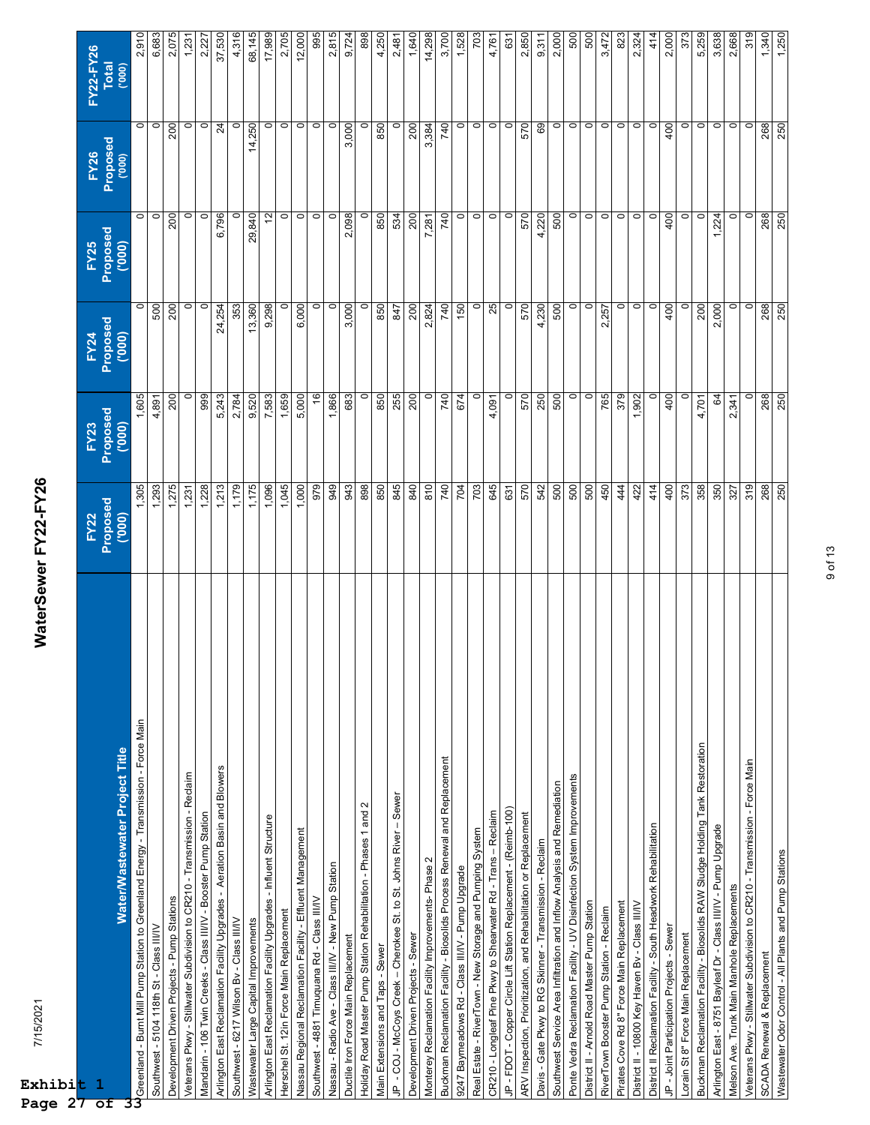| $\mathbf{1}$<br>t,                                                                  | <b>FY22</b>       | FY23          | FY24               | <b>FY25</b>       |                  | FY22-FY26             |
|-------------------------------------------------------------------------------------|-------------------|---------------|--------------------|-------------------|------------------|-----------------------|
| Water/Wastewater Project Title                                                      | Proposed<br>(000) | Proposed      | Proposed<br>(0000, | Proposed<br>(000) | FY26<br>Proposed | <b>Total</b><br>(000) |
| Greenland - Burnt Mill Pump Station to Greenland Energy - Transmission - Force Main | 1,305             | 1,605         | $\circ$            | $\circ$           | $\circ$          | 2,910                 |
| Southwest - 5104 118th St - Class III/IV                                            | 1,293             | 4,891         | 500                | $\circ$           | $\circ$          | 6,683                 |
| Development Driven Projects - Pump Stations                                         | 1,275             | 200           | 200                | 200               | 200              | 2,075                 |
| Veterans Pkwy - Stillwater Subdivision to CR210 - Transmission - Reclaim            | 1,231             |               | 0                  | $\circ$           | $\circ$          | 1,231                 |
| Mandarin - 106 Twin Creeks - Class III/IV - Booster Pump Station                    | 1,228             | 999           | $\circ$            | $\circ$           | $\circ$          | 2.227                 |
| Arlington East Reclamation Facility Upgrades - Aeration Basin and Blowers           | 1,213             | 5,243         | 24,254             | 6,796             | $\overline{a}$   | 37,530                |
| Southwest - 6217 Wilson Bv - Class III/IV                                           | 1,179             | 2,784         | 353                | $\circ$           | $\circ$          | 4,316                 |
| Wastewater Large Capital Improvements                                               | 1,175             | 9,520         | 13,360             | 29,840            | 14,250           | 68,145                |
| Arlington East Reclamation Facility Upgrades - Influent Structure                   | 1,096             | 7,583         | 9,298              | $12 \overline{ }$ | $\circ$          | 17,989                |
| Herschel St. 12in Force Main Replacement                                            | 1,045             | 1,659         | 0                  | $\circ$           | $\circ$          | 2,705                 |
| Nassau Regional Reclamation Facility - Effluent Management                          | 1,000             | 5,000         | 6,000              | $\circ$           | $\circ$          | 12,000                |
| Southwest - 4881 Timuquana Rd - Class III/IV                                        | 979               | $\frac{6}{5}$ | $\circ$            | $\circ$           | $\circ$          | 995                   |
| Nassau - Radio Ave - Class III/IV - New Pump Station                                | 949               | 1,866         | $\circ$            | $\circ$           | $\circ$          | 2,815                 |
| Ductile Iron Force Main Replacement                                                 | 943               | 683           | 3,000              | 2,098             | 3,000            | 9,724                 |
| Holiday Road Master Pump Station Rehabilitation - Phases 1 and 2                    | 898               | $\circ$       | $\circ$            | $\circ$           | $\circ$          | 898                   |
| Main Extensions and Taps - Sewer                                                    | 850               | 850           | 850                | 850               | 850              | 4,250                 |
| $-$ Sewer<br>JP - COJ - McCoys Creek - Cherokee St. to St. Johns River              | 845               | 255           | 278                | 534               |                  | 2,481                 |
| Development Driven Projects - Sewer                                                 | 840               | 200           | 200                | 200               | 200              | 1,640                 |
| Monterey Reclamation Facility Improvements- Phase 2                                 | 810               | $\circ$       | 2,824              | 7,281             | 3,384            | 14,298                |
| Buckman Reclamation Facility - Biosolids Process Renewal and Replacement            | 740               | 740           | 740                | 740               | 740              | 3,700                 |
| 9247 Baymeadows Rd - Class III/IV - Pump Upgrade                                    | 704               | 674           | 150                | $\circ$           | $\circ$          | 1,528                 |
| Real Estate - RiverTown - New Storage and Pumping System                            | 703               | 0             | $\circ$            | $\circ$           | $\circ$          | 703                   |
| CR210 - Longleaf Pine Pkwy to Shearwater Rd - Trans - Reclaim                       | 645               | 4,091         | 25                 | $\circ$           | $\circ$          | 4,761                 |
| JP - FDOT - Copper Circle Lift Station Replacement - (Reimb-100)                    | 631               | $\circ$       | $\circ$            | $\circ$           | $\circ$          | 631                   |
| ARV Inspection, Prioritization, and Rehabilitation or Replacement                   | 570               | 570           | 570                | 570               | 570              | 2,850                 |
| Davis - Gate Pkwy to RG Skinner - Transmission - Reclaim                            | 542               | 250           | 4,230              | 4,220             | 69               | 9,311                 |
| Southwest Service Area Infiltration and Inflow Analysis and Remediation             | 500               | 500           | 500                | 500               | $\circ$          | 2,000                 |
| Ponte Vedra Reclamation Facility - UV Disinfection System Improvements              | 500               | $\circ$       | $\circ$            | $\circ$           | $\circ$          | 500                   |
| District II - Arnold Road Master Pump Station                                       | 500               | $\circ$       | $\circ$            | $\circ$           | $\circ$          | 500                   |
| RiverTown Booster Pump Station - Reclaim                                            | 450               | 765           | 2,257              | $\circ$           | $\circ$          | 3,472                 |
| Pirates Cove Rd 8" Force Main Replacement                                           | 444               | 379           | $\circ$            | $\circ$           | $\circ$          | 823                   |
| District II - 10800 Key Haven Bv - Class III/IV                                     | 422               | 1,902         | $\circ$            | $\circ$           | $\circ$          | 2,324                 |
| District II Reclamation Facility - South Headwork Rehabilitation                    | 414               |               | $\circ$            | $\circ$           | $\circ$          | 414                   |
| JP - Joint Participation Projects - Sewer                                           | 400               | 400           | 400                | 400               | 400              | 2,000                 |
| Lorain St 8" Force Main Replacement                                                 | 373               |               | $\circ$            | $\circ$           | $\circ$          | 373                   |
| Buckman Reclamation Facility - Biosolids RAW Sludge Holding Tank Restoration        | 358               | 4,701         | 200                | $\circ$           | $\circ$          | 5,259                 |
| Arlington East - 8751 Bayleaf Dr - Class III/IV - Pump Upgrade                      | 350               | 64            | 000                | 1,224             | $\circ$          | 3,638                 |
| Melson Ave. Trunk Main Manhole Replacements                                         | 327               | 2,341         | $\circ$            | $\circ$           | $\circ$          | 2,668                 |
| Veterans Pkwy - Stillwater Subdivision to CR210 - Transmission - Force Main         | 319               |               | $\circ$            | $\circ$           | $\circ$          | 319                   |
| SCADA Renewal & Replacement                                                         | 268               | 268           | 268                | 268               | 268              | 1,340                 |
| Wastewater Odor Control - All Plants and Pump Stations                              | 250               | 250           | 250                | 250               | 250              | 1,250                 |

WaterSewer FY22-FY26 7/15/2021 **WaterSewer FY22-FY26**

**Exhibi Page 27 of 33**

7/15/2021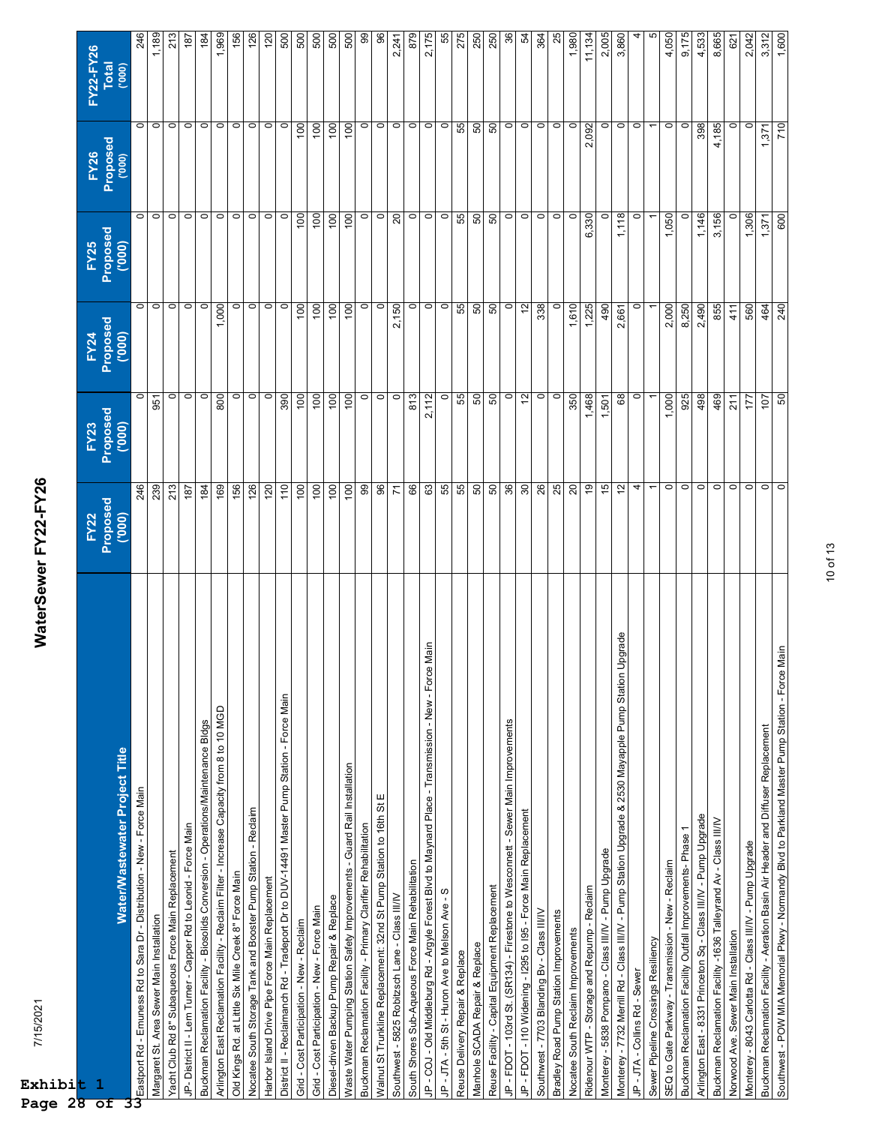| 7/15/2021<br>Exhibit<br>Page 28                                                                          | WaterSewer FY22-FY26     |                    |                    |                         |                    |                       |
|----------------------------------------------------------------------------------------------------------|--------------------------|--------------------|--------------------|-------------------------|--------------------|-----------------------|
| $\mathbf{1}$                                                                                             | <b>FY22</b>              | <b>FY23</b>        | FY24               | <b>FY25</b>             | <b>FY26</b>        | FY22-FY26             |
| Water/Wastewater Project Title<br>$\overline{\mathsf{of}}$                                               | Proposed<br>(000)        | Proposed<br>('000) | Proposed<br>('000) | Proposed<br>(000)       | Proposed<br>('000) | <b>Total</b><br>(000) |
|                                                                                                          | 246                      |                    | $\circ$            | $\circ$                 | $\circ$            | 246                   |
| Margaret St. Area Sewer Main Installation                                                                | 239                      | 951                | $\circ$            | $\circ$                 | $\circ$            | 1,189                 |
| Yacht Club Rd 8" Subaqueous Force Main Replacement                                                       | 213                      | $\circ$            | $\circ$            | $\overline{0}$          | $\circ$            | 213                   |
| JP- District II - Lem Turner - Capper Rd to Leonid - Force Main                                          | 187                      | $\circ$            | $\circ$            |                         | $\circ$            | $\frac{187}{2}$       |
| Buckman Reclamation Facility - Biosolids Conversion - Operations/Maintenance Bldgs                       | 184                      | $\circ$            | $\circ$            | $\circ$ $\circ$ $\circ$ | $\circ$            | $\frac{184}{5}$       |
| Arlington East Reclamation Facility - Reclaim Filter - Increase Capacity from 8 to 10 MGD                | 169                      | 800                | 000                |                         | $\circ$            | 1,969                 |
| Old Kings Rd. at Little Six Mile Creek 8" Force Main                                                     | 156                      | $\circ$            | $\circ$            | $\circ$                 | $\circ$            | 156                   |
| Nocatee South Storage Tank and Booster Pump Station - Reclaim                                            | 126                      | $\circ$            | $\circ$            | $\circ$                 | $\circ$            | 126                   |
| Harbor Island Drive Pipe Force Main Replacement                                                          | 120                      | $\circ$            | $\circ$            | $\circ$                 | $\circ$            | $\overline{20}$       |
| District II - Reclaimanch Rd - Tradeport Dr to DUV-14491 Master Pump Station - Force Main                | 110                      | 390                | $\circ$            | $\circ$                 | $\circ$            | 500                   |
| Grid - Cost Participation - New - Reclaim                                                                | 100                      | 100                | 100                | 100                     | 100                | 500                   |
| Grid - Cost Participation - New - Force Main                                                             | $\overline{100}$         | 100                | $\overline{100}$   | 100                     | 100                | 500                   |
| Diesel-driven Backup Pump Repair & Replace                                                               | 100                      | $\overline{100}$   | $\frac{100}{20}$   | 100                     | 100                | 500                   |
| Waste Water Pumping Station Safety Improvements - Guard Rail Installation                                | 100                      | 001                | $\frac{100}{20}$   | 100                     | $\overline{00}$    | 500                   |
| Buckman Reclamation Facility - Primary Clarifier Rehabilitation                                          | 99                       | $\circ$            | $\circ$            | ∘∣                      | $\circ$            | க                     |
| Walnut St Trunkline Replacement: 32nd St Pump Station to 16th St E                                       | 96                       | $\circ$            | $\circ$            | $\circ$                 | $\circ$            | 8                     |
| Southwest - 5825 Robitzsch Lane - Class III/IV                                                           | $\overline{r}$           | $\circ$            | 2,150              | 20                      | $\circ$            | 2,241                 |
| South Shores Sub-Aqueous Force Main Rehabilitation                                                       | 66                       | 813                | $\circ$            | $\circ$                 | $\circ$            | 879                   |
| JP - COJ - Old Middleburg Rd - Argyle Forest Blvd to Maynard Place - Transmission - New - Force Main     | 63                       | 2,112              | $\circ$            | $\circ$                 | $\circ$            | 2,175                 |
| JP - JTA - 5th St - Huron Ave to Melson Ave - S                                                          | 55                       | $\circ$            | $\circ$            | $\circ$                 | $\overline{0}$     | 55                    |
| Reuse Delivery Repair & Replace                                                                          | 55                       | 55                 | 55                 | 55                      | 55                 | 275                   |
| Manhole SCADA Repair & Replace                                                                           | 50                       | 50                 | 50                 | $50\,$                  | 50                 | 250                   |
| Reuse Facility - Capital Equipment Replacement                                                           | 50                       | 50                 | SO                 | 50                      | 50                 | 250                   |
| JP - FDOT - 103rd St. (SR134) - Firestone to Wesconnett - Sewer Main Improvements                        | 36                       | $\circ$            | $\circ$            | $\circ$                 | $\circ$            | శి                    |
| JP - FDOT - I10 Widening - I295 to I95 - Force Main Replacement                                          | $30\overline{)}$         | 12                 | $\tilde{c}$        | $\circ$                 | $\circ$            | Ŗ,                    |
| Southwest - 7703 Blanding Bv - Class III/IV                                                              | 26                       | $\circ$            | 338                | $\circ$                 | $\circ$            | 364                   |
| <b>Bradley Road Pump Station Improvements</b>                                                            | 25                       | $\circ$            | $\circ$            | $\circ$ $\circ$         | $\circ$            | 25                    |
| Nocatee South Reclaim Improvements                                                                       | 20                       | 350                | 1,610              |                         | $\circ$            | 1,980                 |
| Ridenour WTP - Storage and Repump - Reclaim                                                              | 19                       | 1,468              | ,225               | 6,330                   | 2,092              | 11,134                |
| Monterey - 5838 Pompano - Class III/IV - Pump Upgrade                                                    | $\frac{15}{2}$           | 1,501              | 490                | $\circ$                 | $\circ$            | 2,005                 |
| Upgrade<br>Monterey - 7732 Merrill Rd - Class III/IV - Pump Station Upgrade & 2530 Mayapple Pump Station | 12                       | 68                 | 2,661              | 1,118                   | $\circ$            | 3,860                 |
| JP - JTA - Collins Rd - Sewer                                                                            | 4                        | $\circ$            | 0                  | $\circ$                 | $\circ$            | 4                     |
| Sewer Pipeline Crossings Resiliency                                                                      | $\overline{\phantom{0}}$ |                    |                    |                         |                    | ယ                     |
| SEQ to Gate Parkway - Transmission - New - Reclaim                                                       | $\circ$                  | 1,000              | 2,000              | 1,050                   | $\circ$            | 4,050                 |
| Buckman Reclamation Facility Outfall Improvements- Phase 1                                               | $\circ$                  | 925                | 8,250              | $\circ$                 | $\circ$            | 9,175                 |
| Arlington East - 8331 Princeton Sq - Class III/IV - Pump Upgrade                                         | $\circ$                  | 498                | 2,490              | 1,146                   | 398                | 4,533                 |
| Buckman Reclamation Facility -1636 Talleyrand Av - Class III/IV                                          | $\circ$                  | 469                | 855                | 3,156                   | 4,185              | 8,665                 |
| Norwood Ave. Sewer Main Installation                                                                     | $\circ$                  | 211                | 411                | 0                       |                    | 621                   |
| Monterey - 8043 Carlotta Rd - Class III/IV - Pump Upgrade                                                | $\circ$                  | 177                | 560                | 1,306                   | $\circ$            | 2,042                 |
| Buckman Reclamation Facility - Aeration Basin Air Header and Diffuser Replacement                        | $\circ$                  | 107                | 464                | 1,371                   | 1,371              | 3,312                 |
| Southwest - POW MIA Memorial Pkwy - Normandy Blvd to Parkland Master Pump Station - Force Main           | $\circ$                  | 50                 | 240                | 600                     | 710                | 1,600                 |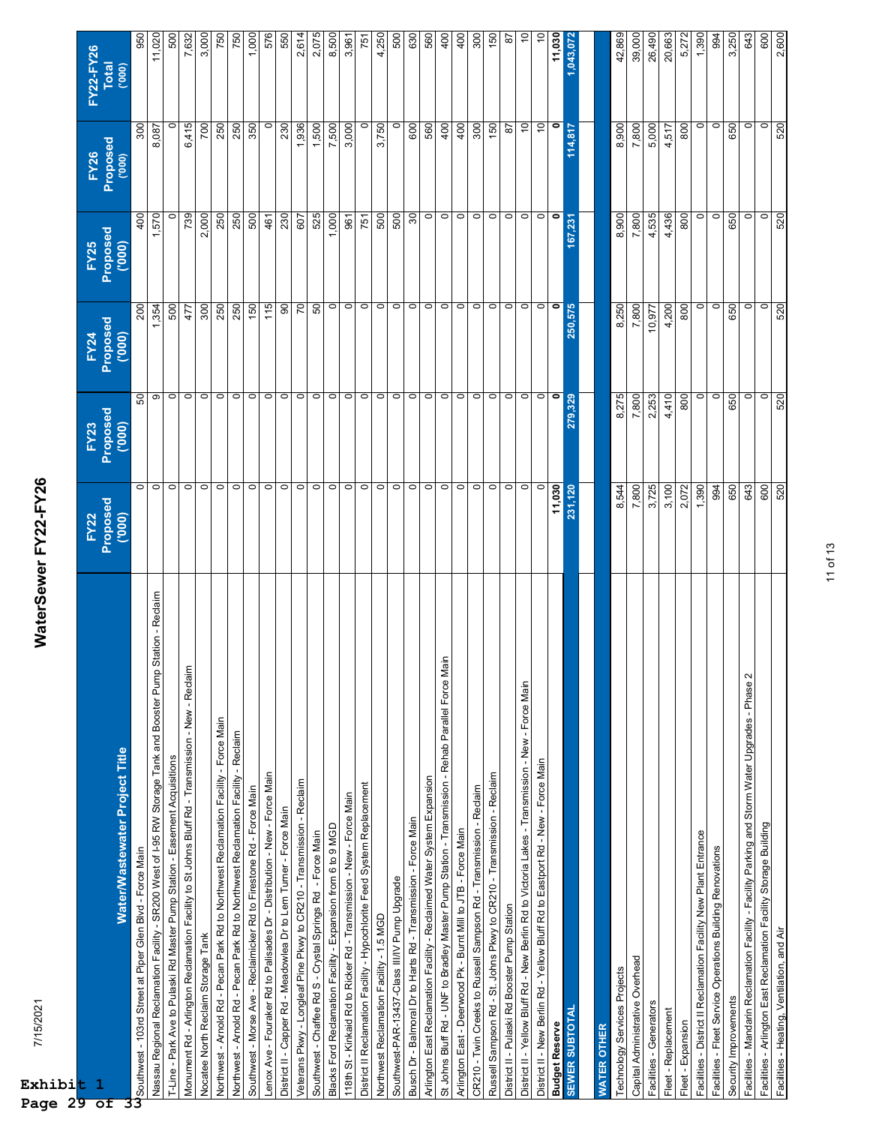| t                                                                                                               |                  |                  |                  |                  |                  | FY22-FY26      |
|-----------------------------------------------------------------------------------------------------------------|------------------|------------------|------------------|------------------|------------------|----------------|
| 1                                                                                                               | FY22<br>Proposed | FY23<br>Proposed | FY24<br>Proposed | FY25<br>Proposed | FY26<br>Proposed | <b>Total</b>   |
| Water/Wastewater Project Title                                                                                  | (000)            | (000)            | (000)            | (000)            | (000)            | (000)          |
| Southwest - 103rd Street at Piper Glen Blvd - Force Main                                                        | $\circ$          | SO               | 200              | 400              | 300              | 950            |
| Station - Reclaim<br>Nassau Regional Reclamation Facility - SR200 West of I-95 RW Storage Tank and Booster Pump | $\circ$          | တ                | 354              | 1,570            | 8,087            | 11,020         |
| T-Line - Park Ave to Pulaski Rd Master Pump Station - Easement Acquisitions                                     | $\circ$          | $\circ$          | 500              | $\circ$          | $\circ$          | 500            |
| Monument Rd - Arlington Reclamation Facility to St Johns Bluff Rd - Transmission - New - Reclaim                | $\circ$          | $\circ$          | 477              | 739              | 6,415            | 7,632          |
| Nocatee North Reclaim Storage Tank                                                                              | $\circ$          | $\circ$          | 300              | 2,000            | <b>POZ</b>       | 3,000          |
| Northwest - Arnold Rd - Pecan Park Rd to Northwest Reclamation Facility - Force Main                            | $\circ$          | $\circ$          | 250              | 250              | 250              | 750            |
| Northwest - Arnold Rd - Pecan Park Rd to Northwest Reclamation Facility - Reclaim                               | $\circ$          | $\circ$          | 250              | 250              | 250              | 750            |
| Southwest - Morse Ave - Reclaimicker Rd to Firestone Rd - Force Main                                            | $\circ$          | $\circ$          | 150              | 500              | 350              | 1,000          |
| Lenox Ave - Fouraker Rd to Palisades Dr - Distribution - New - Force Main                                       | $\circ$          | $\circ$          | 115              | 461              | $\circ$          | 576            |
| District II - Capper Rd - Meadowlea Dr to Lem Turner - Force Main                                               | $\circ$          | $\circ$          | 8                | 230              | 230              | 550            |
| Veterans Pkwy - Longleaf Pine Pkwy to CR210 - Transmission - Reclaim                                            | $\circ$          | $\circ$          | $\overline{C}$   | 607              | 1,936            | 2,614          |
| Southwest - Chaffee Rd S - Crystal Springs Rd - Force Main                                                      | $\circ$          | $\circ$          | 50               | 525              | 1,500            | 2,075          |
| Blacks Ford Reclamation Facility - Expansion from 6 to 9 MGD                                                    | $\circ$          | $\circ$          | $\circ$          | 1,000            | 7,500            | 8,500          |
| 118th St - Kinkaid Rd to Ricker Rd - Transmission - New - Force Main                                            | $\circ$          | $\circ$          | $\circ$          | 961              | 3,000            | 3,961          |
| District II Reclamation Facility - Hypochlorite Feed System Replacement                                         | $\circ$          | $\circ$          | $\circ$          | 751              |                  | 751            |
| Northwest Reclamation Facility - 1.5 MGD                                                                        | $\circ$          | $\circ$          | $\circ$          | 500              | 3,750            | 4,250          |
| Southwest-PAR-13437-Class III/IV Pump Upgrade                                                                   | $\circ$          | $\circ$          | $\circ$          | 500              | $\circ$          | 500            |
| Busch Dr - Balmoral Dr to Harts Rd - Transmission - Force Main                                                  | $\circ$          | $\circ$          | $\circ$          | 30               | 600              | 630            |
| Arlington East Reclamation Facility - Reclaimed Water System Expansion                                          | $\circ$          | $\circ$          | $\circ$          | $\circ$          | 560              | 560            |
| lain<br>St Johns Bluff Rd - UNF to Bradley Master Pump Station - Transmission - Rehab Parallel Force M          | $\circ$          | $\circ$          | $\circ$          | $\circ$          | 400              | $rac{1}{4}$    |
| Arlington East - Deerwood Pk - Burnt Mill to JTB - Force Main                                                   | $\circ$          | $\circ$          | $\circ$          | $\circ$          | 400              | $rac{1}{4}$    |
| CR210 - Twin Creeks to Russell Sampson Rd - Transmission - Reclaim                                              | $\circ$          | $\circ$          | $\circ$          | $\circ$          | 300              | SOC            |
| Russell Sampson Rd - St. Johns Pkwy to CR210 - Transmission - Reclaim                                           | $\circ$          | $\circ$          | $\circ$          | $\circ$          | 150              | $\frac{60}{2}$ |
| District II - Pulaski Rd Booster Pump Station                                                                   | $\circ$          | $\circ$          | $\circ$          | $\circ$          | 5                | 5              |
| District II - Yellow Bluff Rd - New Berlin Rd to Victoria Lakes - Transmission - New - Force Main               | $\circ$          | $\circ$          | $\circ$          | $\circ$          | $\tilde{=}$      | S.             |
| District II - New Berlin Rd - Yellow Bluff Rd to Eastport Rd - New - Force Main                                 | 0                | $\circ$          | $\circ$          | $\circ$          | $\tilde{c}$      | $\tilde{a}$    |
| <b>Budget Reserve</b>                                                                                           | 11,030           | 0                | 0                | $\bullet$        | 0                | 11,030         |
| <b>SEWER SUBTOTAL</b>                                                                                           | 231,120          | 279,329          | 250,575          | 167,231          | 114,817          | 1,043,072      |
|                                                                                                                 |                  |                  |                  |                  |                  |                |
| <b>WATER OTHER</b>                                                                                              |                  |                  |                  |                  |                  |                |
| Technology Services Projects                                                                                    | 8,544            | 8,275            | 8,250            | 8,900            | 8,900            | 42,869         |
| Capital Administrative Overhead                                                                                 | 7,800            | 7,800            | 7,800            | 7,800            | 7,800            | 39,000         |
| Facilities - Generators                                                                                         | 3,725            | 2,253            | 10,977           | 4,535            | 5,000            | 26,490         |
| Fleet - Replacement                                                                                             | 3,100            | 4,410            | 4,200            | 4,436            | 4,517            | 20,663         |
| Fleet - Expansion                                                                                               | 2,072            | 800              | 800              | 800              | 800              | 5,272          |
| Facilities - District II Reclamation Facility New Plant Entrance                                                | 1,390            | 0                | $\circ$          | $\circ$          | $\circ$          | 1,390          |
| Facilities - Fleet Service Operations Building Renovations                                                      | 994              | $\circ$          | $\circ$          | $\circ$          | $\circ$          | 994            |
| Security Improvements                                                                                           | 650              | 650              | 650              | 650              | 650              | 3,250          |
| Facilities - Mandarin Reclamation Facility - Facility Parking and Storm Water Upgrades - Phase 2                | 643              | $\circ$          | $\circ$          | $\circ$          | $\circ$          | 643            |
| Facilities - Arlington East Reclamation Facility Storage Building                                               | 600              | $\overline{0}$   | $\circ$          | $\circ$          | $\circ$          | 600            |
| Facilities - Heating, Ventilation, and Air                                                                      | 520              | 520              | 520              | 520              | 520              | 2,600          |

11 of 13

WaterSewer FY22-FY26 7/15/2021 **WaterSewer FY22-FY26**

**Exhibi** 

**Page 29 of 33**

7/15/2021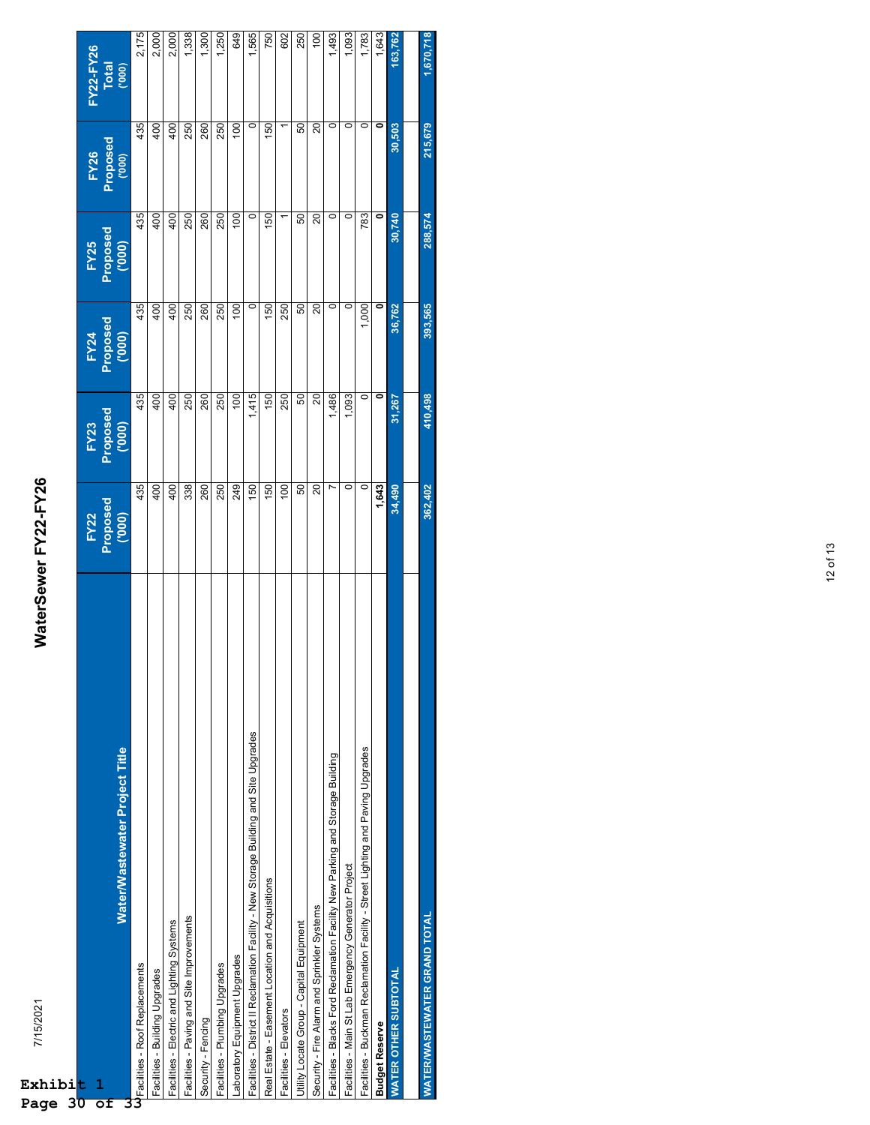| 7/15/2021<br>Exhibi <mark>t</mark>                                                     | WaterSewer FY22-FY26 |                    |                    |                    |                    |                  |
|----------------------------------------------------------------------------------------|----------------------|--------------------|--------------------|--------------------|--------------------|------------------|
| $\mathbf{1}$                                                                           | <b>FY22</b>          | FY23               | FY24               | <b>FY25</b>        | <b>FY26</b>        | <b>FY22-FY26</b> |
| Water/Wastewater Project Title                                                         | Proposed<br>('000)   | Proposed<br>('000) | Proposed<br>('000) | Proposed<br>('000) | Proposed<br>('000) | Total<br>('000)  |
| Facilities - Roof Replacements                                                         | 435                  | 435                | 435                | 435                | 435                | 2,175            |
| Facilities - Building Upgrades                                                         | 400                  | 400                | 400                | 400                | 400                | 2,000            |
| Facilities - Electric and Lighting Systems                                             | 400                  | 400                | 400                | 400                | 400                | 2,000            |
| Facilities - Paving and Site Improvements                                              | 338                  | 250                | 250                | 250                | 250                | 1,338            |
| Security - Fencing                                                                     | 260                  | 260                | 260                | 260                | 260                | ,300             |
| Facilities - Plumbing Upgrades                                                         | 250                  | 250                | 250                | 250                | 250                | ,250             |
| Laboratory Equipment Upgrades                                                          | 249                  | 100                | $\overline{0}$     | 100                | 100                | 649              |
| Facilities - District II Reclamation Facility - New Storage Building and Site Upgrades | 150                  | .415               | $\circ$            | $\circ$            | $\circ$            | 565              |
| Real Estate - Easement Location and Acquisitions                                       | 150                  | 150                | 150                | 150                | 150                | 750              |
| Facilities - Elevators                                                                 | 100                  | 250                | 250                |                    |                    | 602              |
| Utility Locate Group - Capital Equipment                                               | 50                   | SO                 | 50                 | 50                 | 50                 | 250              |
| Security - Fire Alarm and Sprinkler Systems                                            | 20                   | 20                 | 20                 | 20                 | 20                 | 100              |
| Facilities - Blacks Ford Reclamation Facility New Parking and Storage Building         |                      | 1,486              | $\circ$            | 0                  | 0                  | 1,493            |
| Facilities - Main St Lab Emergency Generator Project                                   | 0                    | 1,093              | 0                  | $\circ$            | $\circ$            | 1,093            |
| Facilities - Buckman Reclamation Facility - Street Lighting and Paving Upgrades        | $\circ$              | 0                  | 1,000              | 783                | 0                  | 1,783            |
| <b>Budget Reserve</b>                                                                  | 1,643                | ۰                  | ۰                  | ۰                  | 0                  | 1,643            |
| <b>WATER OTHER SUBTOTAL</b>                                                            | 34,490               | 31,267             | 36,762             | 30,740             | 30,503             | 163,762          |
|                                                                                        |                      |                    |                    |                    |                    |                  |
| WATERWASTEWATER GRAND TOTAL                                                            | 362,402              | 410,498            | 393,565            | 288,574            | 215,679            | 1,670,718        |
|                                                                                        |                      |                    |                    |                    |                    |                  |

## WaterSewer FY22-FY26 7/15/2021 **WaterSewer FY22-FY26**

**Page 30 of 33**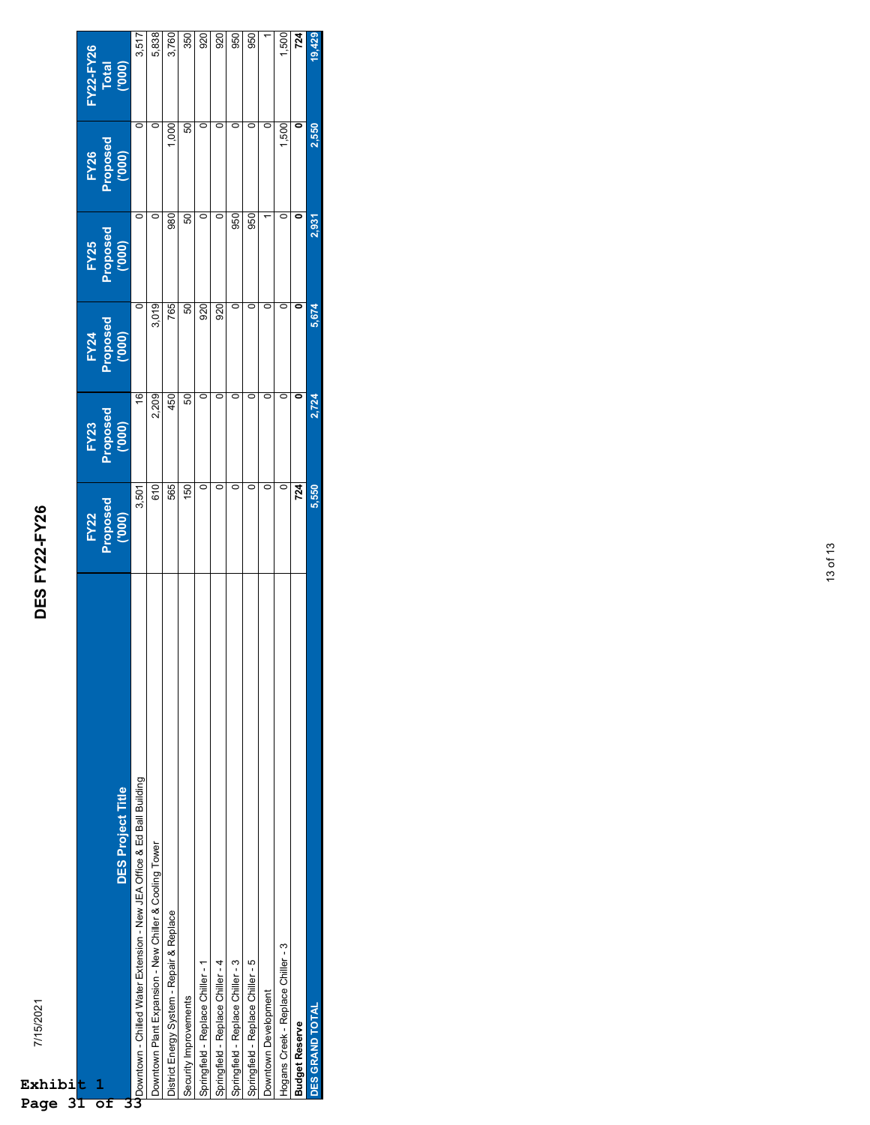| CONFIRMENT CLO<br>֖֪ׅ֪֪֪ׅ֚֚֚֚֚֚֚֚֚֚֚֚֚֚֚֚֚֚֚֚֚֚֚֡֝֝֝֝֝֝֝֝֝֝ |  |
|-------------------------------------------------------------|--|
|                                                             |  |
|                                                             |  |
| <b>CONTINUE</b>                                             |  |

| Exhibi<br>3<br>Page                | 7/15/2021                                                                | <b>DES FY22-FY26</b>       |                            |                            |                                |                            |                                     |
|------------------------------------|--------------------------------------------------------------------------|----------------------------|----------------------------|----------------------------|--------------------------------|----------------------------|-------------------------------------|
| t<br>ı<br>$\overline{\textsf{of}}$ | <b>DES Project Title</b>                                                 | FY22<br>Proposed<br>('000) | FY23<br>Proposed<br>('000) | FY24<br>Proposed<br>('000) | Proposed<br>Proposed<br>('000) | FY26<br>Proposed<br>('000) | <b>FY22-FY26</b><br>Total<br>('000) |
|                                    | U Downtown - Chilled Water Extension - New JEA Office & Ed Ball Building | 3,501                      | $\frac{6}{2}$              | $\circ$                    | $\circ$                        | $\circ$                    | 3,517                               |
|                                    | Downtown Plant Expansion - New Chiller & Cooling Tower                   | 610                        | 2,209                      | 3,019                      | $\circ$                        | $\circ$                    | 5,838                               |
|                                    | District Energy System - Repair & Replace                                | 565                        | 450                        | 765                        | 980                            | 1,000                      | 3,760                               |
|                                    | Security Improvements                                                    | 150                        | 50                         | 50                         | 50                             | 50                         | 350                                 |
|                                    | Springfield - Replace Chiller - 1                                        | 0                          | $\circ$                    | 920                        | 0                              | 0                          | 920                                 |
|                                    | Springfield - Replace Chiller - 4                                        | 0                          | $\circ$                    | 920                        | $\circ$                        | $\circ$                    | $\frac{8}{2}$                       |
|                                    | Springfield - Replace Chiller - 3                                        | 0                          | $\circ$                    | $\circ$                    | 950                            | $\circ$                    | 950                                 |
|                                    | Springfield - Replace Chiller - 5                                        | 0                          | $\circ$                    | $\circ$                    | 950                            | C                          | 950                                 |
|                                    | Downtown Development                                                     | 0                          | $\circ$                    |                            |                                | 0                          | Γ                                   |
|                                    | Hogans Creek - Replace Chiller - 3                                       | 0                          | $\circ$                    | $\circ$                    | 0                              | 1,500                      | 1,500                               |
|                                    | <b>Budget Reserve</b>                                                    | 724                        |                            | $\ddot{\phantom{0}}$       | 0                              | 0                          | 724                                 |
|                                    | <b>DES GRAND TOTAL</b>                                                   | 5,550                      | 2,724                      | 5,674                      | 2,931                          | 2,550                      | 19,429                              |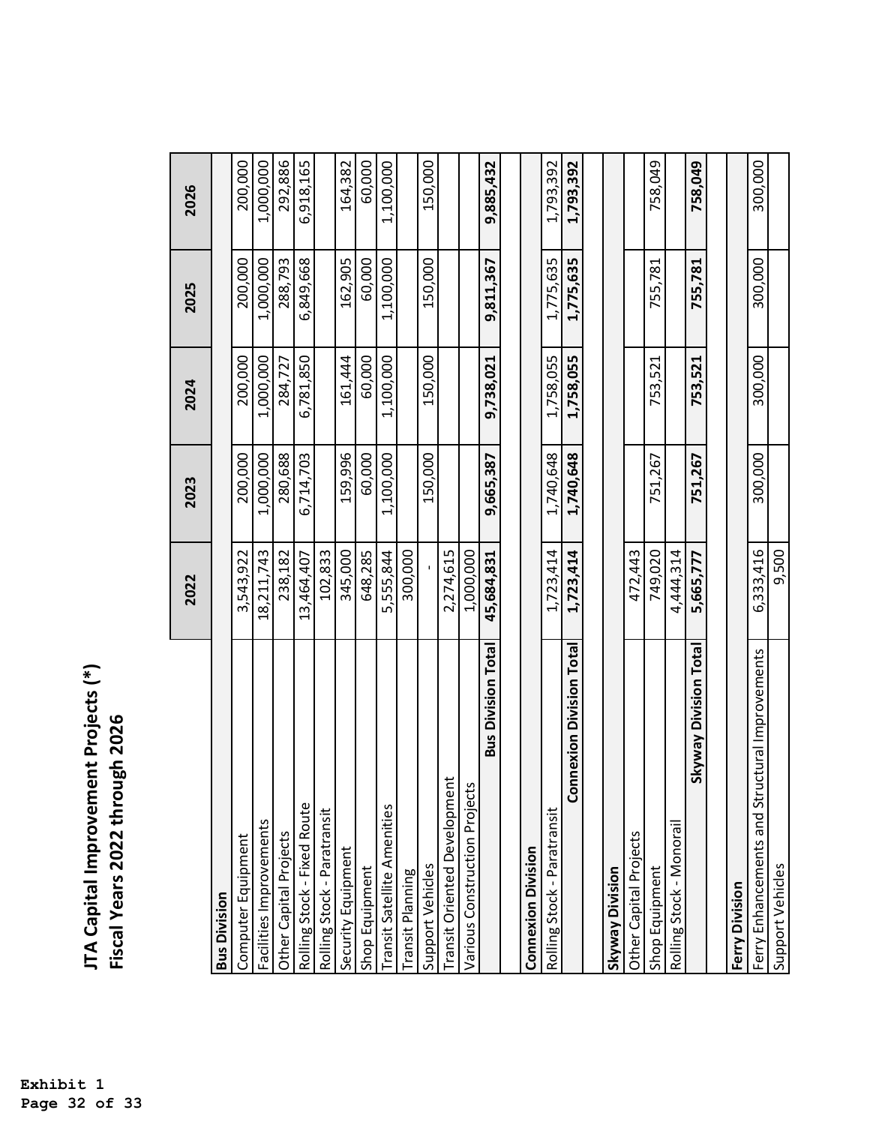| JTA Capital Improvement Projects (*) |                                |
|--------------------------------------|--------------------------------|
|                                      | Fiscal Years 2022 through 2026 |
|                                      |                                |
|                                      |                                |
|                                      |                                |
|                                      |                                |

|                                                    | 2022          | 2023      | 2024      | 2025      | 2026      |
|----------------------------------------------------|---------------|-----------|-----------|-----------|-----------|
| <b>Bus Division</b>                                |               |           |           |           |           |
| Computer Equipment                                 | 3,543,922     | 200,000   | 200,000   | 200,000   | 200,000   |
| Facilities Improvements                            | 18,211,743    | 1,000,000 | 1,000,000 | 1,000,000 | 1,000,000 |
| Other Capital Projects                             | 238,182       | 280,688   | 284,727   | 288,793   | 292,886   |
| Rolling Stock - Fixed Route                        | 13,464,407    | 6,714,703 | 6,781,850 | 6,849,668 | 6,918,165 |
| Rolling Stock - Paratransit                        | 102,833       |           |           |           |           |
| Security Equipment                                 | 345,000       | 159,996   | 161,444   | 162,905   | 164,382   |
| Shop Equipment                                     | 648,285       | 60,000    | 60,000    | 60,000    | 60,000    |
| Transit Satellite Amenities                        | 555,844<br>ഗ് | 1,100,000 | 1,100,000 | 1,100,000 | 1,100,000 |
| ransit Planning                                    | 300,000       |           |           |           |           |
| Support Vehicles                                   |               | 150,000   | 150,000   | 150,000   | 150,000   |
| Transit Oriented Development                       | 2,274,615     |           |           |           |           |
| Various Construction Projects                      | 1,000,000     |           |           |           |           |
| <b>Bus Division Total</b>                          | 45,684,831    | 9,665,387 | 9,738,021 | 9,811,367 | 9,885,432 |
|                                                    |               |           |           |           |           |
| <b>Connexion Division</b>                          |               |           |           |           |           |
| Rolling Stock - Paratransit                        | 1,723,414     | 1,740,648 | 1,758,055 | 1,775,635 | 1,793,392 |
| <b>Connexion Division Total</b>                    | 1,723,414     | 1,740,648 | 1,758,055 | 1,775,635 | 1,793,392 |
|                                                    |               |           |           |           |           |
| Skyway Division                                    |               |           |           |           |           |
| Other Capital Projects                             | 472,443       |           |           |           |           |
| Shop Equipment                                     | 749,020       | 751,267   | 753,521   | 755,781   | 758,049   |
| Rolling Stock - Monorail                           | 4,444,314     |           |           |           |           |
| <b>Skyway Division Total</b>                       | 5,665,777     | 751,267   | 753,521   | 755,781   | 758,049   |
|                                                    |               |           |           |           |           |
| Ferry Division                                     |               |           |           |           |           |
| ctural Improvements<br>Ferry Enhancements and Stru | 6,333,416     | 300,000   | 300,000   | 300,000   | 300,000   |
| Support Vehicles                                   | 9,500         |           |           |           |           |
|                                                    |               |           |           |           |           |